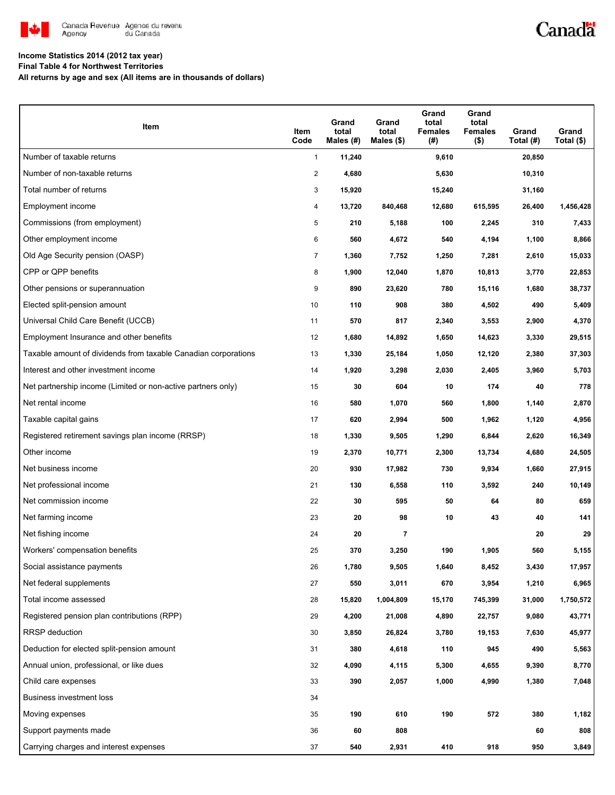

## Canadä

### **Income Statistics 2014 (2012 tax year)**

**Final Table 4 for Northwest Territories**

**All returns by age and sex (All items are in thousands of dollars)**

| Item                                                           | <b>Item</b><br>Code | Grand<br>total<br>Males (#) | Grand<br>total<br>Males $($)$ | Grand<br>total<br><b>Females</b><br>(#) | Grand<br>total<br><b>Females</b><br>$($ \$) | Grand<br>Total (#) | Grand<br>Total $(\$)$ |
|----------------------------------------------------------------|---------------------|-----------------------------|-------------------------------|-----------------------------------------|---------------------------------------------|--------------------|-----------------------|
| Number of taxable returns                                      | $\mathbf{1}$        | 11,240                      |                               | 9,610                                   |                                             | 20,850             |                       |
| Number of non-taxable returns                                  | $\overline{2}$      | 4,680                       |                               | 5,630                                   |                                             | 10,310             |                       |
| Total number of returns                                        | 3                   | 15,920                      |                               | 15,240                                  |                                             | 31,160             |                       |
| Employment income                                              | 4                   | 13,720                      | 840,468                       | 12,680                                  | 615,595                                     | 26,400             | 1,456,428             |
| Commissions (from employment)                                  | 5                   | 210                         | 5,188                         | 100                                     | 2,245                                       | 310                | 7,433                 |
| Other employment income                                        | 6                   | 560                         | 4,672                         | 540                                     | 4,194                                       | 1,100              | 8,866                 |
| Old Age Security pension (OASP)                                | $\overline{7}$      | 1,360                       | 7,752                         | 1,250                                   | 7,281                                       | 2,610              | 15,033                |
| CPP or QPP benefits                                            | 8                   | 1,900                       | 12,040                        | 1,870                                   | 10,813                                      | 3,770              | 22,853                |
| Other pensions or superannuation                               | 9                   | 890                         | 23,620                        | 780                                     | 15,116                                      | 1,680              | 38,737                |
| Elected split-pension amount                                   | 10                  | 110                         | 908                           | 380                                     | 4,502                                       | 490                | 5,409                 |
| Universal Child Care Benefit (UCCB)                            | 11                  | 570                         | 817                           | 2,340                                   | 3,553                                       | 2,900              | 4,370                 |
| Employment Insurance and other benefits                        | 12                  | 1,680                       | 14,892                        | 1,650                                   | 14,623                                      | 3,330              | 29,515                |
| Taxable amount of dividends from taxable Canadian corporations | 13                  | 1,330                       | 25,184                        | 1,050                                   | 12,120                                      | 2,380              | 37,303                |
| Interest and other investment income                           | 14                  | 1,920                       | 3,298                         | 2,030                                   | 2,405                                       | 3,960              | 5,703                 |
| Net partnership income (Limited or non-active partners only)   | 15                  | 30                          | 604                           | 10                                      | 174                                         | 40                 | 778                   |
| Net rental income                                              | 16                  | 580                         | 1,070                         | 560                                     | 1,800                                       | 1,140              | 2,870                 |
| Taxable capital gains                                          | 17                  | 620                         | 2,994                         | 500                                     | 1,962                                       | 1,120              | 4,956                 |
| Registered retirement savings plan income (RRSP)               | 18                  | 1,330                       | 9,505                         | 1,290                                   | 6,844                                       | 2,620              | 16,349                |
| Other income                                                   | 19                  | 2,370                       | 10,771                        | 2,300                                   | 13,734                                      | 4,680              | 24,505                |
| Net business income                                            | 20                  | 930                         | 17,982                        | 730                                     | 9,934                                       | 1,660              | 27,915                |
| Net professional income                                        | 21                  | 130                         | 6,558                         | 110                                     | 3,592                                       | 240                | 10,149                |
| Net commission income                                          | 22                  | 30                          | 595                           | 50                                      | 64                                          | 80                 | 659                   |
| Net farming income                                             | 23                  | 20                          | 98                            | 10                                      | 43                                          | 40                 | 141                   |
| Net fishing income                                             | 24                  | 20                          | 7                             |                                         |                                             | 20                 | 29                    |
| Workers' compensation benefits                                 | 25                  | 370                         | 3,250                         | 190                                     | 1,905                                       | 560                | 5,155                 |
| Social assistance payments                                     | 26                  | 1,780                       | 9,505                         | 1,640                                   | 8,452                                       | 3,430              | 17,957                |
| Net federal supplements                                        | 27                  | 550                         | 3,011                         | 670                                     | 3,954                                       | 1,210              | 6,965                 |
| Total income assessed                                          | 28                  | 15,820                      | 1,004,809                     | 15,170                                  | 745,399                                     | 31,000             | 1,750,572             |
| Registered pension plan contributions (RPP)                    | 29                  | 4,200                       | 21,008                        | 4,890                                   | 22,757                                      | 9,080              | 43,771                |
| RRSP deduction                                                 | 30                  | 3,850                       | 26,824                        | 3,780                                   | 19,153                                      | 7,630              | 45,977                |
| Deduction for elected split-pension amount                     | 31                  | 380                         | 4,618                         | 110                                     | 945                                         | 490                | 5,563                 |
| Annual union, professional, or like dues                       | 32                  | 4,090                       | 4,115                         | 5,300                                   | 4,655                                       | 9,390              | 8,770                 |
| Child care expenses                                            | 33                  | 390                         | 2,057                         | 1,000                                   | 4,990                                       | 1,380              | 7,048                 |
| Business investment loss                                       | 34                  |                             |                               |                                         |                                             |                    |                       |
| Moving expenses                                                | 35                  | 190                         | 610                           | 190                                     | 572                                         | 380                | 1,182                 |
| Support payments made                                          | 36                  | 60                          | 808                           |                                         |                                             | 60                 | 808                   |
| Carrying charges and interest expenses                         | 37                  | 540                         | 2,931                         | 410                                     | 918                                         | 950                | 3,849                 |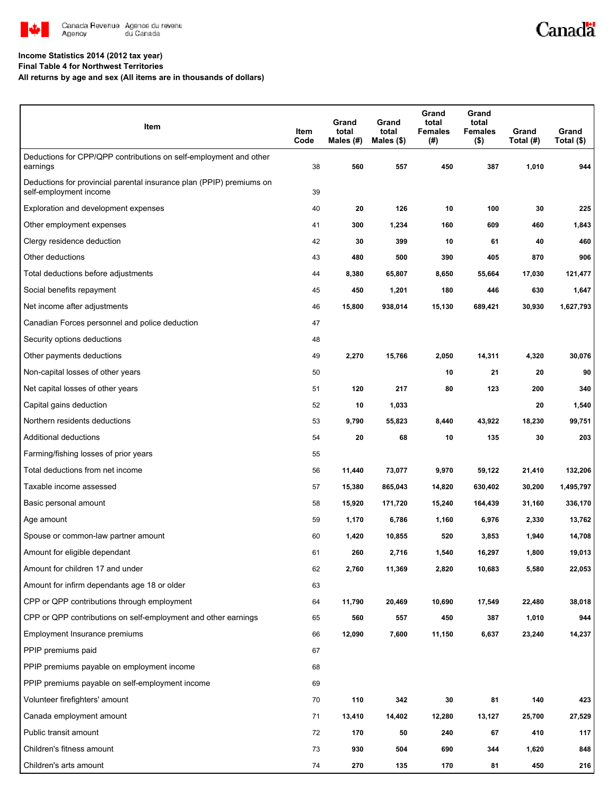

# Canadä

#### **Income Statistics 2014 (2012 tax year)**

**Final Table 4 for Northwest Territories**

**All returns by age and sex (All items are in thousands of dollars)**

| Item                                                                                           | Item<br>Code | Grand<br>total<br>Males (#) | Grand<br>total<br>Males $(\$)$ | Grand<br>total<br><b>Females</b><br>(#) | Grand<br>total<br><b>Females</b><br>$($ \$) | Grand<br>Total (#) | Grand<br>Total (\$) |
|------------------------------------------------------------------------------------------------|--------------|-----------------------------|--------------------------------|-----------------------------------------|---------------------------------------------|--------------------|---------------------|
| Deductions for CPP/QPP contributions on self-employment and other<br>earnings                  | 38           | 560                         | 557                            | 450                                     | 387                                         | 1,010              | 944                 |
| Deductions for provincial parental insurance plan (PPIP) premiums on<br>self-employment income | 39           |                             |                                |                                         |                                             |                    |                     |
| Exploration and development expenses                                                           | 40           | 20                          | 126                            | 10                                      | 100                                         | 30                 | 225                 |
| Other employment expenses                                                                      | 41           | 300                         | 1,234                          | 160                                     | 609                                         | 460                | 1,843               |
| Clergy residence deduction                                                                     | 42           | 30                          | 399                            | 10                                      | 61                                          | 40                 | 460                 |
| Other deductions                                                                               | 43           | 480                         | 500                            | 390                                     | 405                                         | 870                | 906                 |
| Total deductions before adjustments                                                            | 44           | 8,380                       | 65,807                         | 8,650                                   | 55,664                                      | 17,030             | 121,477             |
| Social benefits repayment                                                                      | 45           | 450                         | 1,201                          | 180                                     | 446                                         | 630                | 1,647               |
| Net income after adjustments                                                                   | 46           | 15,800                      | 938,014                        | 15,130                                  | 689,421                                     | 30,930             | 1,627,793           |
| Canadian Forces personnel and police deduction                                                 | 47           |                             |                                |                                         |                                             |                    |                     |
| Security options deductions                                                                    | 48           |                             |                                |                                         |                                             |                    |                     |
| Other payments deductions                                                                      | 49           | 2,270                       | 15,766                         | 2,050                                   | 14,311                                      | 4,320              | 30,076              |
| Non-capital losses of other years                                                              | 50           |                             |                                | 10                                      | 21                                          | 20                 | 90                  |
| Net capital losses of other years                                                              | 51           | 120                         | 217                            | 80                                      | 123                                         | 200                | 340                 |
| Capital gains deduction                                                                        | 52           | 10                          | 1,033                          |                                         |                                             | 20                 | 1,540               |
| Northern residents deductions                                                                  | 53           | 9,790                       | 55,823                         | 8,440                                   | 43,922                                      | 18,230             | 99,751              |
| Additional deductions                                                                          | 54           | 20                          | 68                             | 10                                      | 135                                         | 30                 | 203                 |
| Farming/fishing losses of prior years                                                          | 55           |                             |                                |                                         |                                             |                    |                     |
| Total deductions from net income                                                               | 56           | 11,440                      | 73,077                         | 9,970                                   | 59,122                                      | 21,410             | 132,206             |
| Taxable income assessed                                                                        | 57           | 15,380                      | 865,043                        | 14,820                                  | 630,402                                     | 30,200             | 1,495,797           |
| Basic personal amount                                                                          | 58           | 15,920                      | 171,720                        | 15,240                                  | 164,439                                     | 31,160             | 336,170             |
| Age amount                                                                                     | 59           | 1,170                       | 6,786                          | 1,160                                   | 6,976                                       | 2,330              | 13,762              |
| Spouse or common-law partner amount                                                            | 60           | 1,420                       | 10,855                         | 520                                     | 3,853                                       | 1,940              | 14,708              |
| Amount for eligible dependant                                                                  | 61           | 260                         | 2,716                          | 1,540                                   | 16,297                                      | 1,800              | 19,013              |
| Amount for children 17 and under                                                               | 62           | 2,760                       | 11,369                         | 2,820                                   | 10,683                                      | 5,580              | 22,053              |
| Amount for infirm dependants age 18 or older                                                   | 63           |                             |                                |                                         |                                             |                    |                     |
| CPP or QPP contributions through employment                                                    | 64           | 11,790                      | 20,469                         | 10,690                                  | 17,549                                      | 22,480             | 38,018              |
| CPP or QPP contributions on self-employment and other earnings                                 | 65           | 560                         | 557                            | 450                                     | 387                                         | 1,010              | 944                 |
| Employment Insurance premiums                                                                  | 66           | 12,090                      | 7,600                          | 11,150                                  | 6,637                                       | 23,240             | 14,237              |
| PPIP premiums paid                                                                             | 67           |                             |                                |                                         |                                             |                    |                     |
| PPIP premiums payable on employment income                                                     | 68           |                             |                                |                                         |                                             |                    |                     |
| PPIP premiums payable on self-employment income                                                | 69           |                             |                                |                                         |                                             |                    |                     |
| Volunteer firefighters' amount                                                                 | 70           | 110                         | 342                            | 30                                      | 81                                          | 140                | 423                 |
| Canada employment amount                                                                       | 71           | 13,410                      | 14,402                         | 12,280                                  | 13,127                                      | 25,700             | 27,529              |
| Public transit amount                                                                          | 72           | 170                         | 50                             | 240                                     | 67                                          | 410                | 117                 |
| Children's fitness amount                                                                      | 73           | 930                         | 504                            | 690                                     | 344                                         | 1,620              | 848                 |
| Children's arts amount                                                                         | 74           | 270                         | 135                            | 170                                     | 81                                          | 450                | 216                 |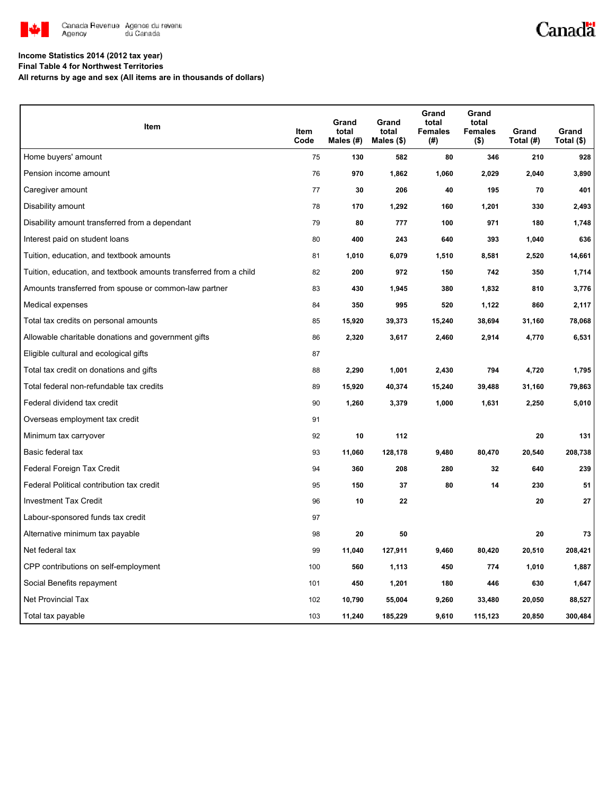

## Canadä

#### **Income Statistics 2014 (2012 tax year)**

**Final Table 4 for Northwest Territories**

**All returns by age and sex (All items are in thousands of dollars)**

| Item                                                              | Item<br>Code | Grand<br>total<br>Males (#) | Grand<br>total<br>Males $($)$ | Grand<br>total<br><b>Females</b><br>(#) | Grand<br>total<br><b>Females</b><br>$($ \$) | Grand<br>Total (#) | Grand<br>Total (\$) |
|-------------------------------------------------------------------|--------------|-----------------------------|-------------------------------|-----------------------------------------|---------------------------------------------|--------------------|---------------------|
| Home buyers' amount                                               | 75           | 130                         | 582                           | 80                                      | 346                                         | 210                | 928                 |
| Pension income amount                                             | 76           | 970                         | 1,862                         | 1,060                                   | 2,029                                       | 2,040              | 3,890               |
| Caregiver amount                                                  | 77           | 30                          | 206                           | 40                                      | 195                                         | 70                 | 401                 |
| Disability amount                                                 | 78           | 170                         | 1,292                         | 160                                     | 1,201                                       | 330                | 2,493               |
| Disability amount transferred from a dependant                    | 79           | 80                          | 777                           | 100                                     | 971                                         | 180                | 1,748               |
| Interest paid on student loans                                    | 80           | 400                         | 243                           | 640                                     | 393                                         | 1,040              | 636                 |
| Tuition, education, and textbook amounts                          | 81           | 1,010                       | 6,079                         | 1,510                                   | 8,581                                       | 2,520              | 14,661              |
| Tuition, education, and textbook amounts transferred from a child | 82           | 200                         | 972                           | 150                                     | 742                                         | 350                | 1,714               |
| Amounts transferred from spouse or common-law partner             | 83           | 430                         | 1,945                         | 380                                     | 1,832                                       | 810                | 3,776               |
| Medical expenses                                                  | 84           | 350                         | 995                           | 520                                     | 1,122                                       | 860                | 2,117               |
| Total tax credits on personal amounts                             | 85           | 15,920                      | 39,373                        | 15,240                                  | 38,694                                      | 31,160             | 78,068              |
| Allowable charitable donations and government gifts               | 86           | 2,320                       | 3,617                         | 2,460                                   | 2,914                                       | 4,770              | 6,531               |
| Eligible cultural and ecological gifts                            | 87           |                             |                               |                                         |                                             |                    |                     |
| Total tax credit on donations and gifts                           | 88           | 2,290                       | 1,001                         | 2,430                                   | 794                                         | 4,720              | 1,795               |
| Total federal non-refundable tax credits                          | 89           | 15,920                      | 40,374                        | 15,240                                  | 39,488                                      | 31,160             | 79,863              |
| Federal dividend tax credit                                       | 90           | 1,260                       | 3,379                         | 1,000                                   | 1,631                                       | 2,250              | 5,010               |
| Overseas employment tax credit                                    | 91           |                             |                               |                                         |                                             |                    |                     |
| Minimum tax carryover                                             | 92           | 10                          | 112                           |                                         |                                             | 20                 | 131                 |
| Basic federal tax                                                 | 93           | 11,060                      | 128,178                       | 9,480                                   | 80,470                                      | 20,540             | 208,738             |
| Federal Foreign Tax Credit                                        | 94           | 360                         | 208                           | 280                                     | 32                                          | 640                | 239                 |
| Federal Political contribution tax credit                         | 95           | 150                         | 37                            | 80                                      | 14                                          | 230                | 51                  |
| <b>Investment Tax Credit</b>                                      | 96           | 10                          | 22                            |                                         |                                             | 20                 | 27                  |
| Labour-sponsored funds tax credit                                 | 97           |                             |                               |                                         |                                             |                    |                     |
| Alternative minimum tax payable                                   | 98           | 20                          | 50                            |                                         |                                             | 20                 | 73                  |
| Net federal tax                                                   | 99           | 11,040                      | 127,911                       | 9,460                                   | 80,420                                      | 20,510             | 208,421             |
| CPP contributions on self-employment                              | 100          | 560                         | 1,113                         | 450                                     | 774                                         | 1,010              | 1,887               |
| Social Benefits repayment                                         | 101          | 450                         | 1,201                         | 180                                     | 446                                         | 630                | 1,647               |
| <b>Net Provincial Tax</b>                                         | 102          | 10,790                      | 55,004                        | 9,260                                   | 33,480                                      | 20,050             | 88,527              |
| Total tax payable                                                 | 103          | 11,240                      | 185,229                       | 9,610                                   | 115,123                                     | 20,850             | 300,484             |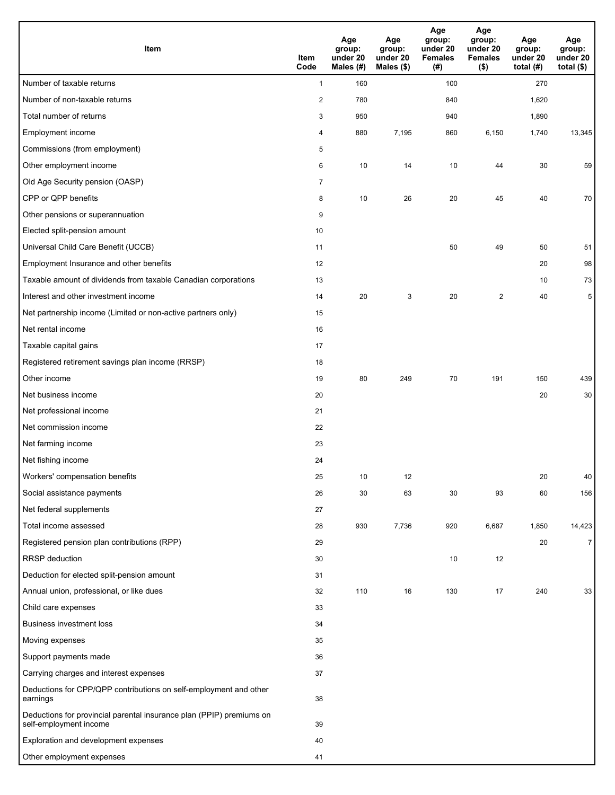| <b>Item</b>                                                                                    | Item<br>Code   | Age<br>group:<br>under 20<br>Males (#) | Age<br>group:<br>under 20<br>Males (\$) | Age<br>group:<br>under 20<br><b>Females</b><br>(# ) | Age<br>group:<br>under 20<br><b>Females</b><br>$($ \$) | Age<br>group:<br>under 20<br>total $(H)$ | Age<br>group:<br>under 20<br>total $($)$ |
|------------------------------------------------------------------------------------------------|----------------|----------------------------------------|-----------------------------------------|-----------------------------------------------------|--------------------------------------------------------|------------------------------------------|------------------------------------------|
| Number of taxable returns                                                                      | $\mathbf{1}$   | 160                                    |                                         | 100                                                 |                                                        | 270                                      |                                          |
| Number of non-taxable returns                                                                  | $\overline{c}$ | 780                                    |                                         | 840                                                 |                                                        | 1,620                                    |                                          |
| Total number of returns                                                                        | 3              | 950                                    |                                         | 940                                                 |                                                        | 1,890                                    |                                          |
| Employment income                                                                              | 4              | 880                                    | 7,195                                   | 860                                                 | 6,150                                                  | 1,740                                    | 13,345                                   |
| Commissions (from employment)                                                                  | 5              |                                        |                                         |                                                     |                                                        |                                          |                                          |
| Other employment income                                                                        | 6              | 10                                     | 14                                      | 10                                                  | 44                                                     | 30                                       | 59                                       |
| Old Age Security pension (OASP)                                                                | $\overline{7}$ |                                        |                                         |                                                     |                                                        |                                          |                                          |
| CPP or QPP benefits                                                                            | 8              | 10                                     | 26                                      | 20                                                  | 45                                                     | 40                                       | 70                                       |
| Other pensions or superannuation                                                               | 9              |                                        |                                         |                                                     |                                                        |                                          |                                          |
| Elected split-pension amount                                                                   | 10             |                                        |                                         |                                                     |                                                        |                                          |                                          |
| Universal Child Care Benefit (UCCB)                                                            | 11             |                                        |                                         | 50                                                  | 49                                                     | 50                                       | 51                                       |
| Employment Insurance and other benefits                                                        | 12             |                                        |                                         |                                                     |                                                        | 20                                       | 98                                       |
| Taxable amount of dividends from taxable Canadian corporations                                 | 13             |                                        |                                         |                                                     |                                                        | 10                                       | 73                                       |
| Interest and other investment income                                                           | 14             | 20                                     | 3                                       | 20                                                  | 2                                                      | 40                                       | 5                                        |
| Net partnership income (Limited or non-active partners only)                                   | 15             |                                        |                                         |                                                     |                                                        |                                          |                                          |
| Net rental income                                                                              | 16             |                                        |                                         |                                                     |                                                        |                                          |                                          |
| Taxable capital gains                                                                          | 17             |                                        |                                         |                                                     |                                                        |                                          |                                          |
| Registered retirement savings plan income (RRSP)                                               | 18             |                                        |                                         |                                                     |                                                        |                                          |                                          |
| Other income                                                                                   | 19             | 80                                     | 249                                     | 70                                                  | 191                                                    | 150                                      | 439                                      |
| Net business income                                                                            | 20             |                                        |                                         |                                                     |                                                        | 20                                       | 30                                       |
| Net professional income                                                                        | 21             |                                        |                                         |                                                     |                                                        |                                          |                                          |
| Net commission income                                                                          | 22             |                                        |                                         |                                                     |                                                        |                                          |                                          |
| Net farming income                                                                             | 23             |                                        |                                         |                                                     |                                                        |                                          |                                          |
| Net fishing income                                                                             | 24             |                                        |                                         |                                                     |                                                        |                                          |                                          |
| Workers' compensation benefits                                                                 | 25             | 10                                     | 12                                      |                                                     |                                                        | 20                                       | 40                                       |
| Social assistance payments                                                                     | 26             | 30                                     | 63                                      | 30                                                  | 93                                                     | 60                                       | 156                                      |
| Net federal supplements                                                                        | 27             |                                        |                                         |                                                     |                                                        |                                          |                                          |
| Total income assessed                                                                          | 28             | 930                                    | 7,736                                   | 920                                                 | 6,687                                                  | 1,850                                    | 14,423                                   |
| Registered pension plan contributions (RPP)                                                    | 29             |                                        |                                         |                                                     |                                                        | 20                                       | $\overline{7}$                           |
| RRSP deduction                                                                                 | 30             |                                        |                                         | 10                                                  | 12                                                     |                                          |                                          |
| Deduction for elected split-pension amount                                                     | 31             |                                        |                                         |                                                     |                                                        |                                          |                                          |
| Annual union, professional, or like dues                                                       | 32             | 110                                    | 16                                      | 130                                                 | 17                                                     | 240                                      | 33                                       |
| Child care expenses                                                                            | 33             |                                        |                                         |                                                     |                                                        |                                          |                                          |
| <b>Business investment loss</b>                                                                | 34             |                                        |                                         |                                                     |                                                        |                                          |                                          |
| Moving expenses                                                                                | 35             |                                        |                                         |                                                     |                                                        |                                          |                                          |
| Support payments made                                                                          | 36             |                                        |                                         |                                                     |                                                        |                                          |                                          |
| Carrying charges and interest expenses                                                         | 37             |                                        |                                         |                                                     |                                                        |                                          |                                          |
| Deductions for CPP/QPP contributions on self-employment and other<br>earnings                  | 38             |                                        |                                         |                                                     |                                                        |                                          |                                          |
| Deductions for provincial parental insurance plan (PPIP) premiums on<br>self-employment income | 39             |                                        |                                         |                                                     |                                                        |                                          |                                          |
| Exploration and development expenses                                                           | 40             |                                        |                                         |                                                     |                                                        |                                          |                                          |
| Other employment expenses                                                                      | 41             |                                        |                                         |                                                     |                                                        |                                          |                                          |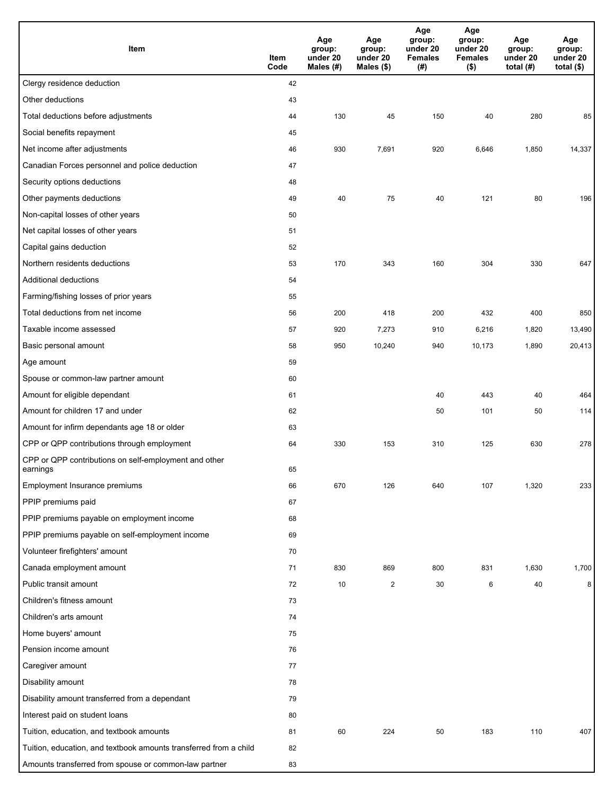| Item                                                              | Item<br>Code | Age<br>group:<br>under 20<br>Males (#) | Age<br>group:<br>under 20<br>Males (\$) | Age<br>group:<br>under 20<br><b>Females</b><br>(# ) | Age<br>group:<br>under 20<br><b>Females</b><br>$($ \$) | Age<br>group:<br>under 20<br>total $(#)$ | Age<br>group:<br>under 20<br>total $($)$ |
|-------------------------------------------------------------------|--------------|----------------------------------------|-----------------------------------------|-----------------------------------------------------|--------------------------------------------------------|------------------------------------------|------------------------------------------|
| Clergy residence deduction                                        | 42           |                                        |                                         |                                                     |                                                        |                                          |                                          |
| Other deductions                                                  | 43           |                                        |                                         |                                                     |                                                        |                                          |                                          |
| Total deductions before adjustments                               | 44           | 130                                    | 45                                      | 150                                                 | 40                                                     | 280                                      | 85                                       |
| Social benefits repayment                                         | 45           |                                        |                                         |                                                     |                                                        |                                          |                                          |
| Net income after adjustments                                      | 46           | 930                                    | 7,691                                   | 920                                                 | 6,646                                                  | 1,850                                    | 14,337                                   |
| Canadian Forces personnel and police deduction                    | 47           |                                        |                                         |                                                     |                                                        |                                          |                                          |
| Security options deductions                                       | 48           |                                        |                                         |                                                     |                                                        |                                          |                                          |
| Other payments deductions                                         | 49           | 40                                     | 75                                      | 40                                                  | 121                                                    | 80                                       | 196                                      |
| Non-capital losses of other years                                 | 50           |                                        |                                         |                                                     |                                                        |                                          |                                          |
| Net capital losses of other years                                 | 51           |                                        |                                         |                                                     |                                                        |                                          |                                          |
| Capital gains deduction                                           | 52           |                                        |                                         |                                                     |                                                        |                                          |                                          |
| Northern residents deductions                                     | 53           | 170                                    | 343                                     | 160                                                 | 304                                                    | 330                                      | 647                                      |
| Additional deductions                                             | 54           |                                        |                                         |                                                     |                                                        |                                          |                                          |
| Farming/fishing losses of prior years                             | 55           |                                        |                                         |                                                     |                                                        |                                          |                                          |
| Total deductions from net income                                  | 56           | 200                                    | 418                                     | 200                                                 | 432                                                    | 400                                      | 850                                      |
| Taxable income assessed                                           | 57           | 920                                    | 7,273                                   | 910                                                 | 6,216                                                  | 1,820                                    | 13,490                                   |
| Basic personal amount                                             | 58           | 950                                    | 10,240                                  | 940                                                 | 10,173                                                 | 1,890                                    | 20,413                                   |
| Age amount                                                        | 59           |                                        |                                         |                                                     |                                                        |                                          |                                          |
| Spouse or common-law partner amount                               | 60           |                                        |                                         |                                                     |                                                        |                                          |                                          |
| Amount for eligible dependant                                     | 61           |                                        |                                         | 40                                                  | 443                                                    | 40                                       | 464                                      |
| Amount for children 17 and under                                  | 62           |                                        |                                         | 50                                                  | 101                                                    | 50                                       | 114                                      |
| Amount for infirm dependants age 18 or older                      | 63           |                                        |                                         |                                                     |                                                        |                                          |                                          |
| CPP or QPP contributions through employment                       | 64           | 330                                    | 153                                     | 310                                                 | 125                                                    | 630                                      | 278                                      |
| CPP or QPP contributions on self-employment and other<br>earnings | 65           |                                        |                                         |                                                     |                                                        |                                          |                                          |
| Employment Insurance premiums                                     | 66           | 670                                    | 126                                     | 640                                                 | 107                                                    | 1,320                                    | 233                                      |
| PPIP premiums paid                                                | 67           |                                        |                                         |                                                     |                                                        |                                          |                                          |
| PPIP premiums payable on employment income                        | 68           |                                        |                                         |                                                     |                                                        |                                          |                                          |
| PPIP premiums payable on self-employment income                   | 69           |                                        |                                         |                                                     |                                                        |                                          |                                          |
| Volunteer firefighters' amount                                    | 70           |                                        |                                         |                                                     |                                                        |                                          |                                          |
| Canada employment amount                                          | 71           | 830                                    | 869                                     | 800                                                 | 831                                                    | 1,630                                    | 1,700                                    |
| Public transit amount                                             | 72           | 10                                     | $\overline{2}$                          | 30                                                  | 6                                                      | 40                                       | 8                                        |
| Children's fitness amount                                         | 73           |                                        |                                         |                                                     |                                                        |                                          |                                          |
| Children's arts amount                                            | 74           |                                        |                                         |                                                     |                                                        |                                          |                                          |
| Home buyers' amount                                               | 75           |                                        |                                         |                                                     |                                                        |                                          |                                          |
| Pension income amount                                             | 76           |                                        |                                         |                                                     |                                                        |                                          |                                          |
| Caregiver amount                                                  | 77           |                                        |                                         |                                                     |                                                        |                                          |                                          |
| Disability amount                                                 | 78           |                                        |                                         |                                                     |                                                        |                                          |                                          |
| Disability amount transferred from a dependant                    | 79           |                                        |                                         |                                                     |                                                        |                                          |                                          |
| Interest paid on student loans                                    | 80           |                                        |                                         |                                                     |                                                        |                                          |                                          |
| Tuition, education, and textbook amounts                          | 81           | 60                                     | 224                                     | 50                                                  | 183                                                    | 110                                      | 407                                      |
| Tuition, education, and textbook amounts transferred from a child | 82           |                                        |                                         |                                                     |                                                        |                                          |                                          |
| Amounts transferred from spouse or common-law partner             | 83           |                                        |                                         |                                                     |                                                        |                                          |                                          |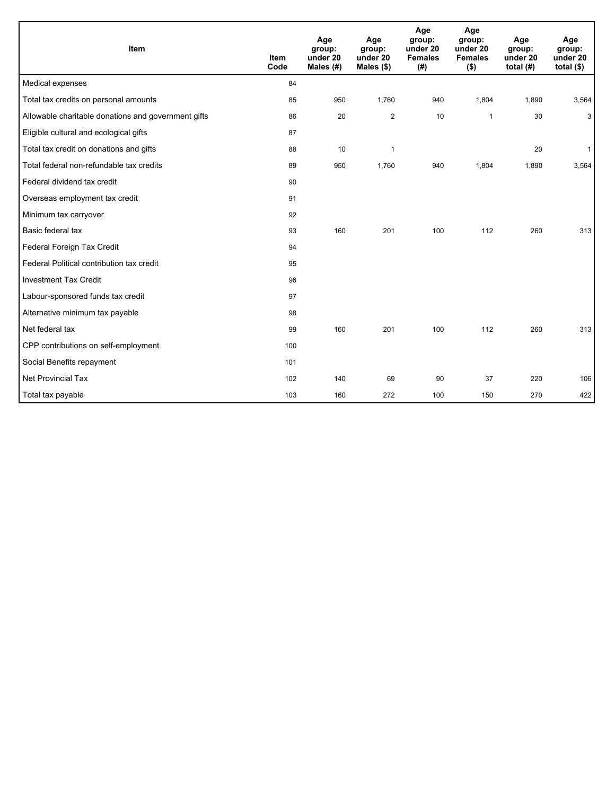| Item                                                | <b>Item</b><br>Code | Age<br>group:<br>under 20<br>Males (#) | Age<br>group:<br>under 20<br>Males (\$) | Age<br>group:<br>under 20<br><b>Females</b><br>(# ) | Age<br>group:<br>under 20<br><b>Females</b><br>$($ \$) | Age<br>group:<br>under 20<br>total $(H)$ | Age<br>group:<br>under 20<br>total $($)$ |
|-----------------------------------------------------|---------------------|----------------------------------------|-----------------------------------------|-----------------------------------------------------|--------------------------------------------------------|------------------------------------------|------------------------------------------|
| Medical expenses                                    | 84                  |                                        |                                         |                                                     |                                                        |                                          |                                          |
| Total tax credits on personal amounts               | 85                  | 950                                    | 1,760                                   | 940                                                 | 1,804                                                  | 1,890                                    | 3,564                                    |
| Allowable charitable donations and government gifts | 86                  | 20                                     | $\overline{2}$                          | 10                                                  | 1                                                      | 30                                       | 3                                        |
| Eligible cultural and ecological gifts              | 87                  |                                        |                                         |                                                     |                                                        |                                          |                                          |
| Total tax credit on donations and gifts             | 88                  | 10                                     | 1                                       |                                                     |                                                        | 20                                       | $\mathbf{1}$                             |
| Total federal non-refundable tax credits            | 89                  | 950                                    | 1,760                                   | 940                                                 | 1,804                                                  | 1,890                                    | 3,564                                    |
| Federal dividend tax credit                         | 90                  |                                        |                                         |                                                     |                                                        |                                          |                                          |
| Overseas employment tax credit                      | 91                  |                                        |                                         |                                                     |                                                        |                                          |                                          |
| Minimum tax carryover                               | 92                  |                                        |                                         |                                                     |                                                        |                                          |                                          |
| Basic federal tax                                   | 93                  | 160                                    | 201                                     | 100                                                 | 112                                                    | 260                                      | 313                                      |
| Federal Foreign Tax Credit                          | 94                  |                                        |                                         |                                                     |                                                        |                                          |                                          |
| Federal Political contribution tax credit           | 95                  |                                        |                                         |                                                     |                                                        |                                          |                                          |
| <b>Investment Tax Credit</b>                        | 96                  |                                        |                                         |                                                     |                                                        |                                          |                                          |
| Labour-sponsored funds tax credit                   | 97                  |                                        |                                         |                                                     |                                                        |                                          |                                          |
| Alternative minimum tax payable                     | 98                  |                                        |                                         |                                                     |                                                        |                                          |                                          |
| Net federal tax                                     | 99                  | 160                                    | 201                                     | 100                                                 | 112                                                    | 260                                      | 313                                      |
| CPP contributions on self-employment                | 100                 |                                        |                                         |                                                     |                                                        |                                          |                                          |
| Social Benefits repayment                           | 101                 |                                        |                                         |                                                     |                                                        |                                          |                                          |
| <b>Net Provincial Tax</b>                           | 102                 | 140                                    | 69                                      | 90                                                  | 37                                                     | 220                                      | 106                                      |
| Total tax payable                                   | 103                 | 160                                    | 272                                     | 100                                                 | 150                                                    | 270                                      | 422                                      |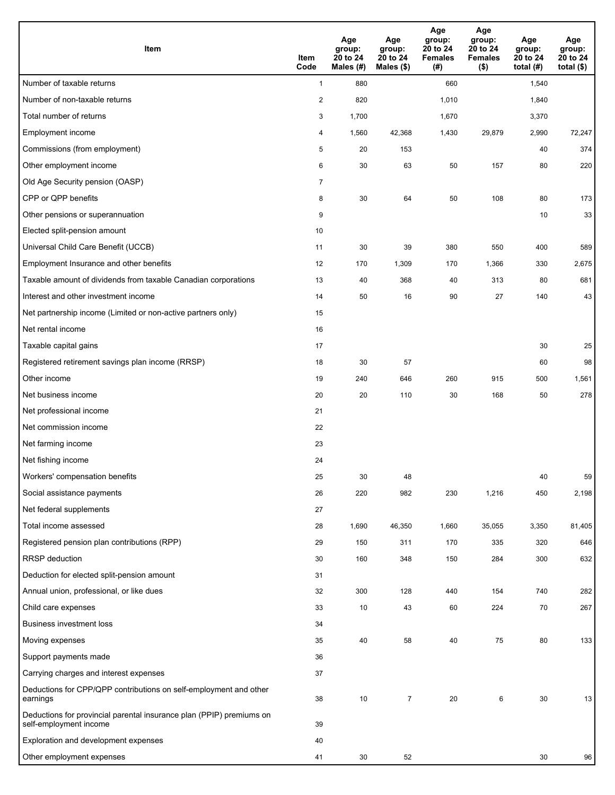| <b>Item</b>                                                                                    | Item<br>Code            | Age<br>group:<br>20 to 24<br>Males (#) | Age<br>group:<br>20 to 24<br>Males (\$) | Age<br>group:<br>20 to 24<br><b>Females</b><br>(# ) | Age<br>group:<br>20 to 24<br><b>Females</b><br>$($ \$) | Age<br>group:<br>20 to 24<br>total $(#)$ | Age<br>group:<br>20 to 24<br>total $($)$ |
|------------------------------------------------------------------------------------------------|-------------------------|----------------------------------------|-----------------------------------------|-----------------------------------------------------|--------------------------------------------------------|------------------------------------------|------------------------------------------|
| Number of taxable returns                                                                      | $\mathbf{1}$            | 880                                    |                                         | 660                                                 |                                                        | 1,540                                    |                                          |
| Number of non-taxable returns                                                                  | $\overline{\mathbf{c}}$ | 820                                    |                                         | 1,010                                               |                                                        | 1,840                                    |                                          |
| Total number of returns                                                                        | 3                       | 1,700                                  |                                         | 1,670                                               |                                                        | 3,370                                    |                                          |
| Employment income                                                                              | 4                       | 1,560                                  | 42,368                                  | 1,430                                               | 29,879                                                 | 2,990                                    | 72,247                                   |
| Commissions (from employment)                                                                  | 5                       | 20                                     | 153                                     |                                                     |                                                        | 40                                       | 374                                      |
| Other employment income                                                                        | 6                       | 30                                     | 63                                      | 50                                                  | 157                                                    | 80                                       | 220                                      |
| Old Age Security pension (OASP)                                                                | $\overline{7}$          |                                        |                                         |                                                     |                                                        |                                          |                                          |
| CPP or QPP benefits                                                                            | 8                       | 30                                     | 64                                      | 50                                                  | 108                                                    | 80                                       | 173                                      |
| Other pensions or superannuation                                                               | 9                       |                                        |                                         |                                                     |                                                        | 10                                       | 33                                       |
| Elected split-pension amount                                                                   | 10                      |                                        |                                         |                                                     |                                                        |                                          |                                          |
| Universal Child Care Benefit (UCCB)                                                            | 11                      | 30                                     | 39                                      | 380                                                 | 550                                                    | 400                                      | 589                                      |
| Employment Insurance and other benefits                                                        | 12                      | 170                                    | 1,309                                   | 170                                                 | 1,366                                                  | 330                                      | 2,675                                    |
| Taxable amount of dividends from taxable Canadian corporations                                 | 13                      | 40                                     | 368                                     | 40                                                  | 313                                                    | 80                                       | 681                                      |
| Interest and other investment income                                                           | 14                      | 50                                     | 16                                      | 90                                                  | 27                                                     | 140                                      | 43                                       |
| Net partnership income (Limited or non-active partners only)                                   | 15                      |                                        |                                         |                                                     |                                                        |                                          |                                          |
| Net rental income                                                                              | 16                      |                                        |                                         |                                                     |                                                        |                                          |                                          |
| Taxable capital gains                                                                          | 17                      |                                        |                                         |                                                     |                                                        | 30                                       | 25                                       |
| Registered retirement savings plan income (RRSP)                                               | 18                      | 30                                     | 57                                      |                                                     |                                                        | 60                                       | 98                                       |
| Other income                                                                                   | 19                      | 240                                    | 646                                     | 260                                                 | 915                                                    | 500                                      | 1,561                                    |
| Net business income                                                                            | 20                      | 20                                     | 110                                     | 30                                                  | 168                                                    | 50                                       | 278                                      |
| Net professional income                                                                        | 21                      |                                        |                                         |                                                     |                                                        |                                          |                                          |
| Net commission income                                                                          | 22                      |                                        |                                         |                                                     |                                                        |                                          |                                          |
| Net farming income                                                                             | 23                      |                                        |                                         |                                                     |                                                        |                                          |                                          |
| Net fishing income                                                                             | 24                      |                                        |                                         |                                                     |                                                        |                                          |                                          |
| Workers' compensation benefits                                                                 | 25                      | 30                                     | 48                                      |                                                     |                                                        | 40                                       | 59                                       |
| Social assistance payments                                                                     | 26                      | 220                                    | 982                                     | 230                                                 | 1,216                                                  | 450                                      | 2,198                                    |
| Net federal supplements                                                                        | 27                      |                                        |                                         |                                                     |                                                        |                                          |                                          |
| Total income assessed                                                                          | 28                      | 1,690                                  | 46,350                                  | 1,660                                               | 35,055                                                 | 3,350                                    | 81,405                                   |
| Registered pension plan contributions (RPP)                                                    | 29                      | 150                                    | 311                                     | 170                                                 | 335                                                    | 320                                      | 646                                      |
| RRSP deduction                                                                                 | 30                      | 160                                    | 348                                     | 150                                                 | 284                                                    | 300                                      | 632                                      |
| Deduction for elected split-pension amount                                                     | 31                      |                                        |                                         |                                                     |                                                        |                                          |                                          |
| Annual union, professional, or like dues                                                       | 32                      | 300                                    | 128                                     | 440                                                 | 154                                                    | 740                                      | 282                                      |
| Child care expenses                                                                            | 33                      | 10                                     | 43                                      | 60                                                  | 224                                                    | 70                                       | 267                                      |
| <b>Business investment loss</b>                                                                | 34                      |                                        |                                         |                                                     |                                                        |                                          |                                          |
| Moving expenses                                                                                | 35                      | 40                                     | 58                                      | 40                                                  | 75                                                     | 80                                       | 133                                      |
| Support payments made                                                                          | 36                      |                                        |                                         |                                                     |                                                        |                                          |                                          |
| Carrying charges and interest expenses                                                         | 37                      |                                        |                                         |                                                     |                                                        |                                          |                                          |
| Deductions for CPP/QPP contributions on self-employment and other<br>earnings                  | 38                      | 10                                     | $\overline{7}$                          | 20                                                  | 6                                                      | 30                                       | 13                                       |
| Deductions for provincial parental insurance plan (PPIP) premiums on<br>self-employment income | 39                      |                                        |                                         |                                                     |                                                        |                                          |                                          |
| Exploration and development expenses                                                           | 40                      |                                        |                                         |                                                     |                                                        |                                          |                                          |
| Other employment expenses                                                                      | 41                      | 30                                     | 52                                      |                                                     |                                                        | 30                                       | 96                                       |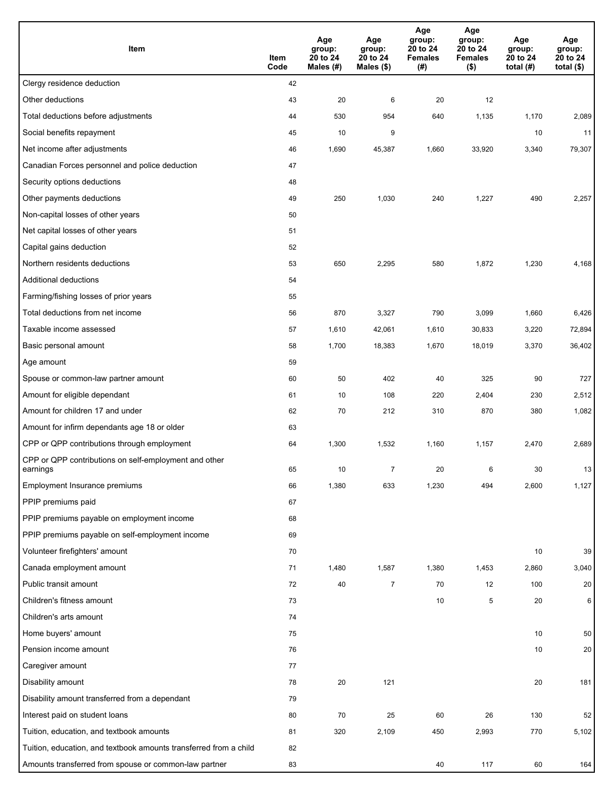| Item                                                              | Item<br>Code | Age<br>group:<br>20 to 24<br>Males $(H)$ | Age<br>group:<br>20 to 24<br>Males (\$) | Age<br>group:<br>20 to 24<br><b>Females</b><br>(# ) | Age<br>group:<br>20 to 24<br><b>Females</b><br>$($ \$) | Age<br>group:<br>20 to 24<br>total $(H)$ | Age<br>group:<br>20 to 24<br>total $($)$ |
|-------------------------------------------------------------------|--------------|------------------------------------------|-----------------------------------------|-----------------------------------------------------|--------------------------------------------------------|------------------------------------------|------------------------------------------|
| Clergy residence deduction                                        | 42           |                                          |                                         |                                                     |                                                        |                                          |                                          |
| Other deductions                                                  | 43           | 20                                       | 6                                       | 20                                                  | 12                                                     |                                          |                                          |
| Total deductions before adjustments                               | 44           | 530                                      | 954                                     | 640                                                 | 1,135                                                  | 1,170                                    | 2,089                                    |
| Social benefits repayment                                         | 45           | 10                                       | 9                                       |                                                     |                                                        | 10                                       | 11                                       |
| Net income after adjustments                                      | 46           | 1,690                                    | 45,387                                  | 1,660                                               | 33,920                                                 | 3,340                                    | 79,307                                   |
| Canadian Forces personnel and police deduction                    | 47           |                                          |                                         |                                                     |                                                        |                                          |                                          |
| Security options deductions                                       | 48           |                                          |                                         |                                                     |                                                        |                                          |                                          |
| Other payments deductions                                         | 49           | 250                                      | 1,030                                   | 240                                                 | 1,227                                                  | 490                                      | 2,257                                    |
| Non-capital losses of other years                                 | 50           |                                          |                                         |                                                     |                                                        |                                          |                                          |
| Net capital losses of other years                                 | 51           |                                          |                                         |                                                     |                                                        |                                          |                                          |
| Capital gains deduction                                           | 52           |                                          |                                         |                                                     |                                                        |                                          |                                          |
| Northern residents deductions                                     | 53           | 650                                      | 2,295                                   | 580                                                 | 1,872                                                  | 1,230                                    | 4,168                                    |
| Additional deductions                                             | 54           |                                          |                                         |                                                     |                                                        |                                          |                                          |
| Farming/fishing losses of prior years                             | 55           |                                          |                                         |                                                     |                                                        |                                          |                                          |
| Total deductions from net income                                  | 56           | 870                                      | 3,327                                   | 790                                                 | 3,099                                                  | 1,660                                    | 6,426                                    |
| Taxable income assessed                                           | 57           | 1,610                                    | 42,061                                  | 1,610                                               | 30,833                                                 | 3,220                                    | 72,894                                   |
| Basic personal amount                                             | 58           | 1,700                                    | 18,383                                  | 1,670                                               | 18,019                                                 | 3,370                                    | 36,402                                   |
| Age amount                                                        | 59           |                                          |                                         |                                                     |                                                        |                                          |                                          |
| Spouse or common-law partner amount                               | 60           | 50                                       | 402                                     | 40                                                  | 325                                                    | 90                                       | 727                                      |
| Amount for eligible dependant                                     | 61           | 10                                       | 108                                     | 220                                                 | 2,404                                                  | 230                                      | 2,512                                    |
| Amount for children 17 and under                                  | 62           | 70                                       | 212                                     | 310                                                 | 870                                                    | 380                                      | 1,082                                    |
| Amount for infirm dependants age 18 or older                      | 63           |                                          |                                         |                                                     |                                                        |                                          |                                          |
| CPP or QPP contributions through employment                       | 64           | 1,300                                    | 1,532                                   | 1,160                                               | 1,157                                                  | 2,470                                    | 2,689                                    |
| CPP or QPP contributions on self-employment and other<br>earnings | 65           | 10                                       | 7                                       | 20                                                  | 6                                                      | 30                                       | 13                                       |
| Employment Insurance premiums                                     | 66           | 1,380                                    | 633                                     | 1,230                                               | 494                                                    | 2,600                                    | 1,127                                    |
| PPIP premiums paid                                                | 67           |                                          |                                         |                                                     |                                                        |                                          |                                          |
| PPIP premiums payable on employment income                        | 68           |                                          |                                         |                                                     |                                                        |                                          |                                          |
| PPIP premiums payable on self-employment income                   | 69           |                                          |                                         |                                                     |                                                        |                                          |                                          |
| Volunteer firefighters' amount                                    | 70           |                                          |                                         |                                                     |                                                        | 10                                       | 39                                       |
| Canada employment amount                                          | 71           | 1,480                                    | 1,587                                   | 1,380                                               | 1,453                                                  | 2,860                                    | 3,040                                    |
| Public transit amount                                             | 72           | 40                                       | $\overline{7}$                          | 70                                                  | 12                                                     | 100                                      | 20                                       |
| Children's fitness amount                                         | 73           |                                          |                                         | 10                                                  | 5                                                      | 20                                       | 6                                        |
| Children's arts amount                                            | 74           |                                          |                                         |                                                     |                                                        |                                          |                                          |
| Home buyers' amount                                               | 75           |                                          |                                         |                                                     |                                                        | 10                                       | 50                                       |
| Pension income amount                                             | 76           |                                          |                                         |                                                     |                                                        | 10                                       | 20                                       |
| Caregiver amount                                                  | 77           |                                          |                                         |                                                     |                                                        |                                          |                                          |
| Disability amount                                                 | 78           | 20                                       | 121                                     |                                                     |                                                        | $20\,$                                   | 181                                      |
| Disability amount transferred from a dependant                    | 79           |                                          |                                         |                                                     |                                                        |                                          |                                          |
| Interest paid on student loans                                    | 80           | 70                                       | 25                                      | 60                                                  | 26                                                     | 130                                      | 52                                       |
| Tuition, education, and textbook amounts                          | 81           | 320                                      | 2,109                                   | 450                                                 | 2,993                                                  | 770                                      | 5,102                                    |
| Tuition, education, and textbook amounts transferred from a child | 82           |                                          |                                         |                                                     |                                                        |                                          |                                          |
| Amounts transferred from spouse or common-law partner             | 83           |                                          |                                         | 40                                                  | 117                                                    | 60                                       | 164                                      |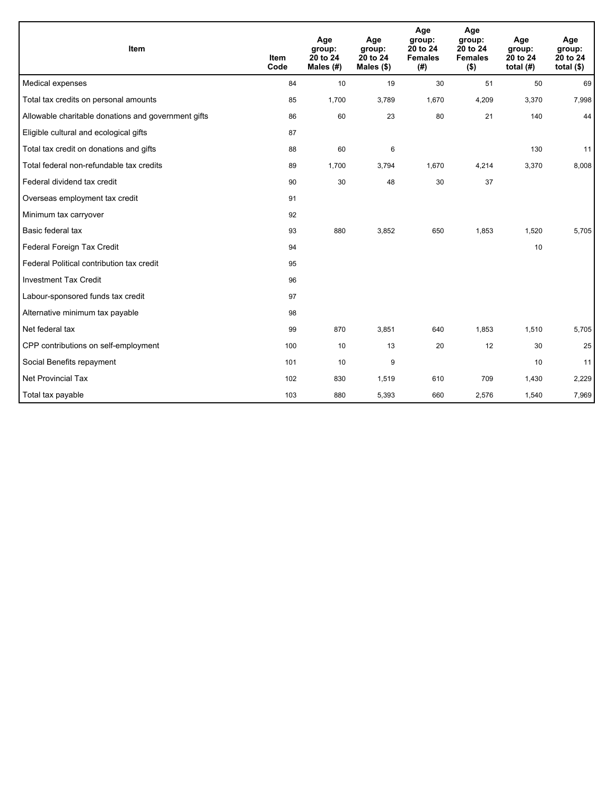| Item                                                | <b>Item</b><br>Code | Age<br>group:<br>20 to 24<br>Males $(H)$ | Age<br>group:<br>20 to 24<br>Males $(\$)$ | Age<br>group:<br>20 to 24<br><b>Females</b><br>(#) | Age<br>group:<br>20 to 24<br><b>Females</b><br>$($ \$) | Age<br>group:<br>20 to 24<br>total $(H)$ | Age<br>group:<br>20 to 24<br>total $(§)$ |
|-----------------------------------------------------|---------------------|------------------------------------------|-------------------------------------------|----------------------------------------------------|--------------------------------------------------------|------------------------------------------|------------------------------------------|
| Medical expenses                                    | 84                  | 10                                       | 19                                        | 30                                                 | 51                                                     | 50                                       | 69                                       |
| Total tax credits on personal amounts               | 85                  | 1,700                                    | 3,789                                     | 1,670                                              | 4,209                                                  | 3,370                                    | 7,998                                    |
| Allowable charitable donations and government gifts | 86                  | 60                                       | 23                                        | 80                                                 | 21                                                     | 140                                      | 44                                       |
| Eligible cultural and ecological gifts              | 87                  |                                          |                                           |                                                    |                                                        |                                          |                                          |
| Total tax credit on donations and gifts             | 88                  | 60                                       | 6                                         |                                                    |                                                        | 130                                      | 11                                       |
| Total federal non-refundable tax credits            | 89                  | 1,700                                    | 3,794                                     | 1,670                                              | 4,214                                                  | 3,370                                    | 8,008                                    |
| Federal dividend tax credit                         | 90                  | 30                                       | 48                                        | 30                                                 | 37                                                     |                                          |                                          |
| Overseas employment tax credit                      | 91                  |                                          |                                           |                                                    |                                                        |                                          |                                          |
| Minimum tax carryover                               | 92                  |                                          |                                           |                                                    |                                                        |                                          |                                          |
| Basic federal tax                                   | 93                  | 880                                      | 3,852                                     | 650                                                | 1,853                                                  | 1,520                                    | 5,705                                    |
| Federal Foreign Tax Credit                          | 94                  |                                          |                                           |                                                    |                                                        | 10                                       |                                          |
| Federal Political contribution tax credit           | 95                  |                                          |                                           |                                                    |                                                        |                                          |                                          |
| <b>Investment Tax Credit</b>                        | 96                  |                                          |                                           |                                                    |                                                        |                                          |                                          |
| Labour-sponsored funds tax credit                   | 97                  |                                          |                                           |                                                    |                                                        |                                          |                                          |
| Alternative minimum tax payable                     | 98                  |                                          |                                           |                                                    |                                                        |                                          |                                          |
| Net federal tax                                     | 99                  | 870                                      | 3,851                                     | 640                                                | 1,853                                                  | 1,510                                    | 5,705                                    |
| CPP contributions on self-employment                | 100                 | 10                                       | 13                                        | 20                                                 | 12                                                     | 30                                       | 25                                       |
| Social Benefits repayment                           | 101                 | 10                                       | 9                                         |                                                    |                                                        | 10                                       | 11                                       |
| Net Provincial Tax                                  | 102                 | 830                                      | 1,519                                     | 610                                                | 709                                                    | 1,430                                    | 2,229                                    |
| Total tax payable                                   | 103                 | 880                                      | 5,393                                     | 660                                                | 2,576                                                  | 1,540                                    | 7,969                                    |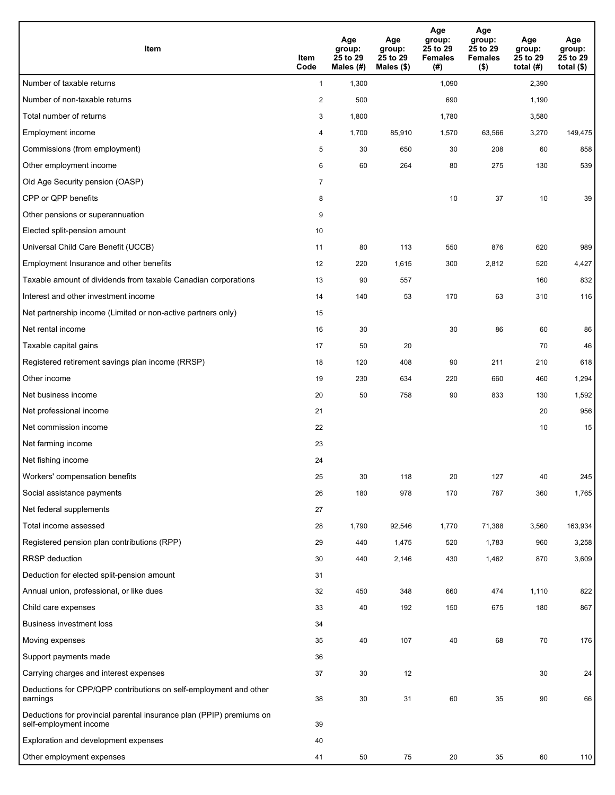| Item                                                                                           | Item<br>Code   | Age<br>group:<br>25 to 29<br>Males (#) | Age<br>group:<br>25 to 29<br>Males (\$) | Age<br>group:<br>25 to 29<br><b>Females</b><br>(# ) | Age<br>group:<br>25 to 29<br><b>Females</b><br>$($ \$) | Age<br>group:<br>25 to 29<br>total (#) | Age<br>group:<br>25 to 29<br>total $($ |
|------------------------------------------------------------------------------------------------|----------------|----------------------------------------|-----------------------------------------|-----------------------------------------------------|--------------------------------------------------------|----------------------------------------|----------------------------------------|
| Number of taxable returns                                                                      | $\mathbf{1}$   | 1,300                                  |                                         | 1,090                                               |                                                        | 2,390                                  |                                        |
| Number of non-taxable returns                                                                  | $\overline{2}$ | 500                                    |                                         | 690                                                 |                                                        | 1,190                                  |                                        |
| Total number of returns                                                                        | 3              | 1,800                                  |                                         | 1,780                                               |                                                        | 3,580                                  |                                        |
| Employment income                                                                              | 4              | 1,700                                  | 85,910                                  | 1,570                                               | 63,566                                                 | 3,270                                  | 149,475                                |
| Commissions (from employment)                                                                  | 5              | 30                                     | 650                                     | 30                                                  | 208                                                    | 60                                     | 858                                    |
| Other employment income                                                                        | 6              | 60                                     | 264                                     | 80                                                  | 275                                                    | 130                                    | 539                                    |
| Old Age Security pension (OASP)                                                                | $\overline{7}$ |                                        |                                         |                                                     |                                                        |                                        |                                        |
| CPP or QPP benefits                                                                            | 8              |                                        |                                         | 10                                                  | 37                                                     | 10                                     | 39                                     |
| Other pensions or superannuation                                                               | 9              |                                        |                                         |                                                     |                                                        |                                        |                                        |
| Elected split-pension amount                                                                   | 10             |                                        |                                         |                                                     |                                                        |                                        |                                        |
| Universal Child Care Benefit (UCCB)                                                            | 11             | 80                                     | 113                                     | 550                                                 | 876                                                    | 620                                    | 989                                    |
| Employment Insurance and other benefits                                                        | 12             | 220                                    | 1,615                                   | 300                                                 | 2,812                                                  | 520                                    | 4,427                                  |
| Taxable amount of dividends from taxable Canadian corporations                                 | 13             | 90                                     | 557                                     |                                                     |                                                        | 160                                    | 832                                    |
| Interest and other investment income                                                           | 14             | 140                                    | 53                                      | 170                                                 | 63                                                     | 310                                    | 116                                    |
| Net partnership income (Limited or non-active partners only)                                   | 15             |                                        |                                         |                                                     |                                                        |                                        |                                        |
| Net rental income                                                                              | 16             | 30                                     |                                         | 30                                                  | 86                                                     | 60                                     | 86                                     |
| Taxable capital gains                                                                          | 17             | 50                                     | 20                                      |                                                     |                                                        | 70                                     | 46                                     |
| Registered retirement savings plan income (RRSP)                                               | 18             | 120                                    | 408                                     | 90                                                  | 211                                                    | 210                                    | 618                                    |
| Other income                                                                                   | 19             | 230                                    | 634                                     | 220                                                 | 660                                                    | 460                                    | 1,294                                  |
| Net business income                                                                            | 20             | 50                                     | 758                                     | 90                                                  | 833                                                    | 130                                    | 1,592                                  |
| Net professional income                                                                        | 21             |                                        |                                         |                                                     |                                                        | 20                                     | 956                                    |
| Net commission income                                                                          | 22             |                                        |                                         |                                                     |                                                        | 10                                     | 15                                     |
| Net farming income                                                                             | 23             |                                        |                                         |                                                     |                                                        |                                        |                                        |
| Net fishing income                                                                             | 24             |                                        |                                         |                                                     |                                                        |                                        |                                        |
| Workers' compensation benefits                                                                 | 25             | 30                                     | 118                                     | 20                                                  | 127                                                    | 40                                     | 245                                    |
| Social assistance payments                                                                     | 26             | 180                                    | 978                                     | 170                                                 | 787                                                    | 360                                    | 1,765                                  |
| Net federal supplements                                                                        | 27             |                                        |                                         |                                                     |                                                        |                                        |                                        |
| Total income assessed                                                                          | 28             | 1,790                                  | 92,546                                  | 1,770                                               | 71,388                                                 | 3,560                                  | 163,934                                |
| Registered pension plan contributions (RPP)                                                    | 29             | 440                                    | 1,475                                   | 520                                                 | 1,783                                                  | 960                                    | 3,258                                  |
| RRSP deduction                                                                                 | 30             | 440                                    | 2,146                                   | 430                                                 | 1,462                                                  | 870                                    | 3,609                                  |
| Deduction for elected split-pension amount                                                     | 31             |                                        |                                         |                                                     |                                                        |                                        |                                        |
| Annual union, professional, or like dues                                                       | 32             | 450                                    | 348                                     | 660                                                 | 474                                                    | 1,110                                  | 822                                    |
| Child care expenses                                                                            | 33             | 40                                     | 192                                     | 150                                                 | 675                                                    | 180                                    | 867                                    |
| <b>Business investment loss</b>                                                                | 34             |                                        |                                         |                                                     |                                                        |                                        |                                        |
| Moving expenses                                                                                | 35             | 40                                     | 107                                     | 40                                                  | 68                                                     | 70                                     | 176                                    |
| Support payments made                                                                          | 36             |                                        |                                         |                                                     |                                                        |                                        |                                        |
| Carrying charges and interest expenses                                                         | 37             | 30                                     | 12                                      |                                                     |                                                        | 30                                     | 24                                     |
| Deductions for CPP/QPP contributions on self-employment and other<br>earnings                  | 38             | 30                                     | 31                                      | 60                                                  | 35                                                     | 90                                     | 66                                     |
| Deductions for provincial parental insurance plan (PPIP) premiums on<br>self-employment income | 39             |                                        |                                         |                                                     |                                                        |                                        |                                        |
| Exploration and development expenses                                                           | 40             |                                        |                                         |                                                     |                                                        |                                        |                                        |
| Other employment expenses                                                                      | 41             | 50                                     | 75                                      | 20                                                  | 35                                                     | 60                                     | 110                                    |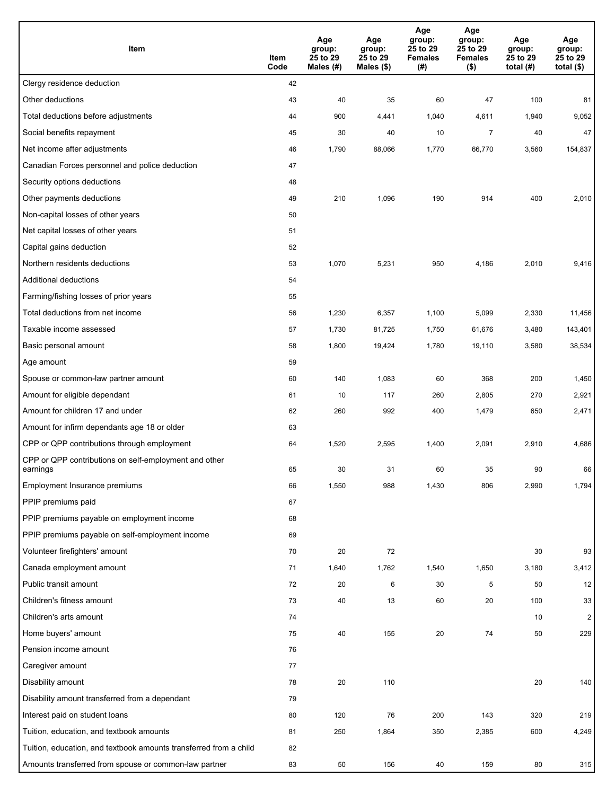| Item                                                              | Item<br>Code | Age<br>group:<br>25 to 29<br>Males (#) | Age<br>group:<br>25 to 29<br>Males (\$) | Age<br>group:<br>25 to 29<br><b>Females</b><br>(#) | Age<br>group:<br>25 to 29<br><b>Females</b><br>$($ \$) | Age<br>group:<br>25 to 29<br>total $(H)$ | Age<br>group:<br>25 to 29<br>total $($)$ |
|-------------------------------------------------------------------|--------------|----------------------------------------|-----------------------------------------|----------------------------------------------------|--------------------------------------------------------|------------------------------------------|------------------------------------------|
| Clergy residence deduction                                        | 42           |                                        |                                         |                                                    |                                                        |                                          |                                          |
| Other deductions                                                  | 43           | 40                                     | 35                                      | 60                                                 | 47                                                     | 100                                      | 81                                       |
| Total deductions before adjustments                               | 44           | 900                                    | 4,441                                   | 1,040                                              | 4,611                                                  | 1,940                                    | 9,052                                    |
| Social benefits repayment                                         | 45           | 30                                     | 40                                      | 10                                                 | $\overline{7}$                                         | 40                                       | 47                                       |
| Net income after adjustments                                      | 46           | 1,790                                  | 88,066                                  | 1,770                                              | 66,770                                                 | 3,560                                    | 154,837                                  |
| Canadian Forces personnel and police deduction                    | 47           |                                        |                                         |                                                    |                                                        |                                          |                                          |
| Security options deductions                                       | 48           |                                        |                                         |                                                    |                                                        |                                          |                                          |
| Other payments deductions                                         | 49           | 210                                    | 1,096                                   | 190                                                | 914                                                    | 400                                      | 2,010                                    |
| Non-capital losses of other years                                 | 50           |                                        |                                         |                                                    |                                                        |                                          |                                          |
| Net capital losses of other years                                 | 51           |                                        |                                         |                                                    |                                                        |                                          |                                          |
| Capital gains deduction                                           | 52           |                                        |                                         |                                                    |                                                        |                                          |                                          |
| Northern residents deductions                                     | 53           | 1,070                                  | 5,231                                   | 950                                                | 4,186                                                  | 2,010                                    | 9,416                                    |
| Additional deductions                                             | 54           |                                        |                                         |                                                    |                                                        |                                          |                                          |
| Farming/fishing losses of prior years                             | 55           |                                        |                                         |                                                    |                                                        |                                          |                                          |
| Total deductions from net income                                  | 56           | 1,230                                  | 6,357                                   | 1,100                                              | 5,099                                                  | 2,330                                    | 11,456                                   |
| Taxable income assessed                                           | 57           | 1,730                                  | 81,725                                  | 1,750                                              | 61,676                                                 | 3,480                                    | 143,401                                  |
| Basic personal amount                                             | 58           | 1,800                                  | 19,424                                  | 1,780                                              | 19,110                                                 | 3,580                                    | 38,534                                   |
| Age amount                                                        | 59           |                                        |                                         |                                                    |                                                        |                                          |                                          |
| Spouse or common-law partner amount                               | 60           | 140                                    | 1,083                                   | 60                                                 | 368                                                    | 200                                      | 1,450                                    |
| Amount for eligible dependant                                     | 61           | 10                                     | 117                                     | 260                                                | 2,805                                                  | 270                                      | 2,921                                    |
| Amount for children 17 and under                                  | 62           | 260                                    | 992                                     | 400                                                | 1,479                                                  | 650                                      | 2,471                                    |
| Amount for infirm dependants age 18 or older                      | 63           |                                        |                                         |                                                    |                                                        |                                          |                                          |
| CPP or QPP contributions through employment                       | 64           | 1,520                                  | 2,595                                   | 1,400                                              | 2,091                                                  | 2,910                                    | 4,686                                    |
| CPP or QPP contributions on self-employment and other<br>earnings | 65           | 30                                     | 31                                      | 60                                                 | 35                                                     | 90                                       | 66                                       |
| Employment Insurance premiums                                     | 66           | 1,550                                  | 988                                     | 1,430                                              | 806                                                    | 2,990                                    | 1,794                                    |
| PPIP premiums paid                                                | 67           |                                        |                                         |                                                    |                                                        |                                          |                                          |
| PPIP premiums payable on employment income                        | 68           |                                        |                                         |                                                    |                                                        |                                          |                                          |
| PPIP premiums payable on self-employment income                   | 69           |                                        |                                         |                                                    |                                                        |                                          |                                          |
| Volunteer firefighters' amount                                    | 70           | 20                                     | 72                                      |                                                    |                                                        | 30                                       | 93                                       |
| Canada employment amount                                          | 71           | 1,640                                  | 1,762                                   | 1,540                                              | 1,650                                                  | 3,180                                    | 3,412                                    |
| Public transit amount                                             | 72           | 20                                     | 6                                       | 30                                                 | 5                                                      | 50                                       | 12                                       |
| Children's fitness amount                                         | 73           | 40                                     | 13                                      | 60                                                 | 20                                                     | 100                                      | 33                                       |
| Children's arts amount                                            | 74           |                                        |                                         |                                                    |                                                        | 10                                       | $\overline{2}$                           |
| Home buyers' amount                                               | 75           | 40                                     | 155                                     | 20                                                 | ${\bf 74}$                                             | 50                                       | 229                                      |
| Pension income amount                                             | 76           |                                        |                                         |                                                    |                                                        |                                          |                                          |
| Caregiver amount                                                  | 77           |                                        |                                         |                                                    |                                                        |                                          |                                          |
| Disability amount                                                 | 78           | 20                                     | 110                                     |                                                    |                                                        | $20\,$                                   | 140                                      |
| Disability amount transferred from a dependant                    | 79           |                                        |                                         |                                                    |                                                        |                                          |                                          |
| Interest paid on student loans                                    | 80           | 120                                    | 76                                      | 200                                                | 143                                                    | 320                                      | 219                                      |
| Tuition, education, and textbook amounts                          | 81           | 250                                    | 1,864                                   | 350                                                | 2,385                                                  | 600                                      | 4,249                                    |
| Tuition, education, and textbook amounts transferred from a child | 82           |                                        |                                         |                                                    |                                                        |                                          |                                          |
| Amounts transferred from spouse or common-law partner             | 83           | 50                                     | 156                                     | 40                                                 | 159                                                    | 80                                       | 315                                      |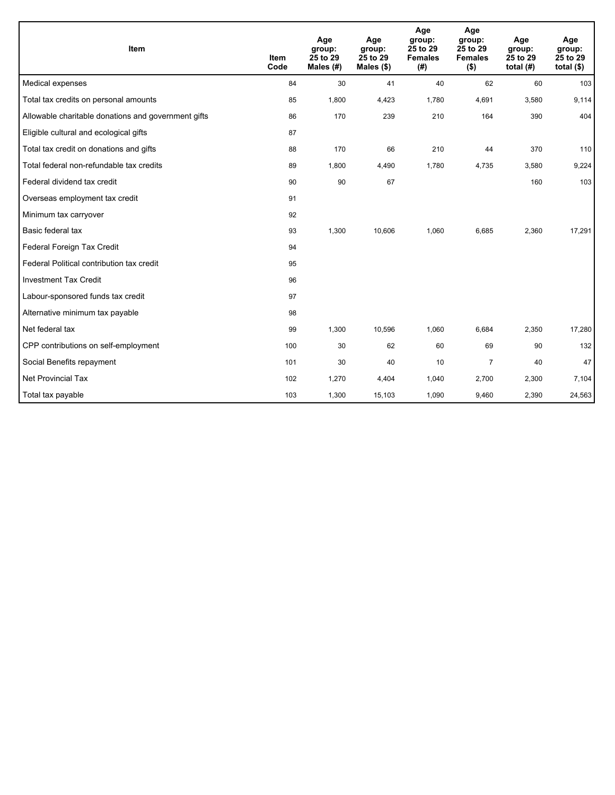| Item                                                | <b>Item</b><br>Code | Age<br>group:<br>25 to 29<br>Males (#) | Age<br>group:<br>25 to 29<br>Males $(\$)$ | Age<br>group:<br>25 to 29<br><b>Females</b><br>(#) | Age<br>group:<br>25 to 29<br><b>Females</b><br>$($ \$) | Age<br>group:<br>25 to 29<br>total $(H)$ | Age<br>group:<br>25 to 29<br>total $($ |
|-----------------------------------------------------|---------------------|----------------------------------------|-------------------------------------------|----------------------------------------------------|--------------------------------------------------------|------------------------------------------|----------------------------------------|
| Medical expenses                                    | 84                  | 30                                     | 41                                        | 40                                                 | 62                                                     | 60                                       | 103                                    |
| Total tax credits on personal amounts               | 85                  | 1,800                                  | 4,423                                     | 1,780                                              | 4,691                                                  | 3,580                                    | 9,114                                  |
| Allowable charitable donations and government gifts | 86                  | 170                                    | 239                                       | 210                                                | 164                                                    | 390                                      | 404                                    |
| Eligible cultural and ecological gifts              | 87                  |                                        |                                           |                                                    |                                                        |                                          |                                        |
| Total tax credit on donations and gifts             | 88                  | 170                                    | 66                                        | 210                                                | 44                                                     | 370                                      | 110                                    |
| Total federal non-refundable tax credits            | 89                  | 1,800                                  | 4,490                                     | 1,780                                              | 4,735                                                  | 3,580                                    | 9,224                                  |
| Federal dividend tax credit                         | 90                  | 90                                     | 67                                        |                                                    |                                                        | 160                                      | 103                                    |
| Overseas employment tax credit                      | 91                  |                                        |                                           |                                                    |                                                        |                                          |                                        |
| Minimum tax carryover                               | 92                  |                                        |                                           |                                                    |                                                        |                                          |                                        |
| Basic federal tax                                   | 93                  | 1,300                                  | 10,606                                    | 1,060                                              | 6,685                                                  | 2,360                                    | 17,291                                 |
| Federal Foreign Tax Credit                          | 94                  |                                        |                                           |                                                    |                                                        |                                          |                                        |
| Federal Political contribution tax credit           | 95                  |                                        |                                           |                                                    |                                                        |                                          |                                        |
| <b>Investment Tax Credit</b>                        | 96                  |                                        |                                           |                                                    |                                                        |                                          |                                        |
| Labour-sponsored funds tax credit                   | 97                  |                                        |                                           |                                                    |                                                        |                                          |                                        |
| Alternative minimum tax payable                     | 98                  |                                        |                                           |                                                    |                                                        |                                          |                                        |
| Net federal tax                                     | 99                  | 1,300                                  | 10,596                                    | 1,060                                              | 6,684                                                  | 2,350                                    | 17,280                                 |
| CPP contributions on self-employment                | 100                 | 30                                     | 62                                        | 60                                                 | 69                                                     | 90                                       | 132                                    |
| Social Benefits repayment                           | 101                 | 30                                     | 40                                        | 10                                                 | $\overline{7}$                                         | 40                                       | 47                                     |
| Net Provincial Tax                                  | 102                 | 1,270                                  | 4,404                                     | 1,040                                              | 2,700                                                  | 2,300                                    | 7,104                                  |
| Total tax payable                                   | 103                 | 1,300                                  | 15,103                                    | 1,090                                              | 9,460                                                  | 2,390                                    | 24,563                                 |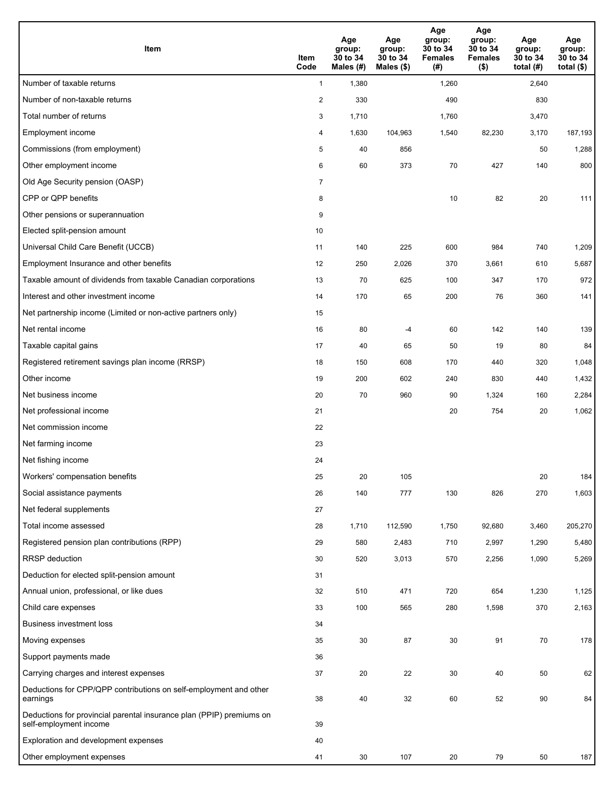| Item                                                                                           | Item<br>Code   | Age<br>group:<br>30 to 34<br>Males (#) | Age<br>group:<br>30 to 34<br>Males (\$) | Age<br>group:<br>30 to 34<br><b>Females</b><br>(#) | Age<br>group:<br>30 to 34<br><b>Females</b><br>$($ \$) | Age<br>group:<br>30 to 34<br>total $(H)$ | Age<br>group:<br>30 to 34<br>total $($)$ |
|------------------------------------------------------------------------------------------------|----------------|----------------------------------------|-----------------------------------------|----------------------------------------------------|--------------------------------------------------------|------------------------------------------|------------------------------------------|
| Number of taxable returns                                                                      | $\mathbf{1}$   | 1,380                                  |                                         | 1,260                                              |                                                        | 2,640                                    |                                          |
| Number of non-taxable returns                                                                  | $\overline{2}$ | 330                                    |                                         | 490                                                |                                                        | 830                                      |                                          |
| Total number of returns                                                                        | 3              | 1,710                                  |                                         | 1,760                                              |                                                        | 3,470                                    |                                          |
| Employment income                                                                              | 4              | 1,630                                  | 104,963                                 | 1,540                                              | 82,230                                                 | 3,170                                    | 187,193                                  |
| Commissions (from employment)                                                                  | 5              | 40                                     | 856                                     |                                                    |                                                        | 50                                       | 1,288                                    |
| Other employment income                                                                        | 6              | 60                                     | 373                                     | 70                                                 | 427                                                    | 140                                      | 800                                      |
| Old Age Security pension (OASP)                                                                | $\overline{7}$ |                                        |                                         |                                                    |                                                        |                                          |                                          |
| CPP or QPP benefits                                                                            | 8              |                                        |                                         | 10                                                 | 82                                                     | 20                                       | 111                                      |
| Other pensions or superannuation                                                               | 9              |                                        |                                         |                                                    |                                                        |                                          |                                          |
| Elected split-pension amount                                                                   | 10             |                                        |                                         |                                                    |                                                        |                                          |                                          |
| Universal Child Care Benefit (UCCB)                                                            | 11             | 140                                    | 225                                     | 600                                                | 984                                                    | 740                                      | 1,209                                    |
| Employment Insurance and other benefits                                                        | 12             | 250                                    | 2,026                                   | 370                                                | 3,661                                                  | 610                                      | 5,687                                    |
| Taxable amount of dividends from taxable Canadian corporations                                 | 13             | 70                                     | 625                                     | 100                                                | 347                                                    | 170                                      | 972                                      |
| Interest and other investment income                                                           | 14             | 170                                    | 65                                      | 200                                                | 76                                                     | 360                                      | 141                                      |
| Net partnership income (Limited or non-active partners only)                                   | 15             |                                        |                                         |                                                    |                                                        |                                          |                                          |
| Net rental income                                                                              | 16             | 80                                     | $-4$                                    | 60                                                 | 142                                                    | 140                                      | 139                                      |
| Taxable capital gains                                                                          | 17             | 40                                     | 65                                      | 50                                                 | 19                                                     | 80                                       | 84                                       |
| Registered retirement savings plan income (RRSP)                                               | 18             | 150                                    | 608                                     | 170                                                | 440                                                    | 320                                      | 1,048                                    |
| Other income                                                                                   | 19             | 200                                    | 602                                     | 240                                                | 830                                                    | 440                                      | 1,432                                    |
| Net business income                                                                            | 20             | 70                                     | 960                                     | 90                                                 | 1,324                                                  | 160                                      | 2,284                                    |
| Net professional income                                                                        | 21             |                                        |                                         | 20                                                 | 754                                                    | 20                                       | 1,062                                    |
| Net commission income                                                                          | 22             |                                        |                                         |                                                    |                                                        |                                          |                                          |
| Net farming income                                                                             | 23             |                                        |                                         |                                                    |                                                        |                                          |                                          |
| Net fishing income                                                                             | 24             |                                        |                                         |                                                    |                                                        |                                          |                                          |
| Workers' compensation benefits                                                                 | 25             | 20                                     | 105                                     |                                                    |                                                        | 20                                       | 184                                      |
| Social assistance payments                                                                     | 26             | 140                                    | 777                                     | 130                                                | 826                                                    | 270                                      | 1,603                                    |
| Net federal supplements                                                                        | 27             |                                        |                                         |                                                    |                                                        |                                          |                                          |
| Total income assessed                                                                          | 28             | 1,710                                  | 112,590                                 | 1,750                                              | 92,680                                                 | 3,460                                    | 205,270                                  |
| Registered pension plan contributions (RPP)                                                    | 29             | 580                                    | 2,483                                   | 710                                                | 2,997                                                  | 1,290                                    | 5,480                                    |
| RRSP deduction                                                                                 | 30             | 520                                    | 3,013                                   | 570                                                | 2,256                                                  | 1,090                                    | 5,269                                    |
| Deduction for elected split-pension amount                                                     | 31             |                                        |                                         |                                                    |                                                        |                                          |                                          |
| Annual union, professional, or like dues                                                       | 32             | 510                                    | 471                                     | 720                                                | 654                                                    | 1,230                                    | 1,125                                    |
| Child care expenses                                                                            | 33             | 100                                    | 565                                     | 280                                                | 1,598                                                  | 370                                      | 2,163                                    |
| <b>Business investment loss</b>                                                                | 34             |                                        |                                         |                                                    |                                                        |                                          |                                          |
| Moving expenses                                                                                | 35             | 30                                     | 87                                      | 30                                                 | 91                                                     | 70                                       | 178                                      |
| Support payments made                                                                          | 36             |                                        |                                         |                                                    |                                                        |                                          |                                          |
| Carrying charges and interest expenses                                                         | 37             | 20                                     | 22                                      | 30                                                 | 40                                                     | 50                                       | 62                                       |
| Deductions for CPP/QPP contributions on self-employment and other<br>earnings                  | 38             | 40                                     | 32                                      | 60                                                 | 52                                                     | 90                                       | 84                                       |
| Deductions for provincial parental insurance plan (PPIP) premiums on<br>self-employment income | 39             |                                        |                                         |                                                    |                                                        |                                          |                                          |
| Exploration and development expenses                                                           | 40             |                                        |                                         |                                                    |                                                        |                                          |                                          |
| Other employment expenses                                                                      | 41             | 30                                     | 107                                     | 20                                                 | 79                                                     | 50                                       | 187                                      |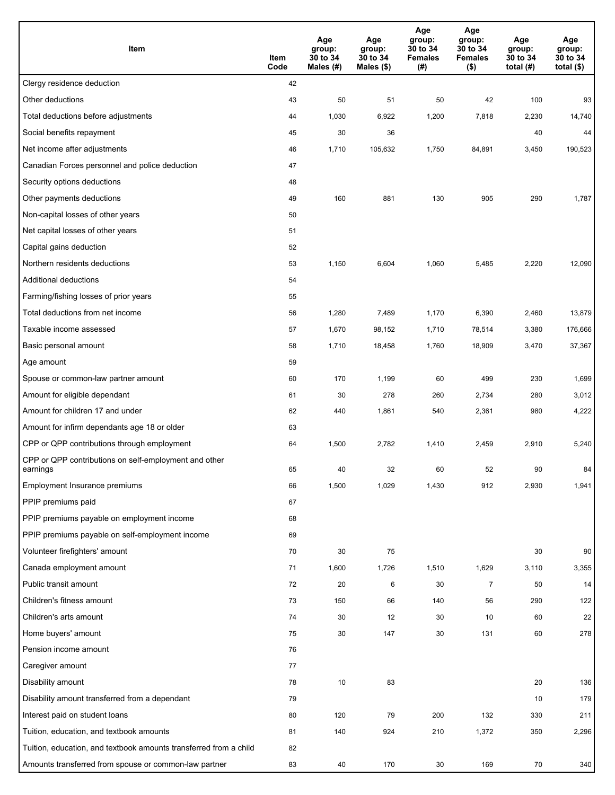| Item                                                              | Item<br>Code | Age<br>group:<br>30 to 34<br>Males (#) | Age<br>group:<br>30 to 34<br>Males (\$) | Age<br>group:<br>30 to 34<br><b>Females</b><br>(#) | Age<br>group:<br>30 to 34<br><b>Females</b><br>$($ \$) | Age<br>group:<br>30 to 34<br>total $(H)$ | Age<br>group:<br>30 to 34<br>total $($)$ |
|-------------------------------------------------------------------|--------------|----------------------------------------|-----------------------------------------|----------------------------------------------------|--------------------------------------------------------|------------------------------------------|------------------------------------------|
| Clergy residence deduction                                        | 42           |                                        |                                         |                                                    |                                                        |                                          |                                          |
| Other deductions                                                  | 43           | 50                                     | 51                                      | 50                                                 | 42                                                     | 100                                      | 93                                       |
| Total deductions before adjustments                               | 44           | 1,030                                  | 6,922                                   | 1,200                                              | 7,818                                                  | 2,230                                    | 14,740                                   |
| Social benefits repayment                                         | 45           | 30                                     | 36                                      |                                                    |                                                        | 40                                       | 44                                       |
| Net income after adjustments                                      | 46           | 1,710                                  | 105,632                                 | 1,750                                              | 84,891                                                 | 3,450                                    | 190,523                                  |
| Canadian Forces personnel and police deduction                    | 47           |                                        |                                         |                                                    |                                                        |                                          |                                          |
| Security options deductions                                       | 48           |                                        |                                         |                                                    |                                                        |                                          |                                          |
| Other payments deductions                                         | 49           | 160                                    | 881                                     | 130                                                | 905                                                    | 290                                      | 1,787                                    |
| Non-capital losses of other years                                 | 50           |                                        |                                         |                                                    |                                                        |                                          |                                          |
| Net capital losses of other years                                 | 51           |                                        |                                         |                                                    |                                                        |                                          |                                          |
| Capital gains deduction                                           | 52           |                                        |                                         |                                                    |                                                        |                                          |                                          |
| Northern residents deductions                                     | 53           | 1,150                                  | 6,604                                   | 1,060                                              | 5,485                                                  | 2,220                                    | 12,090                                   |
| Additional deductions                                             | 54           |                                        |                                         |                                                    |                                                        |                                          |                                          |
| Farming/fishing losses of prior years                             | 55           |                                        |                                         |                                                    |                                                        |                                          |                                          |
| Total deductions from net income                                  | 56           | 1,280                                  | 7,489                                   | 1,170                                              | 6,390                                                  | 2,460                                    | 13,879                                   |
| Taxable income assessed                                           | 57           | 1,670                                  | 98,152                                  | 1,710                                              | 78,514                                                 | 3,380                                    | 176,666                                  |
| Basic personal amount                                             | 58           | 1,710                                  | 18,458                                  | 1,760                                              | 18,909                                                 | 3,470                                    | 37,367                                   |
| Age amount                                                        | 59           |                                        |                                         |                                                    |                                                        |                                          |                                          |
| Spouse or common-law partner amount                               | 60           | 170                                    | 1,199                                   | 60                                                 | 499                                                    | 230                                      | 1,699                                    |
| Amount for eligible dependant                                     | 61           | 30                                     | 278                                     | 260                                                | 2,734                                                  | 280                                      | 3,012                                    |
| Amount for children 17 and under                                  | 62           | 440                                    | 1,861                                   | 540                                                | 2,361                                                  | 980                                      | 4,222                                    |
| Amount for infirm dependants age 18 or older                      | 63           |                                        |                                         |                                                    |                                                        |                                          |                                          |
| CPP or QPP contributions through employment                       | 64           | 1,500                                  | 2,782                                   | 1,410                                              | 2,459                                                  | 2,910                                    | 5,240                                    |
| CPP or QPP contributions on self-employment and other<br>earnings | 65           | 40                                     | 32                                      | 60                                                 | 52                                                     | 90                                       | 84                                       |
| Employment Insurance premiums                                     | 66           | 1,500                                  | 1,029                                   | 1,430                                              | 912                                                    | 2,930                                    | 1,941                                    |
| PPIP premiums paid                                                | 67           |                                        |                                         |                                                    |                                                        |                                          |                                          |
| PPIP premiums payable on employment income                        | 68           |                                        |                                         |                                                    |                                                        |                                          |                                          |
| PPIP premiums payable on self-employment income                   | 69           |                                        |                                         |                                                    |                                                        |                                          |                                          |
| Volunteer firefighters' amount                                    | 70           | 30                                     | 75                                      |                                                    |                                                        | 30                                       | 90                                       |
| Canada employment amount                                          | 71           | 1,600                                  | 1,726                                   | 1,510                                              | 1,629                                                  | 3,110                                    | 3,355                                    |
| Public transit amount                                             | 72           | 20                                     | 6                                       | 30                                                 | $\overline{7}$                                         | 50                                       | 14                                       |
| Children's fitness amount                                         | 73           | 150                                    | 66                                      | 140                                                | 56                                                     | 290                                      | 122                                      |
| Children's arts amount                                            | 74           | 30                                     | 12                                      | 30                                                 | 10                                                     | 60                                       | 22                                       |
| Home buyers' amount                                               | 75           | 30                                     | 147                                     | 30                                                 | 131                                                    | 60                                       | 278                                      |
| Pension income amount                                             | 76           |                                        |                                         |                                                    |                                                        |                                          |                                          |
| Caregiver amount                                                  | 77           |                                        |                                         |                                                    |                                                        |                                          |                                          |
| Disability amount                                                 | 78           | 10                                     | 83                                      |                                                    |                                                        | 20                                       | 136                                      |
| Disability amount transferred from a dependant                    | 79           |                                        |                                         |                                                    |                                                        | 10                                       | 179                                      |
| Interest paid on student loans                                    | 80           | 120                                    | 79                                      | 200                                                | 132                                                    | 330                                      | 211                                      |
| Tuition, education, and textbook amounts                          | 81           | 140                                    | 924                                     | 210                                                | 1,372                                                  | 350                                      | 2,296                                    |
| Tuition, education, and textbook amounts transferred from a child | 82           |                                        |                                         |                                                    |                                                        |                                          |                                          |
| Amounts transferred from spouse or common-law partner             | 83           | 40                                     | 170                                     | 30                                                 | 169                                                    | 70                                       | 340                                      |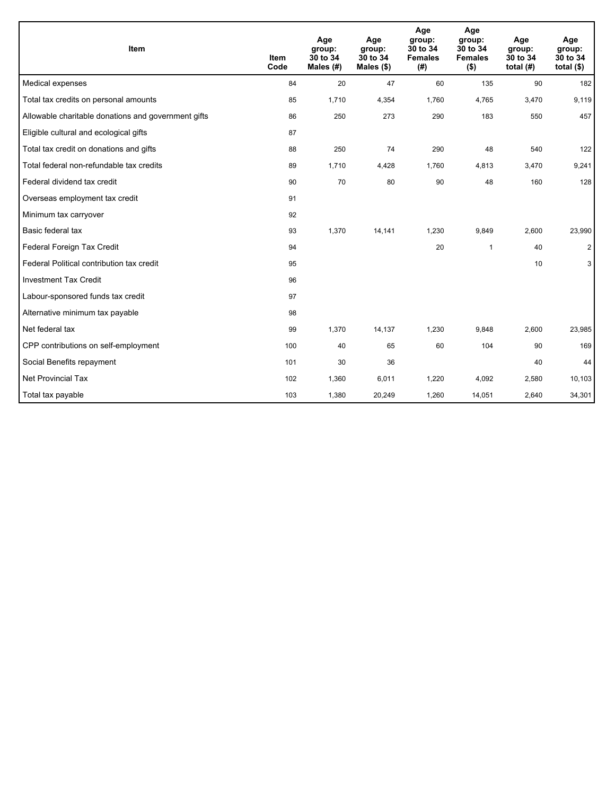| Item                                                | <b>Item</b><br>Code | Age<br>group:<br>30 to 34<br>Males (#) | Age<br>group:<br>30 to 34<br>Males $(\$)$ | Age<br>group:<br>30 to 34<br><b>Females</b><br>(# ) | Age<br>group:<br>30 to 34<br><b>Females</b><br>$($ \$) | Age<br>group:<br>30 to 34<br>total $(H)$ | Age<br>group:<br>30 to 34<br>total $($)$ |
|-----------------------------------------------------|---------------------|----------------------------------------|-------------------------------------------|-----------------------------------------------------|--------------------------------------------------------|------------------------------------------|------------------------------------------|
| Medical expenses                                    | 84                  | 20                                     | 47                                        | 60                                                  | 135                                                    | 90                                       | 182                                      |
| Total tax credits on personal amounts               | 85                  | 1,710                                  | 4,354                                     | 1,760                                               | 4,765                                                  | 3,470                                    | 9,119                                    |
| Allowable charitable donations and government gifts | 86                  | 250                                    | 273                                       | 290                                                 | 183                                                    | 550                                      | 457                                      |
| Eligible cultural and ecological gifts              | 87                  |                                        |                                           |                                                     |                                                        |                                          |                                          |
| Total tax credit on donations and gifts             | 88                  | 250                                    | 74                                        | 290                                                 | 48                                                     | 540                                      | 122                                      |
| Total federal non-refundable tax credits            | 89                  | 1,710                                  | 4,428                                     | 1,760                                               | 4,813                                                  | 3,470                                    | 9,241                                    |
| Federal dividend tax credit                         | 90                  | 70                                     | 80                                        | 90                                                  | 48                                                     | 160                                      | 128                                      |
| Overseas employment tax credit                      | 91                  |                                        |                                           |                                                     |                                                        |                                          |                                          |
| Minimum tax carryover                               | 92                  |                                        |                                           |                                                     |                                                        |                                          |                                          |
| Basic federal tax                                   | 93                  | 1,370                                  | 14,141                                    | 1,230                                               | 9,849                                                  | 2,600                                    | 23,990                                   |
| Federal Foreign Tax Credit                          | 94                  |                                        |                                           | 20                                                  | 1                                                      | 40                                       | $\overline{2}$                           |
| Federal Political contribution tax credit           | 95                  |                                        |                                           |                                                     |                                                        | 10                                       | 3                                        |
| <b>Investment Tax Credit</b>                        | 96                  |                                        |                                           |                                                     |                                                        |                                          |                                          |
| Labour-sponsored funds tax credit                   | 97                  |                                        |                                           |                                                     |                                                        |                                          |                                          |
| Alternative minimum tax payable                     | 98                  |                                        |                                           |                                                     |                                                        |                                          |                                          |
| Net federal tax                                     | 99                  | 1,370                                  | 14,137                                    | 1,230                                               | 9,848                                                  | 2,600                                    | 23,985                                   |
| CPP contributions on self-employment                | 100                 | 40                                     | 65                                        | 60                                                  | 104                                                    | 90                                       | 169                                      |
| Social Benefits repayment                           | 101                 | 30                                     | 36                                        |                                                     |                                                        | 40                                       | 44                                       |
| <b>Net Provincial Tax</b>                           | 102                 | 1,360                                  | 6,011                                     | 1,220                                               | 4,092                                                  | 2,580                                    | 10,103                                   |
| Total tax payable                                   | 103                 | 1,380                                  | 20,249                                    | 1,260                                               | 14,051                                                 | 2,640                                    | 34,301                                   |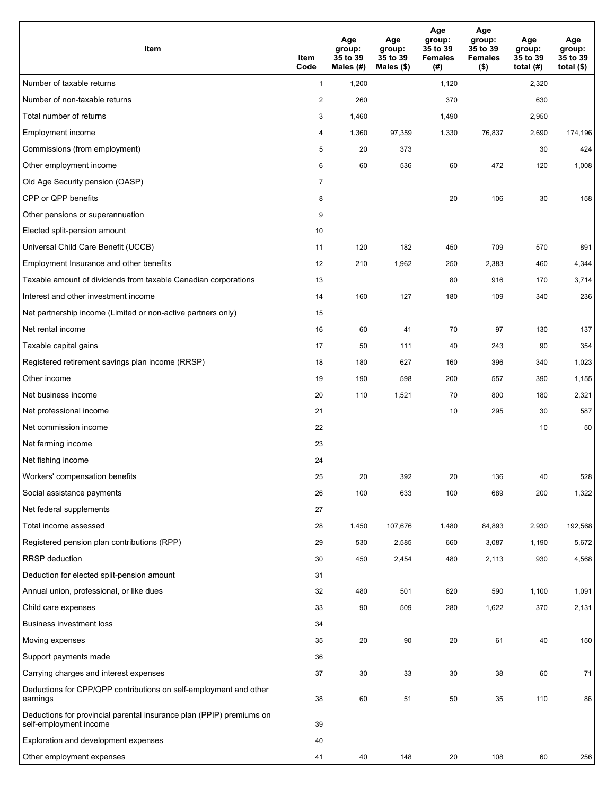| Item                                                                                           | Item<br>Code   | Age<br>group:<br>35 to 39<br>Males (#) | Age<br>group:<br>35 to 39<br>Males (\$) | Age<br>group:<br>35 to 39<br><b>Females</b><br>(#) | Age<br>group:<br>35 to 39<br><b>Females</b><br>$($ \$) | Age<br>group:<br>35 to 39<br>total $(H)$ | Age<br>group:<br>35 to 39<br>total $($)$ |
|------------------------------------------------------------------------------------------------|----------------|----------------------------------------|-----------------------------------------|----------------------------------------------------|--------------------------------------------------------|------------------------------------------|------------------------------------------|
| Number of taxable returns                                                                      | $\mathbf{1}$   | 1,200                                  |                                         | 1,120                                              |                                                        | 2,320                                    |                                          |
| Number of non-taxable returns                                                                  | $\overline{2}$ | 260                                    |                                         | 370                                                |                                                        | 630                                      |                                          |
| Total number of returns                                                                        | 3              | 1,460                                  |                                         | 1,490                                              |                                                        | 2,950                                    |                                          |
| Employment income                                                                              | 4              | 1,360                                  | 97,359                                  | 1,330                                              | 76,837                                                 | 2,690                                    | 174,196                                  |
| Commissions (from employment)                                                                  | 5              | 20                                     | 373                                     |                                                    |                                                        | 30                                       | 424                                      |
| Other employment income                                                                        | 6              | 60                                     | 536                                     | 60                                                 | 472                                                    | 120                                      | 1,008                                    |
| Old Age Security pension (OASP)                                                                | $\overline{7}$ |                                        |                                         |                                                    |                                                        |                                          |                                          |
| CPP or QPP benefits                                                                            | 8              |                                        |                                         | 20                                                 | 106                                                    | 30                                       | 158                                      |
| Other pensions or superannuation                                                               | 9              |                                        |                                         |                                                    |                                                        |                                          |                                          |
| Elected split-pension amount                                                                   | 10             |                                        |                                         |                                                    |                                                        |                                          |                                          |
| Universal Child Care Benefit (UCCB)                                                            | 11             | 120                                    | 182                                     | 450                                                | 709                                                    | 570                                      | 891                                      |
| Employment Insurance and other benefits                                                        | 12             | 210                                    | 1,962                                   | 250                                                | 2,383                                                  | 460                                      | 4,344                                    |
| Taxable amount of dividends from taxable Canadian corporations                                 | 13             |                                        |                                         | 80                                                 | 916                                                    | 170                                      | 3,714                                    |
| Interest and other investment income                                                           | 14             | 160                                    | 127                                     | 180                                                | 109                                                    | 340                                      | 236                                      |
| Net partnership income (Limited or non-active partners only)                                   | 15             |                                        |                                         |                                                    |                                                        |                                          |                                          |
| Net rental income                                                                              | 16             | 60                                     | 41                                      | 70                                                 | 97                                                     | 130                                      | 137                                      |
| Taxable capital gains                                                                          | 17             | 50                                     | 111                                     | 40                                                 | 243                                                    | 90                                       | 354                                      |
| Registered retirement savings plan income (RRSP)                                               | 18             | 180                                    | 627                                     | 160                                                | 396                                                    | 340                                      | 1,023                                    |
| Other income                                                                                   | 19             | 190                                    | 598                                     | 200                                                | 557                                                    | 390                                      | 1,155                                    |
| Net business income                                                                            | 20             | 110                                    | 1,521                                   | 70                                                 | 800                                                    | 180                                      | 2,321                                    |
| Net professional income                                                                        | 21             |                                        |                                         | 10                                                 | 295                                                    | 30                                       | 587                                      |
| Net commission income                                                                          | 22             |                                        |                                         |                                                    |                                                        | 10                                       | 50                                       |
| Net farming income                                                                             | 23             |                                        |                                         |                                                    |                                                        |                                          |                                          |
| Net fishing income                                                                             | 24             |                                        |                                         |                                                    |                                                        |                                          |                                          |
| Workers' compensation benefits                                                                 | 25             | 20                                     | 392                                     | 20                                                 | 136                                                    | 40                                       | 528                                      |
| Social assistance payments                                                                     | 26             | 100                                    | 633                                     | 100                                                | 689                                                    | 200                                      | 1,322                                    |
| Net federal supplements                                                                        | 27             |                                        |                                         |                                                    |                                                        |                                          |                                          |
| Total income assessed                                                                          | 28             | 1,450                                  | 107,676                                 | 1,480                                              | 84,893                                                 | 2,930                                    | 192,568                                  |
| Registered pension plan contributions (RPP)                                                    | 29             | 530                                    | 2,585                                   | 660                                                | 3,087                                                  | 1,190                                    | 5,672                                    |
| RRSP deduction                                                                                 | 30             | 450                                    | 2,454                                   | 480                                                | 2,113                                                  | 930                                      | 4,568                                    |
| Deduction for elected split-pension amount                                                     | 31             |                                        |                                         |                                                    |                                                        |                                          |                                          |
| Annual union, professional, or like dues                                                       | 32             | 480                                    | 501                                     | 620                                                | 590                                                    | 1,100                                    | 1,091                                    |
| Child care expenses                                                                            | 33             | 90                                     | 509                                     | 280                                                | 1,622                                                  | 370                                      | 2,131                                    |
| <b>Business investment loss</b>                                                                | 34             |                                        |                                         |                                                    |                                                        |                                          |                                          |
| Moving expenses                                                                                | 35             | 20                                     | 90                                      | 20                                                 | 61                                                     | 40                                       | 150                                      |
| Support payments made                                                                          | 36             |                                        |                                         |                                                    |                                                        |                                          |                                          |
| Carrying charges and interest expenses                                                         | 37             | 30                                     | 33                                      | 30                                                 | 38                                                     | 60                                       | 71                                       |
| Deductions for CPP/QPP contributions on self-employment and other<br>earnings                  | 38             | 60                                     | 51                                      | 50                                                 | 35                                                     | 110                                      | 86                                       |
| Deductions for provincial parental insurance plan (PPIP) premiums on<br>self-employment income | 39             |                                        |                                         |                                                    |                                                        |                                          |                                          |
| Exploration and development expenses                                                           | 40             |                                        |                                         |                                                    |                                                        |                                          |                                          |
| Other employment expenses                                                                      | 41             | 40                                     | 148                                     | 20                                                 | 108                                                    | 60                                       | 256                                      |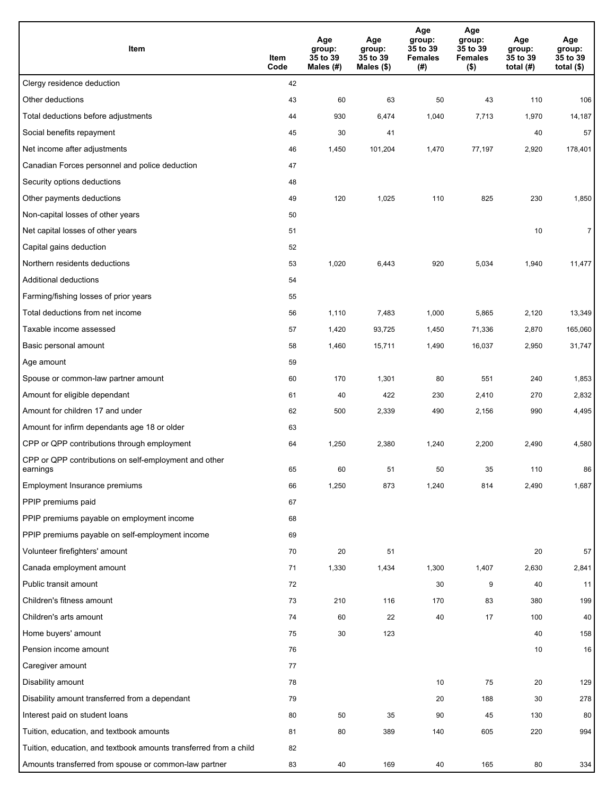| Item                                                              | Item<br>Code | Age<br>group:<br>35 to 39<br>Males (#) | Age<br>group:<br>35 to 39<br>Males (\$) | Age<br>group:<br>35 to 39<br><b>Females</b><br>(#) | Age<br>group:<br>35 to 39<br><b>Females</b><br>$($ \$) | Age<br>group:<br>35 to 39<br>total $(H)$ | Age<br>group:<br>35 to 39<br>total $($)$ |
|-------------------------------------------------------------------|--------------|----------------------------------------|-----------------------------------------|----------------------------------------------------|--------------------------------------------------------|------------------------------------------|------------------------------------------|
| Clergy residence deduction                                        | 42           |                                        |                                         |                                                    |                                                        |                                          |                                          |
| Other deductions                                                  | 43           | 60                                     | 63                                      | 50                                                 | 43                                                     | 110                                      | 106                                      |
| Total deductions before adjustments                               | 44           | 930                                    | 6,474                                   | 1,040                                              | 7,713                                                  | 1,970                                    | 14,187                                   |
| Social benefits repayment                                         | 45           | 30                                     | 41                                      |                                                    |                                                        | 40                                       | 57                                       |
| Net income after adjustments                                      | 46           | 1,450                                  | 101,204                                 | 1,470                                              | 77,197                                                 | 2,920                                    | 178,401                                  |
| Canadian Forces personnel and police deduction                    | 47           |                                        |                                         |                                                    |                                                        |                                          |                                          |
| Security options deductions                                       | 48           |                                        |                                         |                                                    |                                                        |                                          |                                          |
| Other payments deductions                                         | 49           | 120                                    | 1,025                                   | 110                                                | 825                                                    | 230                                      | 1,850                                    |
| Non-capital losses of other years                                 | 50           |                                        |                                         |                                                    |                                                        |                                          |                                          |
| Net capital losses of other years                                 | 51           |                                        |                                         |                                                    |                                                        | 10                                       | $\overline{7}$                           |
| Capital gains deduction                                           | 52           |                                        |                                         |                                                    |                                                        |                                          |                                          |
| Northern residents deductions                                     | 53           | 1,020                                  | 6,443                                   | 920                                                | 5,034                                                  | 1,940                                    | 11,477                                   |
| Additional deductions                                             | 54           |                                        |                                         |                                                    |                                                        |                                          |                                          |
| Farming/fishing losses of prior years                             | 55           |                                        |                                         |                                                    |                                                        |                                          |                                          |
| Total deductions from net income                                  | 56           | 1,110                                  | 7,483                                   | 1,000                                              | 5,865                                                  | 2,120                                    | 13,349                                   |
| Taxable income assessed                                           | 57           | 1,420                                  | 93,725                                  | 1,450                                              | 71,336                                                 | 2,870                                    | 165,060                                  |
| Basic personal amount                                             | 58           | 1,460                                  | 15,711                                  | 1,490                                              | 16,037                                                 | 2,950                                    | 31,747                                   |
| Age amount                                                        | 59           |                                        |                                         |                                                    |                                                        |                                          |                                          |
| Spouse or common-law partner amount                               | 60           | 170                                    | 1,301                                   | 80                                                 | 551                                                    | 240                                      | 1,853                                    |
| Amount for eligible dependant                                     | 61           | 40                                     | 422                                     | 230                                                | 2,410                                                  | 270                                      | 2,832                                    |
| Amount for children 17 and under                                  | 62           | 500                                    | 2,339                                   | 490                                                | 2,156                                                  | 990                                      | 4,495                                    |
| Amount for infirm dependants age 18 or older                      | 63           |                                        |                                         |                                                    |                                                        |                                          |                                          |
| CPP or QPP contributions through employment                       | 64           | 1,250                                  | 2,380                                   | 1,240                                              | 2,200                                                  | 2,490                                    | 4,580                                    |
| CPP or QPP contributions on self-employment and other<br>earnings | 65           | 60                                     | 51                                      | 50                                                 | 35                                                     | 110                                      | 86                                       |
| Employment Insurance premiums                                     | 66           | 1,250                                  | 873                                     | 1,240                                              | 814                                                    | 2,490                                    | 1,687                                    |
| PPIP premiums paid                                                | 67           |                                        |                                         |                                                    |                                                        |                                          |                                          |
| PPIP premiums payable on employment income                        | 68           |                                        |                                         |                                                    |                                                        |                                          |                                          |
| PPIP premiums payable on self-employment income                   | 69           |                                        |                                         |                                                    |                                                        |                                          |                                          |
| Volunteer firefighters' amount                                    | 70           | 20                                     | 51                                      |                                                    |                                                        | 20                                       | 57                                       |
| Canada employment amount                                          | 71           | 1,330                                  | 1,434                                   | 1,300                                              | 1,407                                                  | 2,630                                    | 2,841                                    |
| Public transit amount                                             | 72           |                                        |                                         | 30                                                 | 9                                                      | 40                                       | 11                                       |
| Children's fitness amount                                         | 73           | 210                                    | 116                                     | 170                                                | 83                                                     | 380                                      | 199                                      |
| Children's arts amount                                            | 74           | 60                                     | 22                                      | 40                                                 | 17                                                     | 100                                      | 40                                       |
| Home buyers' amount                                               | 75           | 30                                     | 123                                     |                                                    |                                                        | 40                                       | 158                                      |
| Pension income amount                                             | 76           |                                        |                                         |                                                    |                                                        | 10                                       | 16                                       |
| Caregiver amount                                                  | 77           |                                        |                                         |                                                    |                                                        |                                          |                                          |
| Disability amount                                                 | 78           |                                        |                                         | 10                                                 | 75                                                     | 20                                       | 129                                      |
| Disability amount transferred from a dependant                    | 79           |                                        |                                         | 20                                                 | 188                                                    | 30                                       | 278                                      |
| Interest paid on student loans                                    | 80           | 50                                     | 35                                      | 90                                                 | 45                                                     | 130                                      | 80                                       |
| Tuition, education, and textbook amounts                          | 81           | 80                                     | 389                                     | 140                                                | 605                                                    | 220                                      | 994                                      |
| Tuition, education, and textbook amounts transferred from a child | 82           |                                        |                                         |                                                    |                                                        |                                          |                                          |
| Amounts transferred from spouse or common-law partner             | 83           | 40                                     | 169                                     | 40                                                 | 165                                                    | 80                                       | 334                                      |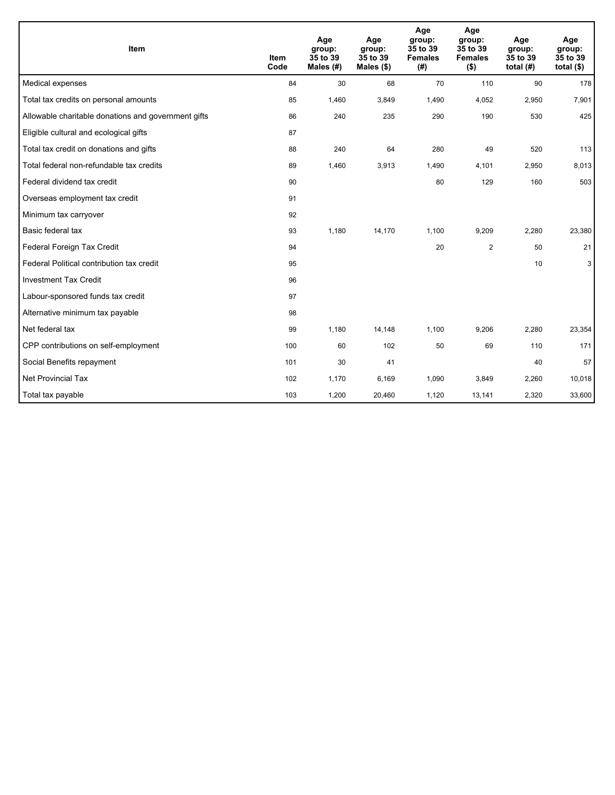| Item                                                | <b>Item</b><br>Code | Age<br>group:<br>35 to 39<br>Males (#) | Age<br>group:<br>35 to 39<br>Males $(\$)$ | Age<br>group:<br>35 to 39<br><b>Females</b><br>(#) | Age<br>group:<br>35 to 39<br><b>Females</b><br>$($ \$) | Age<br>group:<br>35 to 39<br>total $(H)$ | Age<br>group:<br>35 to 39<br>total $($)$ |
|-----------------------------------------------------|---------------------|----------------------------------------|-------------------------------------------|----------------------------------------------------|--------------------------------------------------------|------------------------------------------|------------------------------------------|
| Medical expenses                                    | 84                  | 30                                     | 68                                        | 70                                                 | 110                                                    | 90                                       | 178                                      |
| Total tax credits on personal amounts               | 85                  | 1,460                                  | 3,849                                     | 1,490                                              | 4,052                                                  | 2,950                                    | 7,901                                    |
| Allowable charitable donations and government gifts | 86                  | 240                                    | 235                                       | 290                                                | 190                                                    | 530                                      | 425                                      |
| Eligible cultural and ecological gifts              | 87                  |                                        |                                           |                                                    |                                                        |                                          |                                          |
| Total tax credit on donations and gifts             | 88                  | 240                                    | 64                                        | 280                                                | 49                                                     | 520                                      | 113                                      |
| Total federal non-refundable tax credits            | 89                  | 1,460                                  | 3,913                                     | 1,490                                              | 4,101                                                  | 2,950                                    | 8,013                                    |
| Federal dividend tax credit                         | 90                  |                                        |                                           | 80                                                 | 129                                                    | 160                                      | 503                                      |
| Overseas employment tax credit                      | 91                  |                                        |                                           |                                                    |                                                        |                                          |                                          |
| Minimum tax carryover                               | 92                  |                                        |                                           |                                                    |                                                        |                                          |                                          |
| Basic federal tax                                   | 93                  | 1,180                                  | 14,170                                    | 1,100                                              | 9,209                                                  | 2,280                                    | 23,380                                   |
| Federal Foreign Tax Credit                          | 94                  |                                        |                                           | 20                                                 | $\overline{2}$                                         | 50                                       | 21                                       |
| Federal Political contribution tax credit           | 95                  |                                        |                                           |                                                    |                                                        | 10                                       | 3                                        |
| <b>Investment Tax Credit</b>                        | 96                  |                                        |                                           |                                                    |                                                        |                                          |                                          |
| Labour-sponsored funds tax credit                   | 97                  |                                        |                                           |                                                    |                                                        |                                          |                                          |
| Alternative minimum tax payable                     | 98                  |                                        |                                           |                                                    |                                                        |                                          |                                          |
| Net federal tax                                     | 99                  | 1,180                                  | 14,148                                    | 1,100                                              | 9,206                                                  | 2,280                                    | 23,354                                   |
| CPP contributions on self-employment                | 100                 | 60                                     | 102                                       | 50                                                 | 69                                                     | 110                                      | 171                                      |
| Social Benefits repayment                           | 101                 | 30                                     | 41                                        |                                                    |                                                        | 40                                       | 57                                       |
| Net Provincial Tax                                  | 102                 | 1,170                                  | 6,169                                     | 1,090                                              | 3,849                                                  | 2,260                                    | 10,018                                   |
| Total tax payable                                   | 103                 | 1,200                                  | 20,460                                    | 1,120                                              | 13,141                                                 | 2,320                                    | 33,600                                   |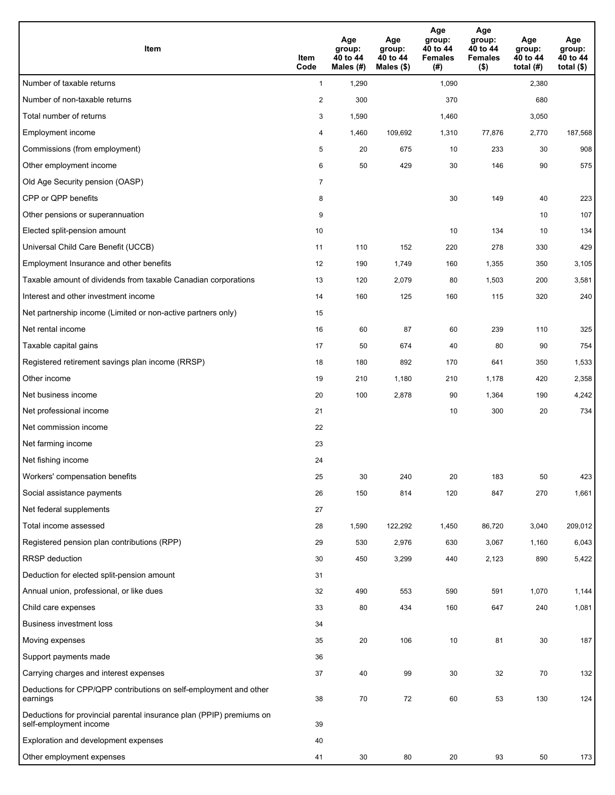| <b>Item</b>                                                                                    | Item<br>Code            | Age<br>group:<br>40 to 44<br>Males (#) | Age<br>group:<br>40 to 44<br>Males (\$) | Age<br>group:<br>40 to 44<br><b>Females</b><br>(#) | Age<br>group:<br>40 to 44<br><b>Females</b><br>$($ \$) | Age<br>group:<br>40 to 44<br>total $(#)$ | Age<br>group:<br>40 to 44<br>total $($)$ |
|------------------------------------------------------------------------------------------------|-------------------------|----------------------------------------|-----------------------------------------|----------------------------------------------------|--------------------------------------------------------|------------------------------------------|------------------------------------------|
| Number of taxable returns                                                                      | $\mathbf{1}$            | 1,290                                  |                                         | 1,090                                              |                                                        | 2,380                                    |                                          |
| Number of non-taxable returns                                                                  | $\overline{\mathbf{c}}$ | 300                                    |                                         | 370                                                |                                                        | 680                                      |                                          |
| Total number of returns                                                                        | 3                       | 1,590                                  |                                         | 1,460                                              |                                                        | 3,050                                    |                                          |
| Employment income                                                                              | 4                       | 1,460                                  | 109,692                                 | 1,310                                              | 77,876                                                 | 2,770                                    | 187,568                                  |
| Commissions (from employment)                                                                  | 5                       | 20                                     | 675                                     | 10                                                 | 233                                                    | 30                                       | 908                                      |
| Other employment income                                                                        | 6                       | 50                                     | 429                                     | 30                                                 | 146                                                    | 90                                       | 575                                      |
| Old Age Security pension (OASP)                                                                | $\overline{7}$          |                                        |                                         |                                                    |                                                        |                                          |                                          |
| CPP or QPP benefits                                                                            | 8                       |                                        |                                         | 30                                                 | 149                                                    | 40                                       | 223                                      |
| Other pensions or superannuation                                                               | 9                       |                                        |                                         |                                                    |                                                        | 10                                       | 107                                      |
| Elected split-pension amount                                                                   | 10                      |                                        |                                         | 10                                                 | 134                                                    | 10                                       | 134                                      |
| Universal Child Care Benefit (UCCB)                                                            | 11                      | 110                                    | 152                                     | 220                                                | 278                                                    | 330                                      | 429                                      |
| Employment Insurance and other benefits                                                        | 12                      | 190                                    | 1,749                                   | 160                                                | 1,355                                                  | 350                                      | 3,105                                    |
| Taxable amount of dividends from taxable Canadian corporations                                 | 13                      | 120                                    | 2,079                                   | 80                                                 | 1,503                                                  | 200                                      | 3,581                                    |
| Interest and other investment income                                                           | 14                      | 160                                    | 125                                     | 160                                                | 115                                                    | 320                                      | 240                                      |
| Net partnership income (Limited or non-active partners only)                                   | 15                      |                                        |                                         |                                                    |                                                        |                                          |                                          |
| Net rental income                                                                              | 16                      | 60                                     | 87                                      | 60                                                 | 239                                                    | 110                                      | 325                                      |
| Taxable capital gains                                                                          | 17                      | 50                                     | 674                                     | 40                                                 | 80                                                     | 90                                       | 754                                      |
| Registered retirement savings plan income (RRSP)                                               | 18                      | 180                                    | 892                                     | 170                                                | 641                                                    | 350                                      | 1,533                                    |
| Other income                                                                                   | 19                      | 210                                    | 1,180                                   | 210                                                | 1,178                                                  | 420                                      | 2,358                                    |
| Net business income                                                                            | 20                      | 100                                    | 2,878                                   | 90                                                 | 1,364                                                  | 190                                      | 4,242                                    |
| Net professional income                                                                        | 21                      |                                        |                                         | 10                                                 | 300                                                    | 20                                       | 734                                      |
| Net commission income                                                                          | 22                      |                                        |                                         |                                                    |                                                        |                                          |                                          |
| Net farming income                                                                             | 23                      |                                        |                                         |                                                    |                                                        |                                          |                                          |
| Net fishing income                                                                             | 24                      |                                        |                                         |                                                    |                                                        |                                          |                                          |
| Workers' compensation benefits                                                                 | 25                      | 30                                     | 240                                     | 20                                                 | 183                                                    | 50                                       | 423                                      |
| Social assistance payments                                                                     | 26                      | 150                                    | 814                                     | 120                                                | 847                                                    | 270                                      | 1,661                                    |
| Net federal supplements                                                                        | 27                      |                                        |                                         |                                                    |                                                        |                                          |                                          |
| Total income assessed                                                                          | 28                      | 1,590                                  | 122,292                                 | 1,450                                              | 86,720                                                 | 3,040                                    | 209,012                                  |
| Registered pension plan contributions (RPP)                                                    | 29                      | 530                                    | 2,976                                   | 630                                                | 3,067                                                  | 1,160                                    | 6,043                                    |
| RRSP deduction                                                                                 | 30                      | 450                                    | 3,299                                   | 440                                                | 2,123                                                  | 890                                      | 5,422                                    |
| Deduction for elected split-pension amount                                                     | 31                      |                                        |                                         |                                                    |                                                        |                                          |                                          |
| Annual union, professional, or like dues                                                       | 32                      | 490                                    | 553                                     | 590                                                | 591                                                    | 1,070                                    | 1,144                                    |
| Child care expenses                                                                            | 33                      | 80                                     | 434                                     | 160                                                | 647                                                    | 240                                      | 1,081                                    |
| <b>Business investment loss</b>                                                                | 34                      |                                        |                                         |                                                    |                                                        |                                          |                                          |
| Moving expenses                                                                                | 35                      | 20                                     | 106                                     | 10                                                 | 81                                                     | 30                                       | 187                                      |
| Support payments made                                                                          | 36                      |                                        |                                         |                                                    |                                                        |                                          |                                          |
| Carrying charges and interest expenses                                                         | 37                      | 40                                     | 99                                      | 30                                                 | 32                                                     | 70                                       | 132                                      |
| Deductions for CPP/QPP contributions on self-employment and other<br>earnings                  | 38                      | 70                                     | 72                                      | 60                                                 | 53                                                     | 130                                      | 124                                      |
| Deductions for provincial parental insurance plan (PPIP) premiums on<br>self-employment income | 39                      |                                        |                                         |                                                    |                                                        |                                          |                                          |
| Exploration and development expenses                                                           | 40                      |                                        |                                         |                                                    |                                                        |                                          |                                          |
| Other employment expenses                                                                      | 41                      | 30                                     | 80                                      | 20                                                 | 93                                                     | 50                                       | 173                                      |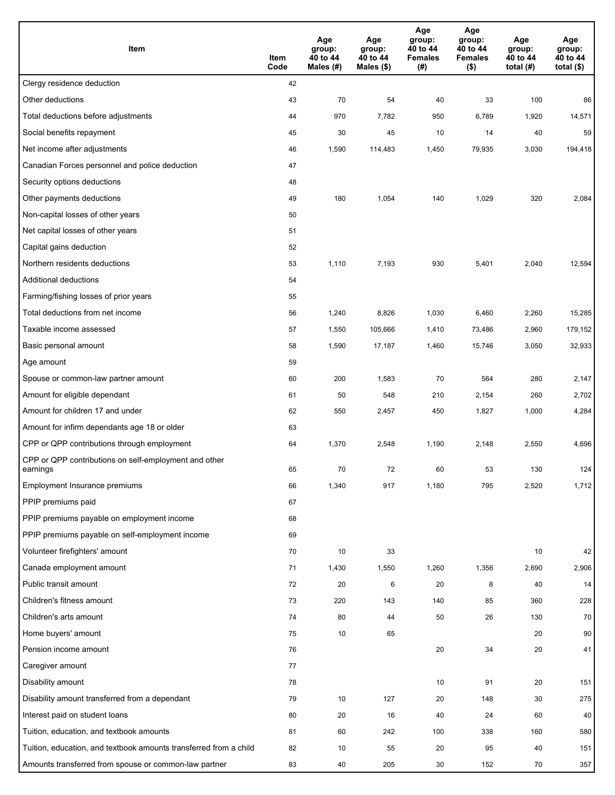| Item                                                              | Item<br>Code | Age<br>group:<br>40 to 44<br>Males (#) | Age<br>group:<br>40 to 44<br>Males (\$) | Age<br>group:<br>40 to 44<br><b>Females</b><br>(#) | Age<br>group:<br>40 to 44<br><b>Females</b><br>$($ \$) | Age<br>group:<br>40 to 44<br>total $(H)$ | Age<br>group:<br>40 to 44<br>total $($)$ |
|-------------------------------------------------------------------|--------------|----------------------------------------|-----------------------------------------|----------------------------------------------------|--------------------------------------------------------|------------------------------------------|------------------------------------------|
| Clergy residence deduction                                        | 42           |                                        |                                         |                                                    |                                                        |                                          |                                          |
| Other deductions                                                  | 43           | 70                                     | 54                                      | 40                                                 | 33                                                     | 100                                      | 86                                       |
| Total deductions before adjustments                               | 44           | 970                                    | 7,782                                   | 950                                                | 6,789                                                  | 1,920                                    | 14,571                                   |
| Social benefits repayment                                         | 45           | 30                                     | 45                                      | 10                                                 | 14                                                     | 40                                       | 59                                       |
| Net income after adjustments                                      | 46           | 1,590                                  | 114,483                                 | 1,450                                              | 79,935                                                 | 3,030                                    | 194,418                                  |
| Canadian Forces personnel and police deduction                    | 47           |                                        |                                         |                                                    |                                                        |                                          |                                          |
| Security options deductions                                       | 48           |                                        |                                         |                                                    |                                                        |                                          |                                          |
| Other payments deductions                                         | 49           | 180                                    | 1,054                                   | 140                                                | 1,029                                                  | 320                                      | 2,084                                    |
| Non-capital losses of other years                                 | 50           |                                        |                                         |                                                    |                                                        |                                          |                                          |
| Net capital losses of other years                                 | 51           |                                        |                                         |                                                    |                                                        |                                          |                                          |
| Capital gains deduction                                           | 52           |                                        |                                         |                                                    |                                                        |                                          |                                          |
| Northern residents deductions                                     | 53           | 1,110                                  | 7,193                                   | 930                                                | 5,401                                                  | 2,040                                    | 12,594                                   |
| Additional deductions                                             | 54           |                                        |                                         |                                                    |                                                        |                                          |                                          |
| Farming/fishing losses of prior years                             | 55           |                                        |                                         |                                                    |                                                        |                                          |                                          |
| Total deductions from net income                                  | 56           | 1,240                                  | 8,826                                   | 1,030                                              | 6,460                                                  | 2,260                                    | 15,285                                   |
| Taxable income assessed                                           | 57           | 1,550                                  | 105,666                                 | 1,410                                              | 73,486                                                 | 2,960                                    | 179,152                                  |
| Basic personal amount                                             | 58           | 1,590                                  | 17,187                                  | 1,460                                              | 15,746                                                 | 3,050                                    | 32,933                                   |
| Age amount                                                        | 59           |                                        |                                         |                                                    |                                                        |                                          |                                          |
| Spouse or common-law partner amount                               | 60           | 200                                    | 1,583                                   | 70                                                 | 564                                                    | 280                                      | 2,147                                    |
| Amount for eligible dependant                                     | 61           | 50                                     | 548                                     | 210                                                | 2,154                                                  | 260                                      | 2,702                                    |
| Amount for children 17 and under                                  | 62           | 550                                    | 2,457                                   | 450                                                | 1,827                                                  | 1,000                                    | 4,284                                    |
| Amount for infirm dependants age 18 or older                      | 63           |                                        |                                         |                                                    |                                                        |                                          |                                          |
| CPP or QPP contributions through employment                       | 64           | 1,370                                  | 2,548                                   | 1,190                                              | 2,148                                                  | 2,550                                    | 4,696                                    |
| CPP or QPP contributions on self-employment and other<br>earnings | 65           | 70                                     | 72                                      | 60                                                 | 53                                                     | 130                                      | 124                                      |
| Employment Insurance premiums                                     | 66           | 1,340                                  | 917                                     | 1,180                                              | 795                                                    | 2,520                                    | 1,712                                    |
| PPIP premiums paid                                                | 67           |                                        |                                         |                                                    |                                                        |                                          |                                          |
| PPIP premiums payable on employment income                        | 68           |                                        |                                         |                                                    |                                                        |                                          |                                          |
| PPIP premiums payable on self-employment income                   | 69           |                                        |                                         |                                                    |                                                        |                                          |                                          |
| Volunteer firefighters' amount                                    | 70           | 10                                     | 33                                      |                                                    |                                                        | 10                                       | 42                                       |
| Canada employment amount                                          | 71           | 1,430                                  | 1,550                                   | 1,260                                              | 1,356                                                  | 2,690                                    | 2,906                                    |
| Public transit amount                                             | 72           | 20                                     | 6                                       | 20                                                 | 8                                                      | 40                                       | 14                                       |
| Children's fitness amount                                         | 73           | 220                                    | 143                                     | 140                                                | 85                                                     | 360                                      | 228                                      |
| Children's arts amount                                            | 74           | 80                                     | 44                                      | 50                                                 | 26                                                     | 130                                      | 70                                       |
| Home buyers' amount                                               | 75           | 10                                     | 65                                      |                                                    |                                                        | 20                                       | 90                                       |
| Pension income amount                                             | 76           |                                        |                                         | 20                                                 | 34                                                     | 20                                       | 41                                       |
| Caregiver amount                                                  | 77           |                                        |                                         |                                                    |                                                        |                                          |                                          |
| Disability amount                                                 | 78           |                                        |                                         | 10                                                 | 91                                                     | 20                                       | 151                                      |
| Disability amount transferred from a dependant                    | 79           | 10                                     | 127                                     | 20                                                 | 148                                                    | 30                                       | 275                                      |
| Interest paid on student loans                                    | 80           | 20                                     | 16                                      | 40                                                 | 24                                                     | 60                                       | 40                                       |
| Tuition, education, and textbook amounts                          | 81           | 60                                     | 242                                     | 100                                                | 338                                                    | 160                                      | 580                                      |
| Tuition, education, and textbook amounts transferred from a child | 82           | 10                                     | 55                                      | 20                                                 | 95                                                     | 40                                       | 151                                      |
| Amounts transferred from spouse or common-law partner             | 83           | 40                                     | 205                                     | 30                                                 | 152                                                    | 70                                       | 357                                      |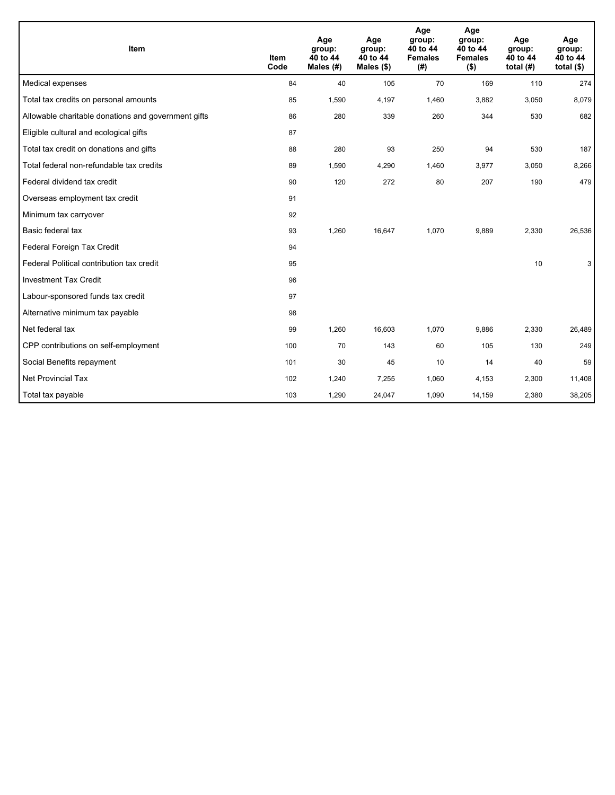| Item                                                | <b>Item</b><br>Code | Age<br>group:<br>40 to 44<br>Males (#) | Age<br>group:<br>40 to 44<br>Males $(\$)$ | Age<br>group:<br>40 to 44<br><b>Females</b><br>(# ) | Age<br>group:<br>40 to 44<br><b>Females</b><br>$($ \$) | Age<br>group:<br>40 to 44<br>total $(H)$ | Age<br>group:<br>40 to 44<br>total $($)$ |
|-----------------------------------------------------|---------------------|----------------------------------------|-------------------------------------------|-----------------------------------------------------|--------------------------------------------------------|------------------------------------------|------------------------------------------|
| Medical expenses                                    | 84                  | 40                                     | 105                                       | 70                                                  | 169                                                    | 110                                      | 274                                      |
| Total tax credits on personal amounts               | 85                  | 1,590                                  | 4,197                                     | 1,460                                               | 3,882                                                  | 3,050                                    | 8,079                                    |
| Allowable charitable donations and government gifts | 86                  | 280                                    | 339                                       | 260                                                 | 344                                                    | 530                                      | 682                                      |
| Eligible cultural and ecological gifts              | 87                  |                                        |                                           |                                                     |                                                        |                                          |                                          |
| Total tax credit on donations and gifts             | 88                  | 280                                    | 93                                        | 250                                                 | 94                                                     | 530                                      | 187                                      |
| Total federal non-refundable tax credits            | 89                  | 1,590                                  | 4,290                                     | 1,460                                               | 3,977                                                  | 3,050                                    | 8,266                                    |
| Federal dividend tax credit                         | 90                  | 120                                    | 272                                       | 80                                                  | 207                                                    | 190                                      | 479                                      |
| Overseas employment tax credit                      | 91                  |                                        |                                           |                                                     |                                                        |                                          |                                          |
| Minimum tax carryover                               | 92                  |                                        |                                           |                                                     |                                                        |                                          |                                          |
| Basic federal tax                                   | 93                  | 1,260                                  | 16,647                                    | 1,070                                               | 9,889                                                  | 2,330                                    | 26,536                                   |
| Federal Foreign Tax Credit                          | 94                  |                                        |                                           |                                                     |                                                        |                                          |                                          |
| Federal Political contribution tax credit           | 95                  |                                        |                                           |                                                     |                                                        | 10                                       | 3                                        |
| <b>Investment Tax Credit</b>                        | 96                  |                                        |                                           |                                                     |                                                        |                                          |                                          |
| Labour-sponsored funds tax credit                   | 97                  |                                        |                                           |                                                     |                                                        |                                          |                                          |
| Alternative minimum tax payable                     | 98                  |                                        |                                           |                                                     |                                                        |                                          |                                          |
| Net federal tax                                     | 99                  | 1,260                                  | 16,603                                    | 1,070                                               | 9,886                                                  | 2,330                                    | 26,489                                   |
| CPP contributions on self-employment                | 100                 | 70                                     | 143                                       | 60                                                  | 105                                                    | 130                                      | 249                                      |
| Social Benefits repayment                           | 101                 | 30                                     | 45                                        | 10                                                  | 14                                                     | 40                                       | 59                                       |
| Net Provincial Tax                                  | 102                 | 1,240                                  | 7,255                                     | 1,060                                               | 4,153                                                  | 2,300                                    | 11,408                                   |
| Total tax payable                                   | 103                 | 1,290                                  | 24,047                                    | 1,090                                               | 14,159                                                 | 2,380                                    | 38,205                                   |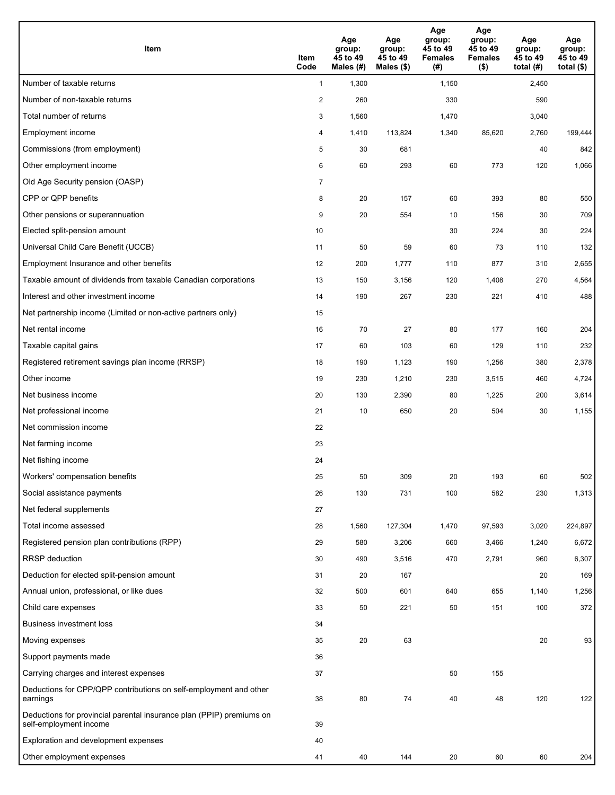| <b>Item</b>                                                                                    | Item<br>Code            | Age<br>group:<br>45 to 49<br>Males (#) | Age<br>group:<br>45 to 49<br>Males (\$) | Age<br>group:<br>45 to 49<br><b>Females</b><br>(#) | Age<br>group:<br>45 to 49<br><b>Females</b><br>$($ \$) | Age<br>group:<br>45 to 49<br>total (#) | Age<br>group:<br>45 to 49<br>total $($)$ |
|------------------------------------------------------------------------------------------------|-------------------------|----------------------------------------|-----------------------------------------|----------------------------------------------------|--------------------------------------------------------|----------------------------------------|------------------------------------------|
| Number of taxable returns                                                                      | $\mathbf{1}$            | 1,300                                  |                                         | 1,150                                              |                                                        | 2,450                                  |                                          |
| Number of non-taxable returns                                                                  | $\overline{\mathbf{c}}$ | 260                                    |                                         | 330                                                |                                                        | 590                                    |                                          |
| Total number of returns                                                                        | 3                       | 1,560                                  |                                         | 1,470                                              |                                                        | 3,040                                  |                                          |
| Employment income                                                                              | 4                       | 1,410                                  | 113.824                                 | 1,340                                              | 85,620                                                 | 2,760                                  | 199,444                                  |
| Commissions (from employment)                                                                  | 5                       | 30                                     | 681                                     |                                                    |                                                        | 40                                     | 842                                      |
| Other employment income                                                                        | 6                       | 60                                     | 293                                     | 60                                                 | 773                                                    | 120                                    | 1,066                                    |
| Old Age Security pension (OASP)                                                                | $\overline{7}$          |                                        |                                         |                                                    |                                                        |                                        |                                          |
| CPP or QPP benefits                                                                            | 8                       | 20                                     | 157                                     | 60                                                 | 393                                                    | 80                                     | 550                                      |
| Other pensions or superannuation                                                               | 9                       | 20                                     | 554                                     | 10                                                 | 156                                                    | 30                                     | 709                                      |
| Elected split-pension amount                                                                   | 10                      |                                        |                                         | 30                                                 | 224                                                    | 30                                     | 224                                      |
| Universal Child Care Benefit (UCCB)                                                            | 11                      | 50                                     | 59                                      | 60                                                 | 73                                                     | 110                                    | 132                                      |
| Employment Insurance and other benefits                                                        | 12                      | 200                                    | 1,777                                   | 110                                                | 877                                                    | 310                                    | 2,655                                    |
| Taxable amount of dividends from taxable Canadian corporations                                 | 13                      | 150                                    | 3,156                                   | 120                                                | 1,408                                                  | 270                                    | 4,564                                    |
| Interest and other investment income                                                           | 14                      | 190                                    | 267                                     | 230                                                | 221                                                    | 410                                    | 488                                      |
| Net partnership income (Limited or non-active partners only)                                   | 15                      |                                        |                                         |                                                    |                                                        |                                        |                                          |
| Net rental income                                                                              | 16                      | 70                                     | 27                                      | 80                                                 | 177                                                    | 160                                    | 204                                      |
| Taxable capital gains                                                                          | 17                      | 60                                     | 103                                     | 60                                                 | 129                                                    | 110                                    | 232                                      |
| Registered retirement savings plan income (RRSP)                                               | 18                      | 190                                    | 1,123                                   | 190                                                | 1,256                                                  | 380                                    | 2,378                                    |
| Other income                                                                                   | 19                      | 230                                    | 1,210                                   | 230                                                | 3,515                                                  | 460                                    | 4,724                                    |
| Net business income                                                                            | 20                      | 130                                    | 2,390                                   | 80                                                 | 1,225                                                  | 200                                    | 3,614                                    |
| Net professional income                                                                        | 21                      | 10                                     | 650                                     | 20                                                 | 504                                                    | 30                                     | 1,155                                    |
| Net commission income                                                                          | 22                      |                                        |                                         |                                                    |                                                        |                                        |                                          |
| Net farming income                                                                             | 23                      |                                        |                                         |                                                    |                                                        |                                        |                                          |
| Net fishing income                                                                             | 24                      |                                        |                                         |                                                    |                                                        |                                        |                                          |
| Workers' compensation benefits                                                                 | 25                      | 50                                     | 309                                     | 20                                                 | 193                                                    | 60                                     | 502                                      |
| Social assistance payments                                                                     | 26                      | 130                                    | 731                                     | 100                                                | 582                                                    | 230                                    | 1,313                                    |
| Net federal supplements                                                                        | 27                      |                                        |                                         |                                                    |                                                        |                                        |                                          |
| Total income assessed                                                                          | 28                      | 1,560                                  | 127,304                                 | 1,470                                              | 97,593                                                 | 3,020                                  | 224,897                                  |
| Registered pension plan contributions (RPP)                                                    | 29                      | 580                                    | 3,206                                   | 660                                                | 3,466                                                  | 1,240                                  | 6,672                                    |
| RRSP deduction                                                                                 | 30                      | 490                                    | 3,516                                   | 470                                                | 2,791                                                  | 960                                    | 6,307                                    |
| Deduction for elected split-pension amount                                                     | 31                      | 20                                     | 167                                     |                                                    |                                                        | 20                                     | 169                                      |
| Annual union, professional, or like dues                                                       | 32                      | 500                                    | 601                                     | 640                                                | 655                                                    | 1,140                                  | 1,256                                    |
| Child care expenses                                                                            | 33                      | 50                                     | 221                                     | 50                                                 | 151                                                    | 100                                    | 372                                      |
| <b>Business investment loss</b>                                                                | 34                      |                                        |                                         |                                                    |                                                        |                                        |                                          |
| Moving expenses                                                                                | 35                      | 20                                     | 63                                      |                                                    |                                                        | 20                                     | 93                                       |
| Support payments made                                                                          | 36                      |                                        |                                         |                                                    |                                                        |                                        |                                          |
| Carrying charges and interest expenses                                                         | 37                      |                                        |                                         | 50                                                 | 155                                                    |                                        |                                          |
| Deductions for CPP/QPP contributions on self-employment and other<br>earnings                  | 38                      | 80                                     | 74                                      | 40                                                 | 48                                                     | 120                                    | 122                                      |
| Deductions for provincial parental insurance plan (PPIP) premiums on<br>self-employment income | 39                      |                                        |                                         |                                                    |                                                        |                                        |                                          |
| Exploration and development expenses                                                           | 40                      |                                        |                                         |                                                    |                                                        |                                        |                                          |
| Other employment expenses                                                                      | 41                      | 40                                     | 144                                     | 20                                                 | 60                                                     | 60                                     | 204                                      |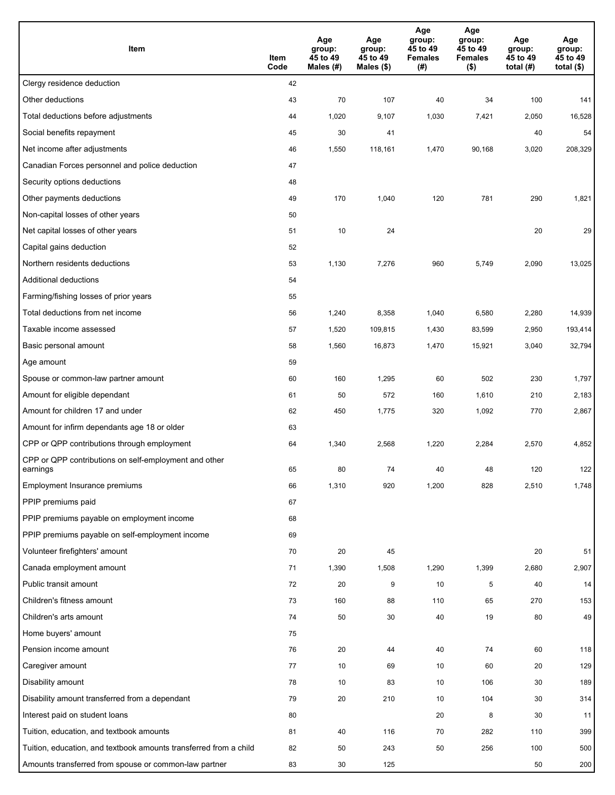| Item                                                              | Item<br>Code | Age<br>group:<br>45 to 49<br>Males (#) | Age<br>group:<br>45 to 49<br>Males (\$) | Age<br>group:<br>45 to 49<br><b>Females</b><br>(#) | Age<br>group:<br>45 to 49<br><b>Females</b><br>$($ \$) | Age<br>group:<br>45 to 49<br>total $(#)$ | Age<br>group:<br>45 to 49<br>total $($)$ |
|-------------------------------------------------------------------|--------------|----------------------------------------|-----------------------------------------|----------------------------------------------------|--------------------------------------------------------|------------------------------------------|------------------------------------------|
| Clergy residence deduction                                        | 42           |                                        |                                         |                                                    |                                                        |                                          |                                          |
| Other deductions                                                  | 43           | 70                                     | 107                                     | 40                                                 | 34                                                     | 100                                      | 141                                      |
| Total deductions before adjustments                               | 44           | 1,020                                  | 9,107                                   | 1,030                                              | 7,421                                                  | 2,050                                    | 16,528                                   |
| Social benefits repayment                                         | 45           | 30                                     | 41                                      |                                                    |                                                        | 40                                       | 54                                       |
| Net income after adjustments                                      | 46           | 1,550                                  | 118,161                                 | 1,470                                              | 90,168                                                 | 3,020                                    | 208,329                                  |
| Canadian Forces personnel and police deduction                    | 47           |                                        |                                         |                                                    |                                                        |                                          |                                          |
| Security options deductions                                       | 48           |                                        |                                         |                                                    |                                                        |                                          |                                          |
| Other payments deductions                                         | 49           | 170                                    | 1,040                                   | 120                                                | 781                                                    | 290                                      | 1,821                                    |
| Non-capital losses of other years                                 | 50           |                                        |                                         |                                                    |                                                        |                                          |                                          |
| Net capital losses of other years                                 | 51           | 10                                     | 24                                      |                                                    |                                                        | 20                                       | 29                                       |
| Capital gains deduction                                           | 52           |                                        |                                         |                                                    |                                                        |                                          |                                          |
| Northern residents deductions                                     | 53           | 1,130                                  | 7,276                                   | 960                                                | 5,749                                                  | 2,090                                    | 13,025                                   |
| Additional deductions                                             | 54           |                                        |                                         |                                                    |                                                        |                                          |                                          |
| Farming/fishing losses of prior years                             | 55           |                                        |                                         |                                                    |                                                        |                                          |                                          |
| Total deductions from net income                                  | 56           | 1,240                                  | 8,358                                   | 1,040                                              | 6,580                                                  | 2,280                                    | 14,939                                   |
| Taxable income assessed                                           | 57           | 1,520                                  | 109,815                                 | 1,430                                              | 83,599                                                 | 2,950                                    | 193,414                                  |
| Basic personal amount                                             | 58           | 1,560                                  | 16,873                                  | 1,470                                              | 15,921                                                 | 3,040                                    | 32,794                                   |
| Age amount                                                        | 59           |                                        |                                         |                                                    |                                                        |                                          |                                          |
| Spouse or common-law partner amount                               | 60           | 160                                    | 1,295                                   | 60                                                 | 502                                                    | 230                                      | 1,797                                    |
| Amount for eligible dependant                                     | 61           | 50                                     | 572                                     | 160                                                | 1,610                                                  | 210                                      | 2,183                                    |
| Amount for children 17 and under                                  | 62           | 450                                    | 1,775                                   | 320                                                | 1,092                                                  | 770                                      | 2,867                                    |
| Amount for infirm dependants age 18 or older                      | 63           |                                        |                                         |                                                    |                                                        |                                          |                                          |
| CPP or QPP contributions through employment                       | 64           | 1,340                                  | 2,568                                   | 1,220                                              | 2,284                                                  | 2,570                                    | 4,852                                    |
| CPP or QPP contributions on self-employment and other<br>earnings | 65           | 80                                     | 74                                      | 40                                                 | 48                                                     | 120                                      | 122                                      |
| Employment Insurance premiums                                     | 66           | 1,310                                  | 920                                     | 1,200                                              | 828                                                    | 2,510                                    | 1,748                                    |
| PPIP premiums paid                                                | 67           |                                        |                                         |                                                    |                                                        |                                          |                                          |
| PPIP premiums payable on employment income                        | 68           |                                        |                                         |                                                    |                                                        |                                          |                                          |
| PPIP premiums payable on self-employment income                   | 69           |                                        |                                         |                                                    |                                                        |                                          |                                          |
| Volunteer firefighters' amount                                    | 70           | 20                                     | 45                                      |                                                    |                                                        | 20                                       | 51                                       |
| Canada employment amount                                          | 71           | 1,390                                  | 1,508                                   | 1,290                                              | 1,399                                                  | 2,680                                    | 2,907                                    |
| Public transit amount                                             | 72           | 20                                     | 9                                       | 10                                                 | 5                                                      | 40                                       | 14                                       |
| Children's fitness amount                                         | 73           | 160                                    | 88                                      | 110                                                | 65                                                     | 270                                      | 153                                      |
| Children's arts amount                                            | 74           | 50                                     | 30                                      | 40                                                 | 19                                                     | 80                                       | 49                                       |
| Home buyers' amount                                               | 75           |                                        |                                         |                                                    |                                                        |                                          |                                          |
| Pension income amount                                             | 76           | 20                                     | 44                                      | 40                                                 | 74                                                     | 60                                       | 118                                      |
| Caregiver amount                                                  | 77           | 10                                     | 69                                      | 10                                                 | 60                                                     | 20                                       | 129                                      |
| Disability amount                                                 | 78           | 10                                     | 83                                      | 10                                                 | 106                                                    | 30                                       | 189                                      |
| Disability amount transferred from a dependant                    | 79           | 20                                     | 210                                     | 10                                                 | 104                                                    | 30                                       | 314                                      |
| Interest paid on student loans                                    | 80           |                                        |                                         | 20                                                 | 8                                                      | 30                                       | 11                                       |
| Tuition, education, and textbook amounts                          | 81           | 40                                     | 116                                     | 70                                                 | 282                                                    | 110                                      | 399                                      |
| Tuition, education, and textbook amounts transferred from a child | 82           | 50                                     | 243                                     | 50                                                 | 256                                                    | 100                                      | 500                                      |
| Amounts transferred from spouse or common-law partner             | 83           | 30                                     | 125                                     |                                                    |                                                        | 50                                       | 200                                      |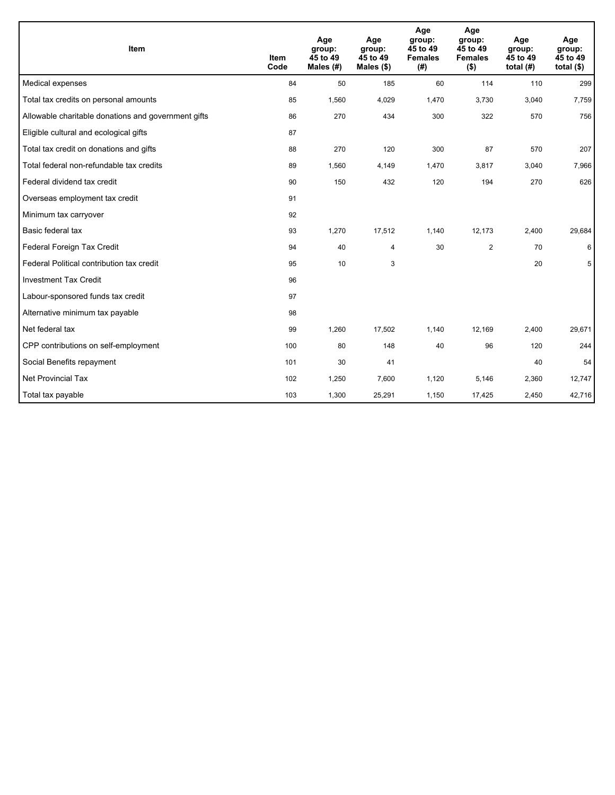| Item                                                | <b>Item</b><br>Code | Age<br>group:<br>45 to 49<br>Males (#) | Age<br>group:<br>45 to 49<br>Males $(\$)$ | Age<br>group:<br>45 to 49<br><b>Females</b><br>(#) | Age<br>group:<br>45 to 49<br><b>Females</b><br>$($ \$) | Age<br>group:<br>45 to 49<br>total $(H)$ | Age<br>group:<br>45 to 49<br>total $($ |
|-----------------------------------------------------|---------------------|----------------------------------------|-------------------------------------------|----------------------------------------------------|--------------------------------------------------------|------------------------------------------|----------------------------------------|
| Medical expenses                                    | 84                  | 50                                     | 185                                       | 60                                                 | 114                                                    | 110                                      | 299                                    |
| Total tax credits on personal amounts               | 85                  | 1,560                                  | 4,029                                     | 1,470                                              | 3,730                                                  | 3,040                                    | 7,759                                  |
| Allowable charitable donations and government gifts | 86                  | 270                                    | 434                                       | 300                                                | 322                                                    | 570                                      | 756                                    |
| Eligible cultural and ecological gifts              | 87                  |                                        |                                           |                                                    |                                                        |                                          |                                        |
| Total tax credit on donations and gifts             | 88                  | 270                                    | 120                                       | 300                                                | 87                                                     | 570                                      | 207                                    |
| Total federal non-refundable tax credits            | 89                  | 1,560                                  | 4,149                                     | 1,470                                              | 3,817                                                  | 3,040                                    | 7,966                                  |
| Federal dividend tax credit                         | 90                  | 150                                    | 432                                       | 120                                                | 194                                                    | 270                                      | 626                                    |
| Overseas employment tax credit                      | 91                  |                                        |                                           |                                                    |                                                        |                                          |                                        |
| Minimum tax carryover                               | 92                  |                                        |                                           |                                                    |                                                        |                                          |                                        |
| Basic federal tax                                   | 93                  | 1,270                                  | 17,512                                    | 1,140                                              | 12,173                                                 | 2,400                                    | 29,684                                 |
| Federal Foreign Tax Credit                          | 94                  | 40                                     | 4                                         | 30                                                 | $\overline{2}$                                         | 70                                       | 6                                      |
| Federal Political contribution tax credit           | 95                  | 10                                     | 3                                         |                                                    |                                                        | 20                                       | 5                                      |
| <b>Investment Tax Credit</b>                        | 96                  |                                        |                                           |                                                    |                                                        |                                          |                                        |
| Labour-sponsored funds tax credit                   | 97                  |                                        |                                           |                                                    |                                                        |                                          |                                        |
| Alternative minimum tax payable                     | 98                  |                                        |                                           |                                                    |                                                        |                                          |                                        |
| Net federal tax                                     | 99                  | 1,260                                  | 17,502                                    | 1,140                                              | 12,169                                                 | 2,400                                    | 29,671                                 |
| CPP contributions on self-employment                | 100                 | 80                                     | 148                                       | 40                                                 | 96                                                     | 120                                      | 244                                    |
| Social Benefits repayment                           | 101                 | 30                                     | 41                                        |                                                    |                                                        | 40                                       | 54                                     |
| Net Provincial Tax                                  | 102                 | 1,250                                  | 7,600                                     | 1,120                                              | 5,146                                                  | 2,360                                    | 12,747                                 |
| Total tax payable                                   | 103                 | 1,300                                  | 25,291                                    | 1,150                                              | 17,425                                                 | 2,450                                    | 42,716                                 |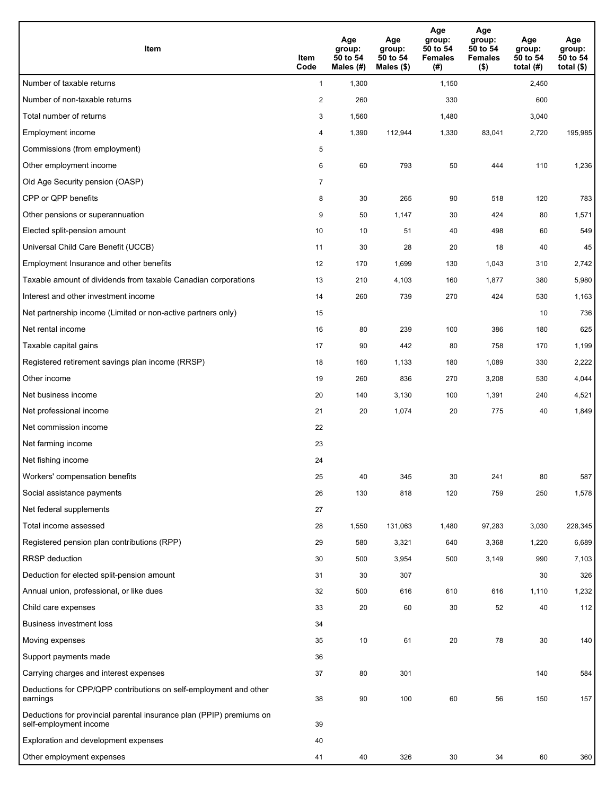| <b>Item</b>                                                                                    | Item<br>Code   | Age<br>group:<br>50 to 54<br>Males (#) | Age<br>group:<br>50 to 54<br>Males $(\$)$ | Age<br>group:<br>50 to 54<br><b>Females</b><br>(#) | Age<br>group:<br>50 to 54<br><b>Females</b><br>$($ \$) | Age<br>group:<br>50 to 54<br>total $(#)$ | Age<br>group:<br>50 to 54<br>total $($)$ |
|------------------------------------------------------------------------------------------------|----------------|----------------------------------------|-------------------------------------------|----------------------------------------------------|--------------------------------------------------------|------------------------------------------|------------------------------------------|
| Number of taxable returns                                                                      | $\mathbf{1}$   | 1,300                                  |                                           | 1,150                                              |                                                        | 2,450                                    |                                          |
| Number of non-taxable returns                                                                  | $\overline{2}$ | 260                                    |                                           | 330                                                |                                                        | 600                                      |                                          |
| Total number of returns                                                                        | 3              | 1,560                                  |                                           | 1,480                                              |                                                        | 3,040                                    |                                          |
| Employment income                                                                              | 4              | 1,390                                  | 112,944                                   | 1,330                                              | 83,041                                                 | 2,720                                    | 195,985                                  |
| Commissions (from employment)                                                                  | 5              |                                        |                                           |                                                    |                                                        |                                          |                                          |
| Other employment income                                                                        | 6              | 60                                     | 793                                       | 50                                                 | 444                                                    | 110                                      | 1,236                                    |
| Old Age Security pension (OASP)                                                                | $\overline{7}$ |                                        |                                           |                                                    |                                                        |                                          |                                          |
| CPP or QPP benefits                                                                            | 8              | 30                                     | 265                                       | 90                                                 | 518                                                    | 120                                      | 783                                      |
| Other pensions or superannuation                                                               | 9              | 50                                     | 1,147                                     | 30                                                 | 424                                                    | 80                                       | 1,571                                    |
| Elected split-pension amount                                                                   | 10             | 10                                     | 51                                        | 40                                                 | 498                                                    | 60                                       | 549                                      |
| Universal Child Care Benefit (UCCB)                                                            | 11             | 30                                     | 28                                        | 20                                                 | 18                                                     | 40                                       | 45                                       |
| Employment Insurance and other benefits                                                        | 12             | 170                                    | 1,699                                     | 130                                                | 1,043                                                  | 310                                      | 2,742                                    |
| Taxable amount of dividends from taxable Canadian corporations                                 | 13             | 210                                    | 4,103                                     | 160                                                | 1,877                                                  | 380                                      | 5,980                                    |
| Interest and other investment income                                                           | 14             | 260                                    | 739                                       | 270                                                | 424                                                    | 530                                      | 1,163                                    |
| Net partnership income (Limited or non-active partners only)                                   | 15             |                                        |                                           |                                                    |                                                        | 10                                       | 736                                      |
| Net rental income                                                                              | 16             | 80                                     | 239                                       | 100                                                | 386                                                    | 180                                      | 625                                      |
| Taxable capital gains                                                                          | 17             | 90                                     | 442                                       | 80                                                 | 758                                                    | 170                                      | 1,199                                    |
| Registered retirement savings plan income (RRSP)                                               | 18             | 160                                    | 1,133                                     | 180                                                | 1,089                                                  | 330                                      | 2,222                                    |
| Other income                                                                                   | 19             | 260                                    | 836                                       | 270                                                | 3,208                                                  | 530                                      | 4,044                                    |
| Net business income                                                                            | 20             | 140                                    | 3,130                                     | 100                                                | 1,391                                                  | 240                                      | 4,521                                    |
| Net professional income                                                                        | 21             | 20                                     | 1,074                                     | 20                                                 | 775                                                    | 40                                       | 1,849                                    |
| Net commission income                                                                          | 22             |                                        |                                           |                                                    |                                                        |                                          |                                          |
| Net farming income                                                                             | 23             |                                        |                                           |                                                    |                                                        |                                          |                                          |
| Net fishing income                                                                             | 24             |                                        |                                           |                                                    |                                                        |                                          |                                          |
| Workers' compensation benefits                                                                 | 25             | 40                                     | 345                                       | 30                                                 | 241                                                    | 80                                       | 587                                      |
| Social assistance payments                                                                     | 26             | 130                                    | 818                                       | 120                                                | 759                                                    | 250                                      | 1,578                                    |
| Net federal supplements                                                                        | 27             |                                        |                                           |                                                    |                                                        |                                          |                                          |
| Total income assessed                                                                          | 28             | 1,550                                  | 131,063                                   | 1,480                                              | 97,283                                                 | 3,030                                    | 228,345                                  |
| Registered pension plan contributions (RPP)                                                    | 29             | 580                                    | 3,321                                     | 640                                                | 3,368                                                  | 1,220                                    | 6,689                                    |
| RRSP deduction                                                                                 | 30             | 500                                    | 3,954                                     | 500                                                | 3,149                                                  | 990                                      | 7,103                                    |
| Deduction for elected split-pension amount                                                     | 31             | 30                                     | 307                                       |                                                    |                                                        | 30                                       | 326                                      |
| Annual union, professional, or like dues                                                       | 32             | 500                                    | 616                                       | 610                                                | 616                                                    | 1,110                                    | 1,232                                    |
| Child care expenses                                                                            | 33             | 20                                     | 60                                        | 30                                                 | 52                                                     | 40                                       | 112                                      |
| <b>Business investment loss</b>                                                                | 34             |                                        |                                           |                                                    |                                                        |                                          |                                          |
| Moving expenses                                                                                | 35             | 10                                     | 61                                        | 20                                                 | 78                                                     | 30                                       | 140                                      |
| Support payments made                                                                          | 36             |                                        |                                           |                                                    |                                                        |                                          |                                          |
| Carrying charges and interest expenses                                                         | 37             | 80                                     | 301                                       |                                                    |                                                        | 140                                      | 584                                      |
| Deductions for CPP/QPP contributions on self-employment and other<br>earnings                  | 38             | 90                                     | 100                                       | 60                                                 | 56                                                     | 150                                      | 157                                      |
| Deductions for provincial parental insurance plan (PPIP) premiums on<br>self-employment income | 39             |                                        |                                           |                                                    |                                                        |                                          |                                          |
| Exploration and development expenses                                                           | 40             |                                        |                                           |                                                    |                                                        |                                          |                                          |
| Other employment expenses                                                                      | 41             | 40                                     | 326                                       | 30                                                 | 34                                                     | 60                                       | 360                                      |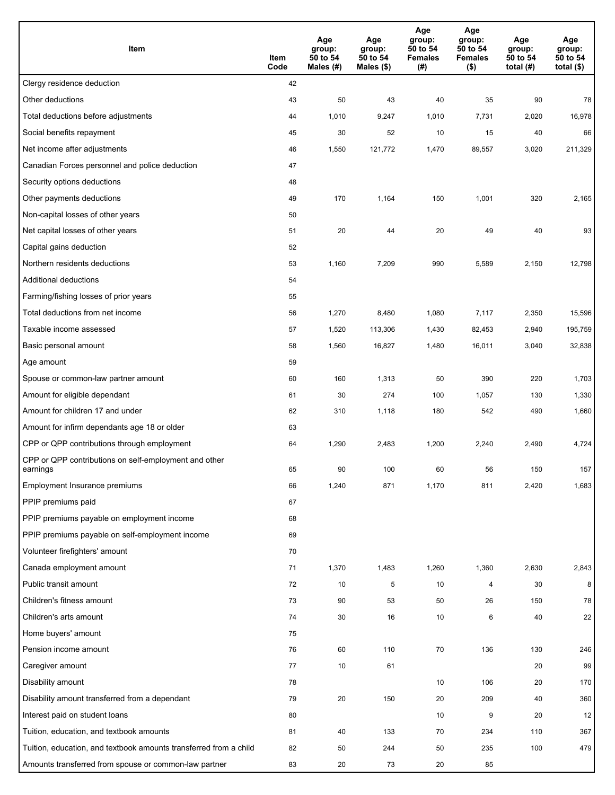| Item                                                              | Item<br>Code | Age<br>group:<br>50 to 54<br>Males (#) | Age<br>group:<br>50 to 54<br>Males (\$) | Age<br>group:<br>50 to 54<br><b>Females</b><br>(#) | Age<br>group:<br>50 to 54<br><b>Females</b><br>$($ \$) | Age<br>group:<br>50 to 54<br>total $(H)$ | Age<br>group:<br>50 to 54<br>total $($)$ |
|-------------------------------------------------------------------|--------------|----------------------------------------|-----------------------------------------|----------------------------------------------------|--------------------------------------------------------|------------------------------------------|------------------------------------------|
| Clergy residence deduction                                        | 42           |                                        |                                         |                                                    |                                                        |                                          |                                          |
| Other deductions                                                  | 43           | 50                                     | 43                                      | 40                                                 | 35                                                     | 90                                       | 78                                       |
| Total deductions before adjustments                               | 44           | 1,010                                  | 9,247                                   | 1,010                                              | 7,731                                                  | 2,020                                    | 16,978                                   |
| Social benefits repayment                                         | 45           | 30                                     | 52                                      | 10                                                 | 15                                                     | 40                                       | 66                                       |
| Net income after adjustments                                      | 46           | 1,550                                  | 121,772                                 | 1,470                                              | 89,557                                                 | 3,020                                    | 211,329                                  |
| Canadian Forces personnel and police deduction                    | 47           |                                        |                                         |                                                    |                                                        |                                          |                                          |
| Security options deductions                                       | 48           |                                        |                                         |                                                    |                                                        |                                          |                                          |
| Other payments deductions                                         | 49           | 170                                    | 1,164                                   | 150                                                | 1,001                                                  | 320                                      | 2,165                                    |
| Non-capital losses of other years                                 | 50           |                                        |                                         |                                                    |                                                        |                                          |                                          |
| Net capital losses of other years                                 | 51           | 20                                     | 44                                      | 20                                                 | 49                                                     | 40                                       | 93                                       |
| Capital gains deduction                                           | 52           |                                        |                                         |                                                    |                                                        |                                          |                                          |
| Northern residents deductions                                     | 53           | 1,160                                  | 7,209                                   | 990                                                | 5,589                                                  | 2,150                                    | 12,798                                   |
| Additional deductions                                             | 54           |                                        |                                         |                                                    |                                                        |                                          |                                          |
| Farming/fishing losses of prior years                             | 55           |                                        |                                         |                                                    |                                                        |                                          |                                          |
| Total deductions from net income                                  | 56           | 1,270                                  | 8,480                                   | 1,080                                              | 7,117                                                  | 2,350                                    | 15,596                                   |
| Taxable income assessed                                           | 57           | 1,520                                  | 113,306                                 | 1,430                                              | 82,453                                                 | 2,940                                    | 195,759                                  |
| Basic personal amount                                             | 58           | 1,560                                  | 16,827                                  | 1,480                                              | 16,011                                                 | 3,040                                    | 32,838                                   |
| Age amount                                                        | 59           |                                        |                                         |                                                    |                                                        |                                          |                                          |
| Spouse or common-law partner amount                               | 60           | 160                                    | 1,313                                   | 50                                                 | 390                                                    | 220                                      | 1,703                                    |
| Amount for eligible dependant                                     | 61           | 30                                     | 274                                     | 100                                                | 1,057                                                  | 130                                      | 1,330                                    |
| Amount for children 17 and under                                  | 62           | 310                                    | 1,118                                   | 180                                                | 542                                                    | 490                                      | 1,660                                    |
| Amount for infirm dependants age 18 or older                      | 63           |                                        |                                         |                                                    |                                                        |                                          |                                          |
| CPP or QPP contributions through employment                       | 64           | 1,290                                  | 2,483                                   | 1,200                                              | 2,240                                                  | 2,490                                    | 4,724                                    |
| CPP or QPP contributions on self-employment and other<br>earnings | 65           | 90                                     | 100                                     | 60                                                 | 56                                                     | 150                                      | 157                                      |
| Employment Insurance premiums                                     | 66           | 1,240                                  | 871                                     | 1,170                                              | 811                                                    | 2,420                                    | 1,683                                    |
| PPIP premiums paid                                                | 67           |                                        |                                         |                                                    |                                                        |                                          |                                          |
| PPIP premiums payable on employment income                        | 68           |                                        |                                         |                                                    |                                                        |                                          |                                          |
| PPIP premiums payable on self-employment income                   | 69           |                                        |                                         |                                                    |                                                        |                                          |                                          |
| Volunteer firefighters' amount                                    | 70           |                                        |                                         |                                                    |                                                        |                                          |                                          |
| Canada employment amount                                          | 71           | 1,370                                  | 1,483                                   | 1,260                                              | 1,360                                                  | 2,630                                    | 2,843                                    |
| Public transit amount                                             | 72           | 10                                     | 5                                       | 10                                                 | $\overline{4}$                                         | 30                                       | 8                                        |
| Children's fitness amount                                         | 73           | 90                                     | 53                                      | 50                                                 | 26                                                     | 150                                      | 78                                       |
| Children's arts amount                                            | 74           | 30                                     | 16                                      | 10                                                 | 6                                                      | 40                                       | 22                                       |
| Home buyers' amount                                               | 75           |                                        |                                         |                                                    |                                                        |                                          |                                          |
| Pension income amount                                             | 76           | 60                                     | 110                                     | 70                                                 | 136                                                    | 130                                      | 246                                      |
| Caregiver amount                                                  | 77           | 10                                     | 61                                      |                                                    |                                                        | 20                                       | 99                                       |
| Disability amount                                                 | 78           |                                        |                                         | 10                                                 | 106                                                    | 20                                       | 170                                      |
| Disability amount transferred from a dependant                    | 79           | 20                                     | 150                                     | 20                                                 | 209                                                    | 40                                       | 360                                      |
| Interest paid on student loans                                    | 80           |                                        |                                         | 10                                                 | 9                                                      | 20                                       | 12                                       |
| Tuition, education, and textbook amounts                          | 81           | 40                                     | 133                                     | 70                                                 | 234                                                    | 110                                      | 367                                      |
| Tuition, education, and textbook amounts transferred from a child | 82           | 50                                     | 244                                     | 50                                                 | 235                                                    | 100                                      | 479                                      |
| Amounts transferred from spouse or common-law partner             | 83           | 20                                     | 73                                      | 20                                                 | 85                                                     |                                          |                                          |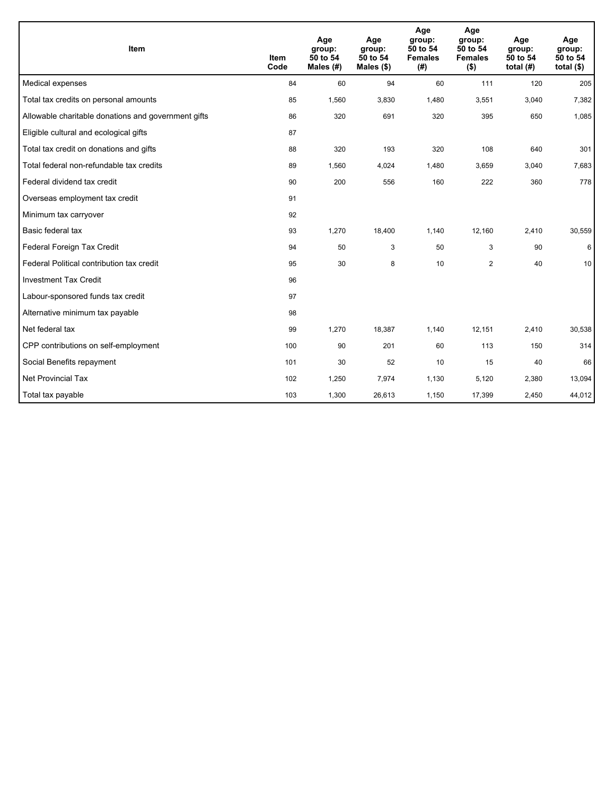| Item                                                | <b>Item</b><br>Code | Age<br>group:<br>50 to 54<br>Males (#) | Age<br>group:<br>50 to 54<br>Males $(\$)$ | Age<br>group:<br>50 to 54<br><b>Females</b><br>(#) | Age<br>group:<br>50 to 54<br><b>Females</b><br>$($ \$) | Age<br>group:<br>50 to 54<br>total $(H)$ | Age<br>group:<br>50 to 54<br>total $($)$ |
|-----------------------------------------------------|---------------------|----------------------------------------|-------------------------------------------|----------------------------------------------------|--------------------------------------------------------|------------------------------------------|------------------------------------------|
| Medical expenses                                    | 84                  | 60                                     | 94                                        | 60                                                 | 111                                                    | 120                                      | 205                                      |
| Total tax credits on personal amounts               | 85                  | 1,560                                  | 3,830                                     | 1,480                                              | 3,551                                                  | 3,040                                    | 7,382                                    |
| Allowable charitable donations and government gifts | 86                  | 320                                    | 691                                       | 320                                                | 395                                                    | 650                                      | 1,085                                    |
| Eligible cultural and ecological gifts              | 87                  |                                        |                                           |                                                    |                                                        |                                          |                                          |
| Total tax credit on donations and gifts             | 88                  | 320                                    | 193                                       | 320                                                | 108                                                    | 640                                      | 301                                      |
| Total federal non-refundable tax credits            | 89                  | 1,560                                  | 4,024                                     | 1,480                                              | 3,659                                                  | 3,040                                    | 7,683                                    |
| Federal dividend tax credit                         | 90                  | 200                                    | 556                                       | 160                                                | 222                                                    | 360                                      | 778                                      |
| Overseas employment tax credit                      | 91                  |                                        |                                           |                                                    |                                                        |                                          |                                          |
| Minimum tax carryover                               | 92                  |                                        |                                           |                                                    |                                                        |                                          |                                          |
| Basic federal tax                                   | 93                  | 1,270                                  | 18,400                                    | 1,140                                              | 12,160                                                 | 2,410                                    | 30,559                                   |
| Federal Foreign Tax Credit                          | 94                  | 50                                     | 3                                         | 50                                                 | 3                                                      | 90                                       | 6                                        |
| Federal Political contribution tax credit           | 95                  | 30                                     | 8                                         | 10                                                 | 2                                                      | 40                                       | 10                                       |
| <b>Investment Tax Credit</b>                        | 96                  |                                        |                                           |                                                    |                                                        |                                          |                                          |
| Labour-sponsored funds tax credit                   | 97                  |                                        |                                           |                                                    |                                                        |                                          |                                          |
| Alternative minimum tax payable                     | 98                  |                                        |                                           |                                                    |                                                        |                                          |                                          |
| Net federal tax                                     | 99                  | 1,270                                  | 18,387                                    | 1,140                                              | 12,151                                                 | 2,410                                    | 30,538                                   |
| CPP contributions on self-employment                | 100                 | 90                                     | 201                                       | 60                                                 | 113                                                    | 150                                      | 314                                      |
| Social Benefits repayment                           | 101                 | 30                                     | 52                                        | 10                                                 | 15                                                     | 40                                       | 66                                       |
| Net Provincial Tax                                  | 102                 | 1,250                                  | 7,974                                     | 1,130                                              | 5,120                                                  | 2,380                                    | 13,094                                   |
| Total tax payable                                   | 103                 | 1,300                                  | 26,613                                    | 1,150                                              | 17,399                                                 | 2,450                                    | 44,012                                   |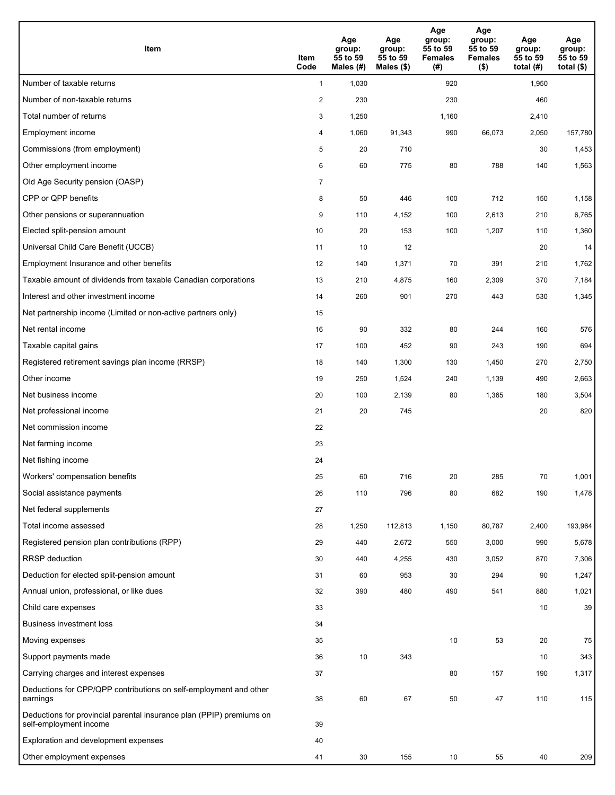| <b>Item</b>                                                                                    | Item<br>Code   | Age<br>group:<br>55 to 59<br>Males (#) | Age<br>group:<br>55 to 59<br>Males (\$) | Age<br>group:<br>55 to 59<br><b>Females</b><br>(#) | Age<br>group:<br>55 to 59<br><b>Females</b><br>$($ \$) | Age<br>group:<br>55 to 59<br>total $(#)$ | Age<br>group:<br>55 to 59<br>total $($)$ |
|------------------------------------------------------------------------------------------------|----------------|----------------------------------------|-----------------------------------------|----------------------------------------------------|--------------------------------------------------------|------------------------------------------|------------------------------------------|
| Number of taxable returns                                                                      | $\mathbf{1}$   | 1,030                                  |                                         | 920                                                |                                                        | 1,950                                    |                                          |
| Number of non-taxable returns                                                                  | $\overline{2}$ | 230                                    |                                         | 230                                                |                                                        | 460                                      |                                          |
| Total number of returns                                                                        | 3              | 1,250                                  |                                         | 1,160                                              |                                                        | 2,410                                    |                                          |
| Employment income                                                                              | 4              | 1,060                                  | 91,343                                  | 990                                                | 66,073                                                 | 2,050                                    | 157,780                                  |
| Commissions (from employment)                                                                  | 5              | 20                                     | 710                                     |                                                    |                                                        | 30                                       | 1,453                                    |
| Other employment income                                                                        | 6              | 60                                     | 775                                     | 80                                                 | 788                                                    | 140                                      | 1,563                                    |
| Old Age Security pension (OASP)                                                                | $\overline{7}$ |                                        |                                         |                                                    |                                                        |                                          |                                          |
| CPP or QPP benefits                                                                            | 8              | 50                                     | 446                                     | 100                                                | 712                                                    | 150                                      | 1,158                                    |
| Other pensions or superannuation                                                               | 9              | 110                                    | 4,152                                   | 100                                                | 2,613                                                  | 210                                      | 6,765                                    |
| Elected split-pension amount                                                                   | 10             | 20                                     | 153                                     | 100                                                | 1,207                                                  | 110                                      | 1,360                                    |
| Universal Child Care Benefit (UCCB)                                                            | 11             | 10                                     | 12                                      |                                                    |                                                        | 20                                       | 14                                       |
| Employment Insurance and other benefits                                                        | 12             | 140                                    | 1,371                                   | 70                                                 | 391                                                    | 210                                      | 1,762                                    |
| Taxable amount of dividends from taxable Canadian corporations                                 | 13             | 210                                    | 4,875                                   | 160                                                | 2,309                                                  | 370                                      | 7,184                                    |
| Interest and other investment income                                                           | 14             | 260                                    | 901                                     | 270                                                | 443                                                    | 530                                      | 1,345                                    |
| Net partnership income (Limited or non-active partners only)                                   | 15             |                                        |                                         |                                                    |                                                        |                                          |                                          |
| Net rental income                                                                              | 16             | 90                                     | 332                                     | 80                                                 | 244                                                    | 160                                      | 576                                      |
| Taxable capital gains                                                                          | 17             | 100                                    | 452                                     | 90                                                 | 243                                                    | 190                                      | 694                                      |
| Registered retirement savings plan income (RRSP)                                               | 18             | 140                                    | 1,300                                   | 130                                                | 1,450                                                  | 270                                      | 2,750                                    |
| Other income                                                                                   | 19             | 250                                    | 1,524                                   | 240                                                | 1,139                                                  | 490                                      | 2,663                                    |
| Net business income                                                                            | 20             | 100                                    | 2,139                                   | 80                                                 | 1,365                                                  | 180                                      | 3,504                                    |
| Net professional income                                                                        | 21             | 20                                     | 745                                     |                                                    |                                                        | 20                                       | 820                                      |
| Net commission income                                                                          | 22             |                                        |                                         |                                                    |                                                        |                                          |                                          |
| Net farming income                                                                             | 23             |                                        |                                         |                                                    |                                                        |                                          |                                          |
| Net fishing income                                                                             | 24             |                                        |                                         |                                                    |                                                        |                                          |                                          |
| Workers' compensation benefits                                                                 | 25             | 60                                     | 716                                     | 20                                                 | 285                                                    | 70                                       | 1,001                                    |
| Social assistance payments                                                                     | 26             | 110                                    | 796                                     | 80                                                 | 682                                                    | 190                                      | 1,478                                    |
| Net federal supplements                                                                        | 27             |                                        |                                         |                                                    |                                                        |                                          |                                          |
| Total income assessed                                                                          | 28             | 1,250                                  | 112,813                                 | 1,150                                              | 80,787                                                 | 2,400                                    | 193,964                                  |
| Registered pension plan contributions (RPP)                                                    | 29             | 440                                    | 2,672                                   | 550                                                | 3,000                                                  | 990                                      | 5,678                                    |
| RRSP deduction                                                                                 | 30             | 440                                    | 4,255                                   | 430                                                | 3,052                                                  | 870                                      | 7,306                                    |
| Deduction for elected split-pension amount                                                     | 31             | 60                                     | 953                                     | 30                                                 | 294                                                    | 90                                       | 1,247                                    |
| Annual union, professional, or like dues                                                       | 32             | 390                                    | 480                                     | 490                                                | 541                                                    | 880                                      | 1,021                                    |
| Child care expenses                                                                            | 33             |                                        |                                         |                                                    |                                                        | 10                                       | 39                                       |
| <b>Business investment loss</b>                                                                | 34             |                                        |                                         |                                                    |                                                        |                                          |                                          |
| Moving expenses                                                                                | 35             |                                        |                                         | 10                                                 | 53                                                     | 20                                       | 75                                       |
| Support payments made                                                                          | 36             | 10                                     | 343                                     |                                                    |                                                        | 10                                       | 343                                      |
| Carrying charges and interest expenses                                                         | 37             |                                        |                                         | 80                                                 | 157                                                    | 190                                      | 1,317                                    |
| Deductions for CPP/QPP contributions on self-employment and other<br>earnings                  | 38             | 60                                     | 67                                      | 50                                                 | 47                                                     | 110                                      | 115                                      |
| Deductions for provincial parental insurance plan (PPIP) premiums on<br>self-employment income | 39             |                                        |                                         |                                                    |                                                        |                                          |                                          |
| Exploration and development expenses                                                           | 40             |                                        |                                         |                                                    |                                                        |                                          |                                          |
| Other employment expenses                                                                      | 41             | 30                                     | 155                                     | 10                                                 | 55                                                     | 40                                       | 209                                      |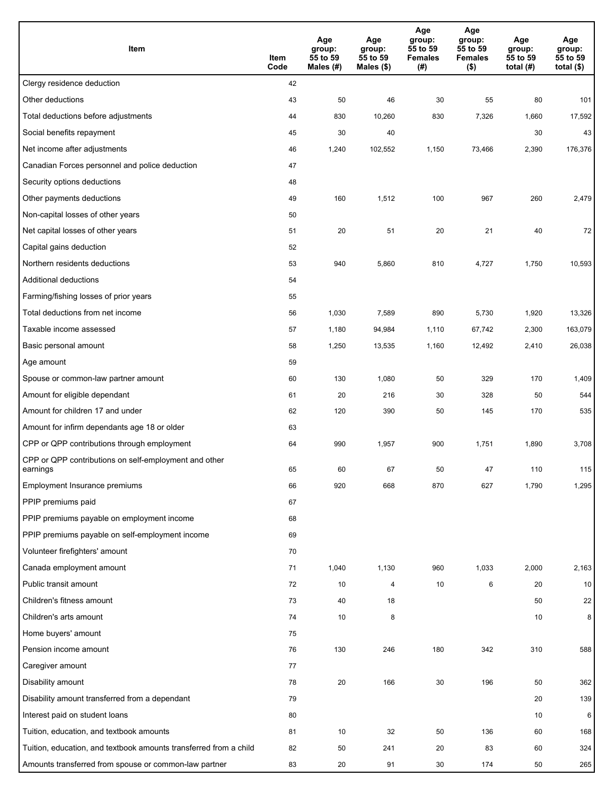| Item                                                              | Item<br>Code | Age<br>group:<br>55 to 59<br>Males (#) | Age<br>group:<br>55 to 59<br>Males (\$) | Age<br>group:<br>55 to 59<br><b>Females</b><br>(#) | Age<br>group:<br>55 to 59<br>Females<br>$($ \$) | Age<br>group:<br>55 to 59<br>total $(#)$ | Age<br>group:<br>55 to 59<br>total $($)$ |
|-------------------------------------------------------------------|--------------|----------------------------------------|-----------------------------------------|----------------------------------------------------|-------------------------------------------------|------------------------------------------|------------------------------------------|
| Clergy residence deduction                                        | 42           |                                        |                                         |                                                    |                                                 |                                          |                                          |
| Other deductions                                                  | 43           | 50                                     | 46                                      | 30                                                 | 55                                              | 80                                       | 101                                      |
| Total deductions before adjustments                               | 44           | 830                                    | 10,260                                  | 830                                                | 7,326                                           | 1,660                                    | 17,592                                   |
| Social benefits repayment                                         | 45           | 30                                     | 40                                      |                                                    |                                                 | 30                                       | 43                                       |
| Net income after adjustments                                      | 46           | 1,240                                  | 102,552                                 | 1,150                                              | 73,466                                          | 2,390                                    | 176,376                                  |
| Canadian Forces personnel and police deduction                    | 47           |                                        |                                         |                                                    |                                                 |                                          |                                          |
| Security options deductions                                       | 48           |                                        |                                         |                                                    |                                                 |                                          |                                          |
| Other payments deductions                                         | 49           | 160                                    | 1,512                                   | 100                                                | 967                                             | 260                                      | 2,479                                    |
| Non-capital losses of other years                                 | 50           |                                        |                                         |                                                    |                                                 |                                          |                                          |
| Net capital losses of other years                                 | 51           | 20                                     | 51                                      | 20                                                 | 21                                              | 40                                       | 72                                       |
| Capital gains deduction                                           | 52           |                                        |                                         |                                                    |                                                 |                                          |                                          |
| Northern residents deductions                                     | 53           | 940                                    | 5,860                                   | 810                                                | 4,727                                           | 1,750                                    | 10,593                                   |
| Additional deductions                                             | 54           |                                        |                                         |                                                    |                                                 |                                          |                                          |
| Farming/fishing losses of prior years                             | 55           |                                        |                                         |                                                    |                                                 |                                          |                                          |
| Total deductions from net income                                  | 56           | 1,030                                  | 7,589                                   | 890                                                | 5,730                                           | 1,920                                    | 13,326                                   |
| Taxable income assessed                                           | 57           | 1,180                                  | 94,984                                  | 1,110                                              | 67,742                                          | 2,300                                    | 163,079                                  |
| Basic personal amount                                             | 58           | 1,250                                  | 13,535                                  | 1,160                                              | 12,492                                          | 2,410                                    | 26,038                                   |
| Age amount                                                        | 59           |                                        |                                         |                                                    |                                                 |                                          |                                          |
| Spouse or common-law partner amount                               | 60           | 130                                    | 1,080                                   | 50                                                 | 329                                             | 170                                      | 1,409                                    |
| Amount for eligible dependant                                     | 61           | 20                                     | 216                                     | 30                                                 | 328                                             | 50                                       | 544                                      |
| Amount for children 17 and under                                  | 62           | 120                                    | 390                                     | 50                                                 | 145                                             | 170                                      | 535                                      |
| Amount for infirm dependants age 18 or older                      | 63           |                                        |                                         |                                                    |                                                 |                                          |                                          |
| CPP or QPP contributions through employment                       | 64           | 990                                    | 1,957                                   | 900                                                | 1,751                                           | 1,890                                    | 3,708                                    |
| CPP or QPP contributions on self-employment and other<br>earnings | 65           | 60                                     | 67                                      | 50                                                 | 47                                              | 110                                      | 115                                      |
| Employment Insurance premiums                                     | 66           | 920                                    | 668                                     | 870                                                | 627                                             | 1,790                                    | 1,295                                    |
| PPIP premiums paid                                                | 67           |                                        |                                         |                                                    |                                                 |                                          |                                          |
| PPIP premiums payable on employment income                        | 68           |                                        |                                         |                                                    |                                                 |                                          |                                          |
| PPIP premiums payable on self-employment income                   | 69           |                                        |                                         |                                                    |                                                 |                                          |                                          |
| Volunteer firefighters' amount                                    | 70           |                                        |                                         |                                                    |                                                 |                                          |                                          |
| Canada employment amount                                          | 71           | 1,040                                  | 1,130                                   | 960                                                | 1,033                                           | 2,000                                    | 2,163                                    |
| Public transit amount                                             | 72           | 10                                     | 4                                       | 10                                                 | 6                                               | 20                                       | 10                                       |
| Children's fitness amount                                         | 73           | 40                                     | 18                                      |                                                    |                                                 | 50                                       | 22                                       |
| Children's arts amount                                            | 74           | 10                                     | 8                                       |                                                    |                                                 | 10                                       | 8                                        |
| Home buyers' amount                                               | 75           |                                        |                                         |                                                    |                                                 |                                          |                                          |
| Pension income amount                                             | 76           | 130                                    | 246                                     | 180                                                | 342                                             | 310                                      | 588                                      |
| Caregiver amount                                                  | 77           |                                        |                                         |                                                    |                                                 |                                          |                                          |
| Disability amount                                                 | 78           | 20                                     | 166                                     | 30                                                 | 196                                             | 50                                       | 362                                      |
| Disability amount transferred from a dependant                    | 79           |                                        |                                         |                                                    |                                                 | 20                                       | 139                                      |
| Interest paid on student loans                                    | 80           |                                        |                                         |                                                    |                                                 | 10                                       | 6                                        |
| Tuition, education, and textbook amounts                          | 81           | 10                                     | 32                                      | 50                                                 | 136                                             | 60                                       | 168                                      |
| Tuition, education, and textbook amounts transferred from a child | 82           | 50                                     | 241                                     | 20                                                 | 83                                              | 60                                       | 324                                      |
| Amounts transferred from spouse or common-law partner             | 83           | 20                                     | 91                                      | 30                                                 | 174                                             | 50                                       | 265                                      |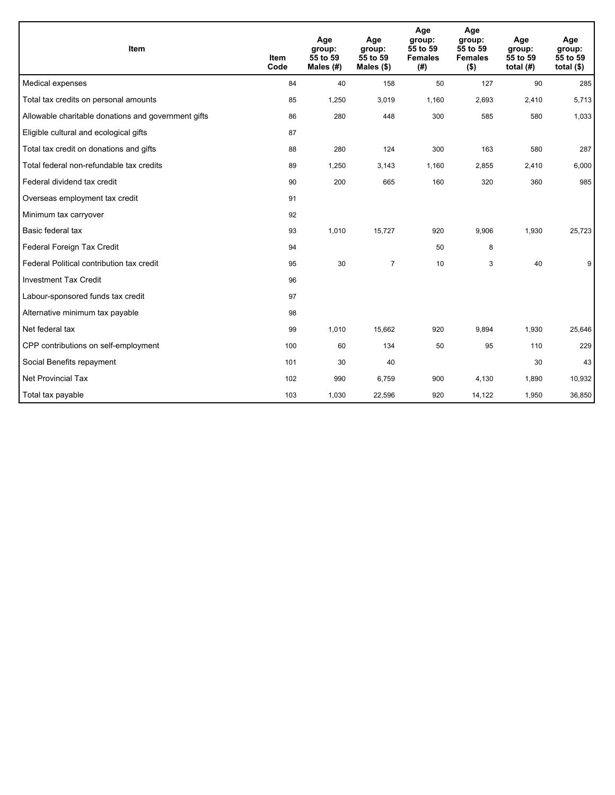| Item                                                | <b>Item</b><br>Code | Age<br>group:<br>55 to 59<br>Males (#) | Age<br>group:<br>55 to 59<br>Males (\$) | Age<br>group:<br>55 to 59<br><b>Females</b><br>(# ) | Age<br>group:<br>55 to 59<br><b>Females</b><br>$($ \$) | Age<br>group:<br>55 to 59<br>total $(H)$ | Age<br>group:<br>55 to 59<br>total $($)$ |
|-----------------------------------------------------|---------------------|----------------------------------------|-----------------------------------------|-----------------------------------------------------|--------------------------------------------------------|------------------------------------------|------------------------------------------|
| Medical expenses                                    | 84                  | 40                                     | 158                                     | 50                                                  | 127                                                    | 90                                       | 285                                      |
| Total tax credits on personal amounts               | 85                  | 1,250                                  | 3,019                                   | 1,160                                               | 2,693                                                  | 2,410                                    | 5,713                                    |
| Allowable charitable donations and government gifts | 86                  | 280                                    | 448                                     | 300                                                 | 585                                                    | 580                                      | 1,033                                    |
| Eligible cultural and ecological gifts              | 87                  |                                        |                                         |                                                     |                                                        |                                          |                                          |
| Total tax credit on donations and gifts             | 88                  | 280                                    | 124                                     | 300                                                 | 163                                                    | 580                                      | 287                                      |
| Total federal non-refundable tax credits            | 89                  | 1,250                                  | 3,143                                   | 1,160                                               | 2,855                                                  | 2,410                                    | 6,000                                    |
| Federal dividend tax credit                         | 90                  | 200                                    | 665                                     | 160                                                 | 320                                                    | 360                                      | 985                                      |
| Overseas employment tax credit                      | 91                  |                                        |                                         |                                                     |                                                        |                                          |                                          |
| Minimum tax carryover                               | 92                  |                                        |                                         |                                                     |                                                        |                                          |                                          |
| Basic federal tax                                   | 93                  | 1,010                                  | 15,727                                  | 920                                                 | 9,906                                                  | 1,930                                    | 25,723                                   |
| Federal Foreign Tax Credit                          | 94                  |                                        |                                         | 50                                                  | 8                                                      |                                          |                                          |
| Federal Political contribution tax credit           | 95                  | 30                                     | $\overline{7}$                          | 10                                                  | 3                                                      | 40                                       | 9                                        |
| <b>Investment Tax Credit</b>                        | 96                  |                                        |                                         |                                                     |                                                        |                                          |                                          |
| Labour-sponsored funds tax credit                   | 97                  |                                        |                                         |                                                     |                                                        |                                          |                                          |
| Alternative minimum tax payable                     | 98                  |                                        |                                         |                                                     |                                                        |                                          |                                          |
| Net federal tax                                     | 99                  | 1,010                                  | 15,662                                  | 920                                                 | 9,894                                                  | 1,930                                    | 25,646                                   |
| CPP contributions on self-employment                | 100                 | 60                                     | 134                                     | 50                                                  | 95                                                     | 110                                      | 229                                      |
| Social Benefits repayment                           | 101                 | 30                                     | 40                                      |                                                     |                                                        | 30                                       | 43                                       |
| <b>Net Provincial Tax</b>                           | 102                 | 990                                    | 6,759                                   | 900                                                 | 4,130                                                  | 1,890                                    | 10,932                                   |
| Total tax payable                                   | 103                 | 1,030                                  | 22,596                                  | 920                                                 | 14,122                                                 | 1,950                                    | 36,850                                   |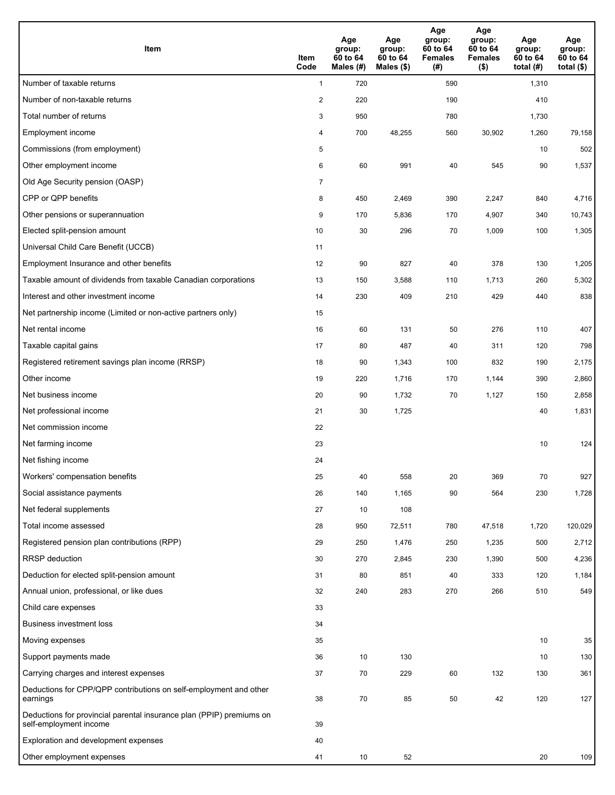| <b>Item</b>                                                                                    | Item<br>Code            | Age<br>group:<br>60 to 64<br>Males (#) | Age<br>group:<br>60 to 64<br>Males $(\$)$ | Age<br>group:<br>60 to 64<br><b>Females</b><br>(#) | Age<br>group:<br>60 to 64<br><b>Females</b><br>$($ \$) | Age<br>group:<br>60 to 64<br>total $(H)$ | Age<br>group:<br>60 to 64<br>total $($)$ |
|------------------------------------------------------------------------------------------------|-------------------------|----------------------------------------|-------------------------------------------|----------------------------------------------------|--------------------------------------------------------|------------------------------------------|------------------------------------------|
| Number of taxable returns                                                                      | $\mathbf{1}$            | 720                                    |                                           | 590                                                |                                                        | 1,310                                    |                                          |
| Number of non-taxable returns                                                                  | $\overline{\mathbf{c}}$ | 220                                    |                                           | 190                                                |                                                        | 410                                      |                                          |
| Total number of returns                                                                        | 3                       | 950                                    |                                           | 780                                                |                                                        | 1,730                                    |                                          |
| Employment income                                                                              | 4                       | 700                                    | 48,255                                    | 560                                                | 30,902                                                 | 1,260                                    | 79,158                                   |
| Commissions (from employment)                                                                  | 5                       |                                        |                                           |                                                    |                                                        | 10                                       | 502                                      |
| Other employment income                                                                        | 6                       | 60                                     | 991                                       | 40                                                 | 545                                                    | 90                                       | 1,537                                    |
| Old Age Security pension (OASP)                                                                | $\overline{7}$          |                                        |                                           |                                                    |                                                        |                                          |                                          |
| CPP or QPP benefits                                                                            | 8                       | 450                                    | 2,469                                     | 390                                                | 2,247                                                  | 840                                      | 4,716                                    |
| Other pensions or superannuation                                                               | 9                       | 170                                    | 5,836                                     | 170                                                | 4,907                                                  | 340                                      | 10,743                                   |
| Elected split-pension amount                                                                   | 10                      | 30                                     | 296                                       | 70                                                 | 1,009                                                  | 100                                      | 1,305                                    |
| Universal Child Care Benefit (UCCB)                                                            | 11                      |                                        |                                           |                                                    |                                                        |                                          |                                          |
| Employment Insurance and other benefits                                                        | 12                      | 90                                     | 827                                       | 40                                                 | 378                                                    | 130                                      | 1,205                                    |
| Taxable amount of dividends from taxable Canadian corporations                                 | 13                      | 150                                    | 3,588                                     | 110                                                | 1,713                                                  | 260                                      | 5,302                                    |
| Interest and other investment income                                                           | 14                      | 230                                    | 409                                       | 210                                                | 429                                                    | 440                                      | 838                                      |
| Net partnership income (Limited or non-active partners only)                                   | 15                      |                                        |                                           |                                                    |                                                        |                                          |                                          |
| Net rental income                                                                              | 16                      | 60                                     | 131                                       | 50                                                 | 276                                                    | 110                                      | 407                                      |
| Taxable capital gains                                                                          | 17                      | 80                                     | 487                                       | 40                                                 | 311                                                    | 120                                      | 798                                      |
| Registered retirement savings plan income (RRSP)                                               | 18                      | 90                                     | 1,343                                     | 100                                                | 832                                                    | 190                                      | 2,175                                    |
| Other income                                                                                   | 19                      | 220                                    | 1,716                                     | 170                                                | 1,144                                                  | 390                                      | 2,860                                    |
| Net business income                                                                            | 20                      | 90                                     | 1,732                                     | 70                                                 | 1,127                                                  | 150                                      | 2,858                                    |
| Net professional income                                                                        | 21                      | 30                                     | 1,725                                     |                                                    |                                                        | 40                                       | 1,831                                    |
| Net commission income                                                                          | 22                      |                                        |                                           |                                                    |                                                        |                                          |                                          |
| Net farming income                                                                             | 23                      |                                        |                                           |                                                    |                                                        | 10                                       | 124                                      |
| Net fishing income                                                                             | 24                      |                                        |                                           |                                                    |                                                        |                                          |                                          |
| Workers' compensation benefits                                                                 | 25                      | 40                                     | 558                                       | 20                                                 | 369                                                    | 70                                       | 927                                      |
| Social assistance payments                                                                     | 26                      | 140                                    | 1,165                                     | 90                                                 | 564                                                    | 230                                      | 1,728                                    |
| Net federal supplements                                                                        | 27                      | 10                                     | 108                                       |                                                    |                                                        |                                          |                                          |
| Total income assessed                                                                          | 28                      | 950                                    | 72,511                                    | 780                                                | 47,518                                                 | 1,720                                    | 120,029                                  |
| Registered pension plan contributions (RPP)                                                    | 29                      | 250                                    | 1,476                                     | 250                                                | 1,235                                                  | 500                                      | 2,712                                    |
| RRSP deduction                                                                                 | 30                      | 270                                    | 2,845                                     | 230                                                | 1,390                                                  | 500                                      | 4,236                                    |
| Deduction for elected split-pension amount                                                     | 31                      | 80                                     | 851                                       | 40                                                 | 333                                                    | 120                                      | 1,184                                    |
| Annual union, professional, or like dues                                                       | 32                      | 240                                    | 283                                       | 270                                                | 266                                                    | 510                                      | 549                                      |
| Child care expenses                                                                            | 33                      |                                        |                                           |                                                    |                                                        |                                          |                                          |
| <b>Business investment loss</b>                                                                | 34                      |                                        |                                           |                                                    |                                                        |                                          |                                          |
| Moving expenses                                                                                | 35                      |                                        |                                           |                                                    |                                                        | 10                                       | 35                                       |
| Support payments made                                                                          | 36                      | 10                                     | 130                                       |                                                    |                                                        | 10                                       | 130                                      |
| Carrying charges and interest expenses                                                         | 37                      | 70                                     | 229                                       | 60                                                 | 132                                                    | 130                                      | 361                                      |
| Deductions for CPP/QPP contributions on self-employment and other<br>earnings                  | 38                      | 70                                     | 85                                        | 50                                                 | 42                                                     | 120                                      | 127                                      |
| Deductions for provincial parental insurance plan (PPIP) premiums on<br>self-employment income | 39                      |                                        |                                           |                                                    |                                                        |                                          |                                          |
| Exploration and development expenses                                                           | 40                      |                                        |                                           |                                                    |                                                        |                                          |                                          |
| Other employment expenses                                                                      | 41                      | 10                                     | 52                                        |                                                    |                                                        | 20                                       | 109                                      |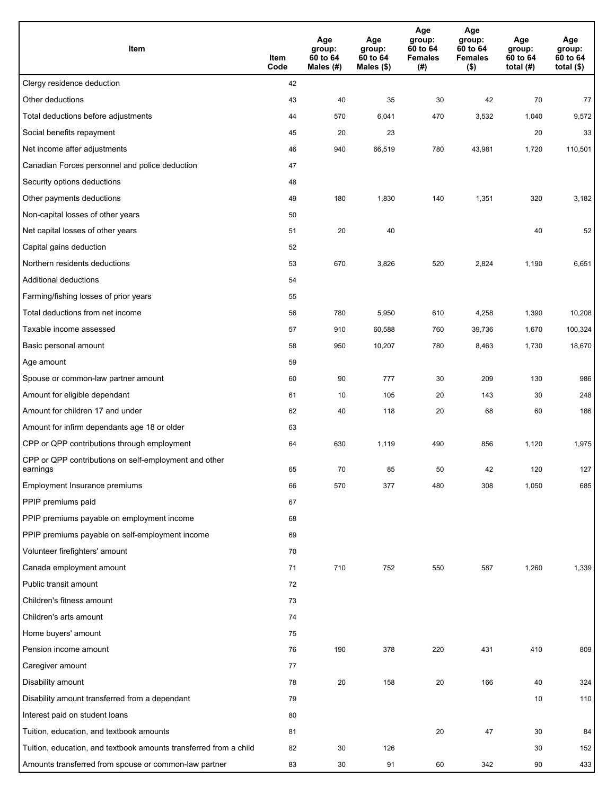| Item                                                              | Item<br>Code | Age<br>group:<br>60 to 64<br>Males (#) | Age<br>group:<br>60 to 64<br>Males (\$) | Age<br>group:<br>60 to 64<br><b>Females</b><br>(#) | Age<br>group:<br>60 to 64<br><b>Females</b><br>$($ \$) | Age<br>group:<br>60 to 64<br>total $(H)$ | Age<br>group:<br>60 to 64<br>total $($)$ |
|-------------------------------------------------------------------|--------------|----------------------------------------|-----------------------------------------|----------------------------------------------------|--------------------------------------------------------|------------------------------------------|------------------------------------------|
| Clergy residence deduction                                        | 42           |                                        |                                         |                                                    |                                                        |                                          |                                          |
| Other deductions                                                  | 43           | 40                                     | 35                                      | 30                                                 | 42                                                     | 70                                       | 77                                       |
| Total deductions before adjustments                               | 44           | 570                                    | 6,041                                   | 470                                                | 3,532                                                  | 1,040                                    | 9,572                                    |
| Social benefits repayment                                         | 45           | 20                                     | 23                                      |                                                    |                                                        | 20                                       | 33                                       |
| Net income after adjustments                                      | 46           | 940                                    | 66,519                                  | 780                                                | 43,981                                                 | 1,720                                    | 110,501                                  |
| Canadian Forces personnel and police deduction                    | 47           |                                        |                                         |                                                    |                                                        |                                          |                                          |
| Security options deductions                                       | 48           |                                        |                                         |                                                    |                                                        |                                          |                                          |
| Other payments deductions                                         | 49           | 180                                    | 1,830                                   | 140                                                | 1,351                                                  | 320                                      | 3,182                                    |
| Non-capital losses of other years                                 | 50           |                                        |                                         |                                                    |                                                        |                                          |                                          |
| Net capital losses of other years                                 | 51           | 20                                     | 40                                      |                                                    |                                                        | 40                                       | 52                                       |
| Capital gains deduction                                           | 52           |                                        |                                         |                                                    |                                                        |                                          |                                          |
| Northern residents deductions                                     | 53           | 670                                    | 3,826                                   | 520                                                | 2,824                                                  | 1,190                                    | 6,651                                    |
| Additional deductions                                             | 54           |                                        |                                         |                                                    |                                                        |                                          |                                          |
| Farming/fishing losses of prior years                             | 55           |                                        |                                         |                                                    |                                                        |                                          |                                          |
| Total deductions from net income                                  | 56           | 780                                    | 5,950                                   | 610                                                | 4,258                                                  | 1,390                                    | 10,208                                   |
| Taxable income assessed                                           | 57           | 910                                    | 60,588                                  | 760                                                | 39,736                                                 | 1,670                                    | 100,324                                  |
| Basic personal amount                                             | 58           | 950                                    | 10,207                                  | 780                                                | 8,463                                                  | 1,730                                    | 18,670                                   |
| Age amount                                                        | 59           |                                        |                                         |                                                    |                                                        |                                          |                                          |
| Spouse or common-law partner amount                               | 60           | 90                                     | 777                                     | 30                                                 | 209                                                    | 130                                      | 986                                      |
| Amount for eligible dependant                                     | 61           | 10                                     | 105                                     | 20                                                 | 143                                                    | 30                                       | 248                                      |
| Amount for children 17 and under                                  | 62           | 40                                     | 118                                     | 20                                                 | 68                                                     | 60                                       | 186                                      |
| Amount for infirm dependants age 18 or older                      | 63           |                                        |                                         |                                                    |                                                        |                                          |                                          |
| CPP or QPP contributions through employment                       | 64           | 630                                    | 1,119                                   | 490                                                | 856                                                    | 1,120                                    | 1,975                                    |
| CPP or QPP contributions on self-employment and other<br>earnings | 65           | 70                                     | 85                                      | 50                                                 | 42                                                     | 120                                      | 127                                      |
| Employment Insurance premiums                                     | 66           | 570                                    | 377                                     | 480                                                | 308                                                    | 1,050                                    | 685                                      |
| PPIP premiums paid                                                | 67           |                                        |                                         |                                                    |                                                        |                                          |                                          |
| PPIP premiums payable on employment income                        | 68           |                                        |                                         |                                                    |                                                        |                                          |                                          |
| PPIP premiums payable on self-employment income                   | 69           |                                        |                                         |                                                    |                                                        |                                          |                                          |
| Volunteer firefighters' amount                                    | 70           |                                        |                                         |                                                    |                                                        |                                          |                                          |
| Canada employment amount                                          | 71           | 710                                    | 752                                     | 550                                                | 587                                                    | 1,260                                    | 1,339                                    |
| Public transit amount                                             | 72           |                                        |                                         |                                                    |                                                        |                                          |                                          |
| Children's fitness amount                                         | 73           |                                        |                                         |                                                    |                                                        |                                          |                                          |
| Children's arts amount                                            | 74           |                                        |                                         |                                                    |                                                        |                                          |                                          |
| Home buyers' amount                                               | 75           |                                        |                                         |                                                    |                                                        |                                          |                                          |
| Pension income amount                                             | 76           | 190                                    | 378                                     | 220                                                | 431                                                    | 410                                      | 809                                      |
| Caregiver amount                                                  | 77           |                                        |                                         |                                                    |                                                        |                                          |                                          |
| Disability amount                                                 | 78           | 20                                     | 158                                     | 20                                                 | 166                                                    | 40                                       | 324                                      |
| Disability amount transferred from a dependant                    | 79           |                                        |                                         |                                                    |                                                        | 10                                       | 110                                      |
| Interest paid on student loans                                    | 80           |                                        |                                         |                                                    |                                                        |                                          |                                          |
| Tuition, education, and textbook amounts                          | 81           |                                        |                                         | 20                                                 | 47                                                     | 30                                       | 84                                       |
| Tuition, education, and textbook amounts transferred from a child | 82           | 30                                     | 126                                     |                                                    |                                                        | 30                                       | 152                                      |
| Amounts transferred from spouse or common-law partner             | 83           | 30                                     | 91                                      | 60                                                 | 342                                                    | 90                                       | 433                                      |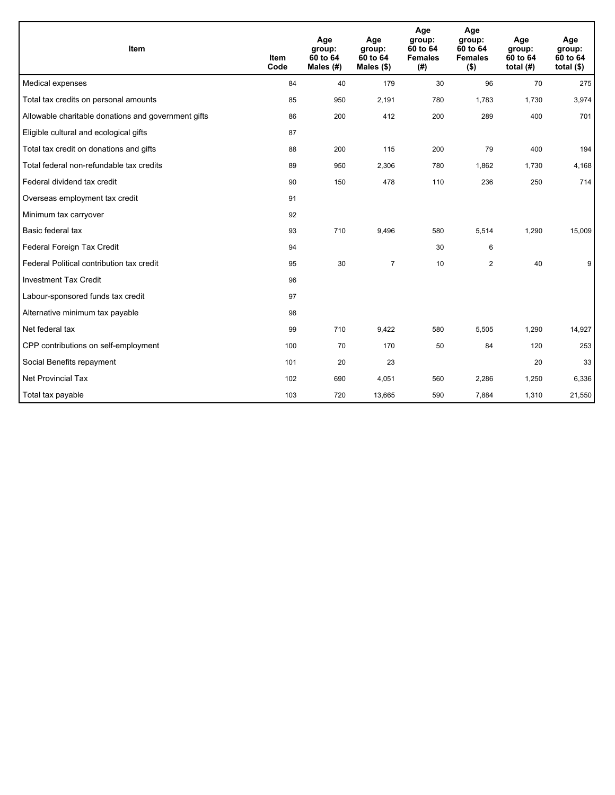| Item                                                | <b>Item</b><br>Code | Age<br>group:<br>60 to 64<br>Males (#) | Age<br>group:<br>60 to 64<br>Males $(\$)$ | Age<br>group:<br>60 to 64<br><b>Females</b><br>(# ) | Age<br>group:<br>60 to 64<br><b>Females</b><br>$($ \$) | Age<br>group:<br>60 to 64<br>total $(H)$ | Age<br>group:<br>60 to 64<br>total $($)$ |
|-----------------------------------------------------|---------------------|----------------------------------------|-------------------------------------------|-----------------------------------------------------|--------------------------------------------------------|------------------------------------------|------------------------------------------|
| Medical expenses                                    | 84                  | 40                                     | 179                                       | 30                                                  | 96                                                     | 70                                       | 275                                      |
| Total tax credits on personal amounts               | 85                  | 950                                    | 2,191                                     | 780                                                 | 1,783                                                  | 1,730                                    | 3,974                                    |
| Allowable charitable donations and government gifts | 86                  | 200                                    | 412                                       | 200                                                 | 289                                                    | 400                                      | 701                                      |
| Eligible cultural and ecological gifts              | 87                  |                                        |                                           |                                                     |                                                        |                                          |                                          |
| Total tax credit on donations and gifts             | 88                  | 200                                    | 115                                       | 200                                                 | 79                                                     | 400                                      | 194                                      |
| Total federal non-refundable tax credits            | 89                  | 950                                    | 2,306                                     | 780                                                 | 1,862                                                  | 1,730                                    | 4,168                                    |
| Federal dividend tax credit                         | 90                  | 150                                    | 478                                       | 110                                                 | 236                                                    | 250                                      | 714                                      |
| Overseas employment tax credit                      | 91                  |                                        |                                           |                                                     |                                                        |                                          |                                          |
| Minimum tax carryover                               | 92                  |                                        |                                           |                                                     |                                                        |                                          |                                          |
| Basic federal tax                                   | 93                  | 710                                    | 9,496                                     | 580                                                 | 5,514                                                  | 1,290                                    | 15,009                                   |
| Federal Foreign Tax Credit                          | 94                  |                                        |                                           | 30                                                  | 6                                                      |                                          |                                          |
| Federal Political contribution tax credit           | 95                  | 30                                     | $\overline{7}$                            | 10                                                  | $\overline{2}$                                         | 40                                       | 9                                        |
| <b>Investment Tax Credit</b>                        | 96                  |                                        |                                           |                                                     |                                                        |                                          |                                          |
| Labour-sponsored funds tax credit                   | 97                  |                                        |                                           |                                                     |                                                        |                                          |                                          |
| Alternative minimum tax payable                     | 98                  |                                        |                                           |                                                     |                                                        |                                          |                                          |
| Net federal tax                                     | 99                  | 710                                    | 9,422                                     | 580                                                 | 5,505                                                  | 1,290                                    | 14,927                                   |
| CPP contributions on self-employment                | 100                 | 70                                     | 170                                       | 50                                                  | 84                                                     | 120                                      | 253                                      |
| Social Benefits repayment                           | 101                 | 20                                     | 23                                        |                                                     |                                                        | 20                                       | 33                                       |
| <b>Net Provincial Tax</b>                           | 102                 | 690                                    | 4,051                                     | 560                                                 | 2,286                                                  | 1,250                                    | 6,336                                    |
| Total tax payable                                   | 103                 | 720                                    | 13,665                                    | 590                                                 | 7,884                                                  | 1,310                                    | 21,550                                   |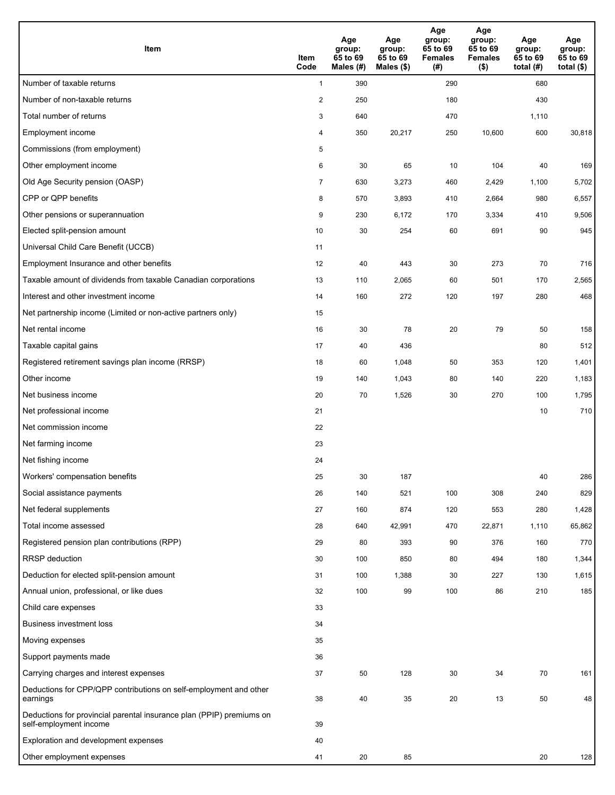| <b>Item</b>                                                                                    | Item<br>Code            | Age<br>group:<br>65 to 69<br>Males (#) | Age<br>group:<br>65 to 69<br>Males (\$) | Age<br>group:<br>65 to 69<br><b>Females</b><br>(#) | Age<br>group:<br>65 to 69<br><b>Females</b><br>$($ \$) | Age<br>group:<br>65 to 69<br>total $(H)$ | Age<br>group:<br>65 to 69<br>total $($)$ |
|------------------------------------------------------------------------------------------------|-------------------------|----------------------------------------|-----------------------------------------|----------------------------------------------------|--------------------------------------------------------|------------------------------------------|------------------------------------------|
| Number of taxable returns                                                                      | $\mathbf{1}$            | 390                                    |                                         | 290                                                |                                                        | 680                                      |                                          |
| Number of non-taxable returns                                                                  | $\overline{\mathbf{c}}$ | 250                                    |                                         | 180                                                |                                                        | 430                                      |                                          |
| Total number of returns                                                                        | 3                       | 640                                    |                                         | 470                                                |                                                        | 1,110                                    |                                          |
| Employment income                                                                              | 4                       | 350                                    | 20,217                                  | 250                                                | 10,600                                                 | 600                                      | 30,818                                   |
| Commissions (from employment)                                                                  | 5                       |                                        |                                         |                                                    |                                                        |                                          |                                          |
| Other employment income                                                                        | 6                       | 30                                     | 65                                      | 10                                                 | 104                                                    | 40                                       | 169                                      |
| Old Age Security pension (OASP)                                                                | $\overline{7}$          | 630                                    | 3,273                                   | 460                                                | 2,429                                                  | 1,100                                    | 5,702                                    |
| CPP or QPP benefits                                                                            | 8                       | 570                                    | 3,893                                   | 410                                                | 2,664                                                  | 980                                      | 6,557                                    |
| Other pensions or superannuation                                                               | 9                       | 230                                    | 6,172                                   | 170                                                | 3,334                                                  | 410                                      | 9,506                                    |
| Elected split-pension amount                                                                   | 10                      | 30                                     | 254                                     | 60                                                 | 691                                                    | 90                                       | 945                                      |
| Universal Child Care Benefit (UCCB)                                                            | 11                      |                                        |                                         |                                                    |                                                        |                                          |                                          |
| Employment Insurance and other benefits                                                        | 12                      | 40                                     | 443                                     | 30                                                 | 273                                                    | 70                                       | 716                                      |
| Taxable amount of dividends from taxable Canadian corporations                                 | 13                      | 110                                    | 2,065                                   | 60                                                 | 501                                                    | 170                                      | 2,565                                    |
| Interest and other investment income                                                           | 14                      | 160                                    | 272                                     | 120                                                | 197                                                    | 280                                      | 468                                      |
| Net partnership income (Limited or non-active partners only)                                   | 15                      |                                        |                                         |                                                    |                                                        |                                          |                                          |
| Net rental income                                                                              | 16                      | 30                                     | 78                                      | 20                                                 | 79                                                     | 50                                       | 158                                      |
| Taxable capital gains                                                                          | 17                      | 40                                     | 436                                     |                                                    |                                                        | 80                                       | 512                                      |
| Registered retirement savings plan income (RRSP)                                               | 18                      | 60                                     | 1,048                                   | 50                                                 | 353                                                    | 120                                      | 1,401                                    |
| Other income                                                                                   | 19                      | 140                                    | 1,043                                   | 80                                                 | 140                                                    | 220                                      | 1,183                                    |
| Net business income                                                                            | 20                      | 70                                     | 1,526                                   | 30                                                 | 270                                                    | 100                                      | 1,795                                    |
| Net professional income                                                                        | 21                      |                                        |                                         |                                                    |                                                        | 10                                       | 710                                      |
| Net commission income                                                                          | 22                      |                                        |                                         |                                                    |                                                        |                                          |                                          |
| Net farming income                                                                             | 23                      |                                        |                                         |                                                    |                                                        |                                          |                                          |
| Net fishing income                                                                             | 24                      |                                        |                                         |                                                    |                                                        |                                          |                                          |
| Workers' compensation benefits                                                                 | 25                      | 30                                     | 187                                     |                                                    |                                                        | 40                                       | 286                                      |
| Social assistance payments                                                                     | 26                      | 140                                    | 521                                     | 100                                                | 308                                                    | 240                                      | 829                                      |
| Net federal supplements                                                                        | 27                      | 160                                    | 874                                     | 120                                                | 553                                                    | 280                                      | 1,428                                    |
| Total income assessed                                                                          | 28                      | 640                                    | 42,991                                  | 470                                                | 22,871                                                 | 1,110                                    | 65,862                                   |
| Registered pension plan contributions (RPP)                                                    | 29                      | 80                                     | 393                                     | 90                                                 | 376                                                    | 160                                      | 770                                      |
| RRSP deduction                                                                                 | 30                      | 100                                    | 850                                     | 80                                                 | 494                                                    | 180                                      | 1,344                                    |
| Deduction for elected split-pension amount                                                     | 31                      | 100                                    | 1,388                                   | 30                                                 | 227                                                    | 130                                      | 1,615                                    |
| Annual union, professional, or like dues                                                       | 32                      | 100                                    | 99                                      | 100                                                | 86                                                     | 210                                      | 185                                      |
| Child care expenses                                                                            | 33                      |                                        |                                         |                                                    |                                                        |                                          |                                          |
| <b>Business investment loss</b>                                                                | 34                      |                                        |                                         |                                                    |                                                        |                                          |                                          |
| Moving expenses                                                                                | 35                      |                                        |                                         |                                                    |                                                        |                                          |                                          |
| Support payments made                                                                          | 36                      |                                        |                                         |                                                    |                                                        |                                          |                                          |
| Carrying charges and interest expenses                                                         | 37                      | 50                                     | 128                                     | 30                                                 | 34                                                     | 70                                       | 161                                      |
| Deductions for CPP/QPP contributions on self-employment and other<br>earnings                  | 38                      | 40                                     | 35                                      | 20                                                 | 13                                                     | 50                                       | 48                                       |
| Deductions for provincial parental insurance plan (PPIP) premiums on<br>self-employment income | 39                      |                                        |                                         |                                                    |                                                        |                                          |                                          |
| Exploration and development expenses                                                           | 40                      |                                        |                                         |                                                    |                                                        |                                          |                                          |
| Other employment expenses                                                                      | 41                      | 20                                     | 85                                      |                                                    |                                                        | 20                                       | 128                                      |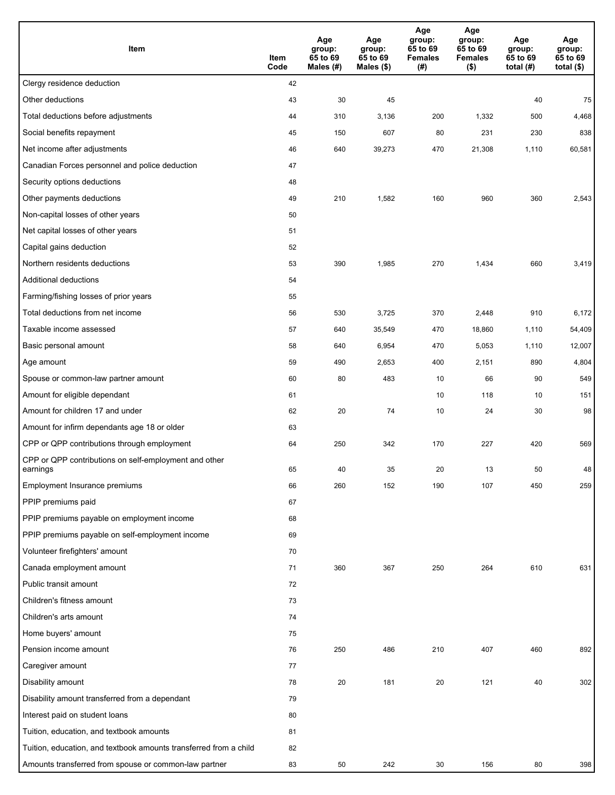| Item                                                              | Item<br>Code | Age<br>group:<br>65 to 69<br>Males (#) | Age<br>group:<br>65 to 69<br>Males (\$) | Age<br>group:<br>65 to 69<br><b>Females</b><br>(# ) | Age<br>group:<br>65 to 69<br><b>Females</b><br>$($ \$) | Age<br>group:<br>65 to 69<br>total $(H)$ | Age<br>group:<br>65 to 69<br>total $($)$ |
|-------------------------------------------------------------------|--------------|----------------------------------------|-----------------------------------------|-----------------------------------------------------|--------------------------------------------------------|------------------------------------------|------------------------------------------|
| Clergy residence deduction                                        | 42           |                                        |                                         |                                                     |                                                        |                                          |                                          |
| Other deductions                                                  | 43           | 30                                     | 45                                      |                                                     |                                                        | 40                                       | 75                                       |
| Total deductions before adjustments                               | 44           | 310                                    | 3,136                                   | 200                                                 | 1,332                                                  | 500                                      | 4,468                                    |
| Social benefits repayment                                         | 45           | 150                                    | 607                                     | 80                                                  | 231                                                    | 230                                      | 838                                      |
| Net income after adjustments                                      | 46           | 640                                    | 39,273                                  | 470                                                 | 21,308                                                 | 1,110                                    | 60,581                                   |
| Canadian Forces personnel and police deduction                    | 47           |                                        |                                         |                                                     |                                                        |                                          |                                          |
| Security options deductions                                       | 48           |                                        |                                         |                                                     |                                                        |                                          |                                          |
| Other payments deductions                                         | 49           | 210                                    | 1,582                                   | 160                                                 | 960                                                    | 360                                      | 2,543                                    |
| Non-capital losses of other years                                 | 50           |                                        |                                         |                                                     |                                                        |                                          |                                          |
| Net capital losses of other years                                 | 51           |                                        |                                         |                                                     |                                                        |                                          |                                          |
| Capital gains deduction                                           | 52           |                                        |                                         |                                                     |                                                        |                                          |                                          |
| Northern residents deductions                                     | 53           | 390                                    | 1,985                                   | 270                                                 | 1,434                                                  | 660                                      | 3,419                                    |
| Additional deductions                                             | 54           |                                        |                                         |                                                     |                                                        |                                          |                                          |
| Farming/fishing losses of prior years                             | 55           |                                        |                                         |                                                     |                                                        |                                          |                                          |
| Total deductions from net income                                  | 56           | 530                                    | 3,725                                   | 370                                                 | 2,448                                                  | 910                                      | 6,172                                    |
| Taxable income assessed                                           | 57           | 640                                    | 35,549                                  | 470                                                 | 18,860                                                 | 1,110                                    | 54,409                                   |
| Basic personal amount                                             | 58           | 640                                    | 6,954                                   | 470                                                 | 5,053                                                  | 1,110                                    | 12,007                                   |
| Age amount                                                        | 59           | 490                                    | 2,653                                   | 400                                                 | 2,151                                                  | 890                                      | 4,804                                    |
| Spouse or common-law partner amount                               | 60           | 80                                     | 483                                     | 10                                                  | 66                                                     | 90                                       | 549                                      |
| Amount for eligible dependant                                     | 61           |                                        |                                         | 10                                                  | 118                                                    | 10                                       | 151                                      |
| Amount for children 17 and under                                  | 62           | 20                                     | 74                                      | 10                                                  | 24                                                     | 30                                       | 98                                       |
| Amount for infirm dependants age 18 or older                      | 63           |                                        |                                         |                                                     |                                                        |                                          |                                          |
| CPP or QPP contributions through employment                       | 64           | 250                                    | 342                                     | 170                                                 | 227                                                    | 420                                      | 569                                      |
| CPP or QPP contributions on self-employment and other<br>earnings | 65           | 40                                     | 35                                      | 20                                                  | 13                                                     | 50                                       | 48                                       |
| Employment Insurance premiums                                     | 66           | 260                                    | 152                                     | 190                                                 | 107                                                    | 450                                      | 259                                      |
| PPIP premiums paid                                                | 67           |                                        |                                         |                                                     |                                                        |                                          |                                          |
| PPIP premiums payable on employment income                        | 68           |                                        |                                         |                                                     |                                                        |                                          |                                          |
| PPIP premiums payable on self-employment income                   | 69           |                                        |                                         |                                                     |                                                        |                                          |                                          |
| Volunteer firefighters' amount                                    | 70           |                                        |                                         |                                                     |                                                        |                                          |                                          |
| Canada employment amount                                          | 71           | 360                                    | 367                                     | 250                                                 | 264                                                    | 610                                      | 631                                      |
| Public transit amount                                             | 72           |                                        |                                         |                                                     |                                                        |                                          |                                          |
| Children's fitness amount                                         | 73           |                                        |                                         |                                                     |                                                        |                                          |                                          |
| Children's arts amount                                            | 74           |                                        |                                         |                                                     |                                                        |                                          |                                          |
| Home buyers' amount                                               | 75           |                                        |                                         |                                                     |                                                        |                                          |                                          |
| Pension income amount                                             | 76           | 250                                    | 486                                     | 210                                                 | 407                                                    | 460                                      | 892                                      |
| Caregiver amount                                                  | 77           |                                        |                                         |                                                     |                                                        |                                          |                                          |
| Disability amount                                                 | 78           | 20                                     | 181                                     | 20                                                  | 121                                                    | 40                                       | 302                                      |
| Disability amount transferred from a dependant                    | 79           |                                        |                                         |                                                     |                                                        |                                          |                                          |
| Interest paid on student loans                                    | 80           |                                        |                                         |                                                     |                                                        |                                          |                                          |
| Tuition, education, and textbook amounts                          | 81           |                                        |                                         |                                                     |                                                        |                                          |                                          |
| Tuition, education, and textbook amounts transferred from a child | 82           |                                        |                                         |                                                     |                                                        |                                          |                                          |
| Amounts transferred from spouse or common-law partner             | 83           | 50                                     | 242                                     | 30                                                  | 156                                                    | 80                                       | 398                                      |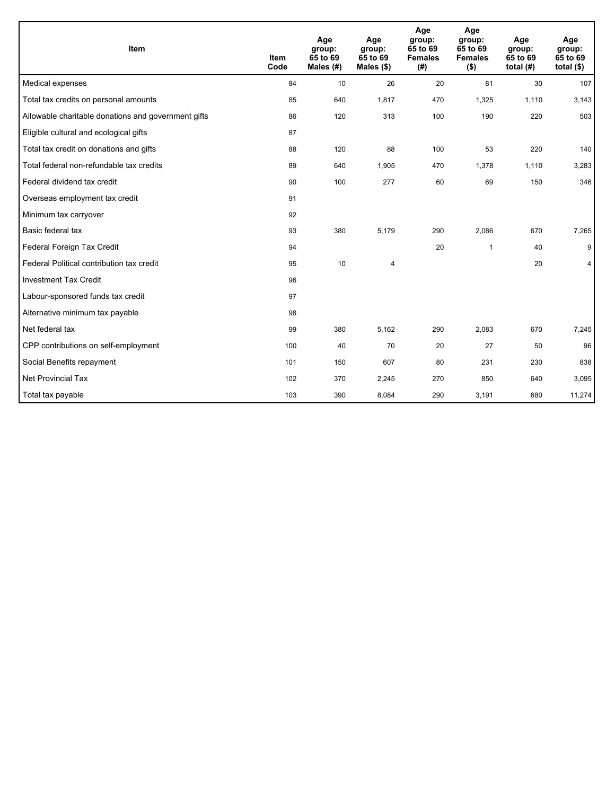| Item                                                | <b>Item</b><br>Code | Age<br>group:<br>65 to 69<br>Males (#) | Age<br>group:<br>65 to 69<br>Males $(\$)$ | Age<br>group:<br>65 to 69<br><b>Females</b><br>(# ) | Age<br>group:<br>65 to 69<br><b>Females</b><br>$($ \$) | Age<br>group:<br>65 to 69<br>total $(H)$ | Age<br>group:<br>65 to 69<br>total $($)$ |
|-----------------------------------------------------|---------------------|----------------------------------------|-------------------------------------------|-----------------------------------------------------|--------------------------------------------------------|------------------------------------------|------------------------------------------|
| Medical expenses                                    | 84                  | 10                                     | 26                                        | 20                                                  | 81                                                     | 30                                       | 107                                      |
| Total tax credits on personal amounts               | 85                  | 640                                    | 1,817                                     | 470                                                 | 1,325                                                  | 1,110                                    | 3,143                                    |
| Allowable charitable donations and government gifts | 86                  | 120                                    | 313                                       | 100                                                 | 190                                                    | 220                                      | 503                                      |
| Eligible cultural and ecological gifts              | 87                  |                                        |                                           |                                                     |                                                        |                                          |                                          |
| Total tax credit on donations and gifts             | 88                  | 120                                    | 88                                        | 100                                                 | 53                                                     | 220                                      | 140                                      |
| Total federal non-refundable tax credits            | 89                  | 640                                    | 1,905                                     | 470                                                 | 1,378                                                  | 1,110                                    | 3,283                                    |
| Federal dividend tax credit                         | 90                  | 100                                    | 277                                       | 60                                                  | 69                                                     | 150                                      | 346                                      |
| Overseas employment tax credit                      | 91                  |                                        |                                           |                                                     |                                                        |                                          |                                          |
| Minimum tax carryover                               | 92                  |                                        |                                           |                                                     |                                                        |                                          |                                          |
| Basic federal tax                                   | 93                  | 380                                    | 5,179                                     | 290                                                 | 2,086                                                  | 670                                      | 7,265                                    |
| Federal Foreign Tax Credit                          | 94                  |                                        |                                           | 20                                                  | 1                                                      | 40                                       | 9                                        |
| Federal Political contribution tax credit           | 95                  | 10                                     | 4                                         |                                                     |                                                        | 20                                       | 4                                        |
| <b>Investment Tax Credit</b>                        | 96                  |                                        |                                           |                                                     |                                                        |                                          |                                          |
| Labour-sponsored funds tax credit                   | 97                  |                                        |                                           |                                                     |                                                        |                                          |                                          |
| Alternative minimum tax payable                     | 98                  |                                        |                                           |                                                     |                                                        |                                          |                                          |
| Net federal tax                                     | 99                  | 380                                    | 5,162                                     | 290                                                 | 2,083                                                  | 670                                      | 7,245                                    |
| CPP contributions on self-employment                | 100                 | 40                                     | 70                                        | 20                                                  | 27                                                     | 50                                       | 96                                       |
| Social Benefits repayment                           | 101                 | 150                                    | 607                                       | 80                                                  | 231                                                    | 230                                      | 838                                      |
| <b>Net Provincial Tax</b>                           | 102                 | 370                                    | 2,245                                     | 270                                                 | 850                                                    | 640                                      | 3,095                                    |
| Total tax payable                                   | 103                 | 390                                    | 8,084                                     | 290                                                 | 3,191                                                  | 680                                      | 11,274                                   |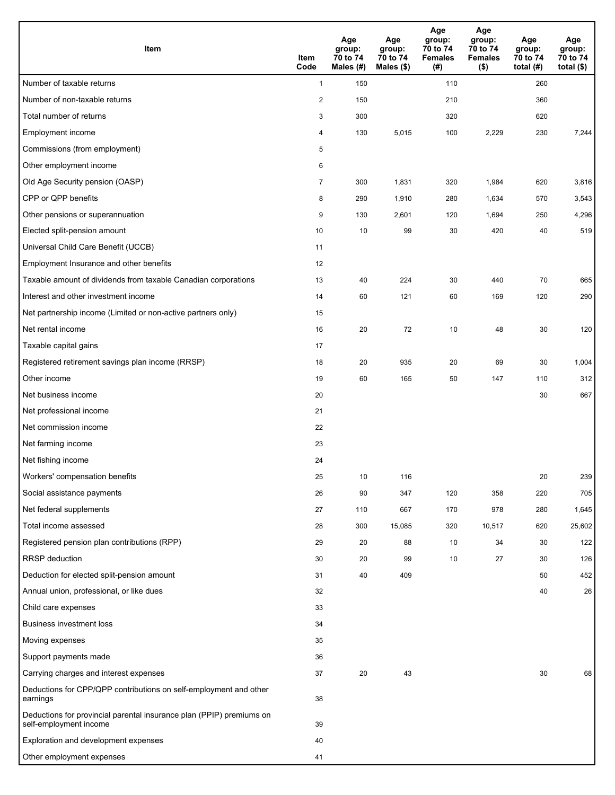| <b>Item</b>                                                                                    | Item<br>Code   | Age<br>group:<br>70 to 74<br>Males (#) | Age<br>group:<br>70 to 74<br>Males $(\$)$ | Age<br>group:<br>70 to 74<br><b>Females</b><br>(# ) | Age<br>group:<br>70 to 74<br><b>Females</b><br>$($ \$) | Age<br>group:<br>70 to 74<br>total $(H)$ | Age<br>group:<br>70 to 74<br>total $($)$ |
|------------------------------------------------------------------------------------------------|----------------|----------------------------------------|-------------------------------------------|-----------------------------------------------------|--------------------------------------------------------|------------------------------------------|------------------------------------------|
| Number of taxable returns                                                                      | $\mathbf{1}$   | 150                                    |                                           | 110                                                 |                                                        | 260                                      |                                          |
| Number of non-taxable returns                                                                  | $\sqrt{2}$     | 150                                    |                                           | 210                                                 |                                                        | 360                                      |                                          |
| Total number of returns                                                                        | 3              | 300                                    |                                           | 320                                                 |                                                        | 620                                      |                                          |
| Employment income                                                                              | 4              | 130                                    | 5,015                                     | 100                                                 | 2,229                                                  | 230                                      | 7,244                                    |
| Commissions (from employment)                                                                  | 5              |                                        |                                           |                                                     |                                                        |                                          |                                          |
| Other employment income                                                                        | 6              |                                        |                                           |                                                     |                                                        |                                          |                                          |
| Old Age Security pension (OASP)                                                                | $\overline{7}$ | 300                                    | 1,831                                     | 320                                                 | 1,984                                                  | 620                                      | 3,816                                    |
| CPP or QPP benefits                                                                            | 8              | 290                                    | 1,910                                     | 280                                                 | 1,634                                                  | 570                                      | 3,543                                    |
| Other pensions or superannuation                                                               | 9              | 130                                    | 2,601                                     | 120                                                 | 1,694                                                  | 250                                      | 4,296                                    |
| Elected split-pension amount                                                                   | 10             | 10                                     | 99                                        | 30                                                  | 420                                                    | 40                                       | 519                                      |
| Universal Child Care Benefit (UCCB)                                                            | 11             |                                        |                                           |                                                     |                                                        |                                          |                                          |
| Employment Insurance and other benefits                                                        | 12             |                                        |                                           |                                                     |                                                        |                                          |                                          |
| Taxable amount of dividends from taxable Canadian corporations                                 | 13             | 40                                     | 224                                       | 30                                                  | 440                                                    | 70                                       | 665                                      |
| Interest and other investment income                                                           | 14             | 60                                     | 121                                       | 60                                                  | 169                                                    | 120                                      | 290                                      |
| Net partnership income (Limited or non-active partners only)                                   | 15             |                                        |                                           |                                                     |                                                        |                                          |                                          |
| Net rental income                                                                              | 16             | 20                                     | 72                                        | 10                                                  | 48                                                     | 30                                       | 120                                      |
| Taxable capital gains                                                                          | 17             |                                        |                                           |                                                     |                                                        |                                          |                                          |
| Registered retirement savings plan income (RRSP)                                               | 18             | 20                                     | 935                                       | 20                                                  | 69                                                     | 30                                       | 1,004                                    |
| Other income                                                                                   | 19             | 60                                     | 165                                       | 50                                                  | 147                                                    | 110                                      | 312                                      |
| Net business income                                                                            | 20             |                                        |                                           |                                                     |                                                        | 30                                       | 667                                      |
| Net professional income                                                                        | 21             |                                        |                                           |                                                     |                                                        |                                          |                                          |
| Net commission income                                                                          | 22             |                                        |                                           |                                                     |                                                        |                                          |                                          |
| Net farming income                                                                             | 23             |                                        |                                           |                                                     |                                                        |                                          |                                          |
| Net fishing income                                                                             | 24             |                                        |                                           |                                                     |                                                        |                                          |                                          |
| Workers' compensation benefits                                                                 | 25             | 10                                     | 116                                       |                                                     |                                                        | 20                                       | 239                                      |
| Social assistance payments                                                                     | 26             | 90                                     | 347                                       | 120                                                 | 358                                                    | 220                                      | 705                                      |
| Net federal supplements                                                                        | 27             | 110                                    | 667                                       | 170                                                 | 978                                                    | 280                                      | 1,645                                    |
| Total income assessed                                                                          | 28             | 300                                    | 15,085                                    | 320                                                 | 10,517                                                 | 620                                      | 25,602                                   |
| Registered pension plan contributions (RPP)                                                    | 29             | 20                                     | 88                                        | 10                                                  | 34                                                     | 30                                       | 122                                      |
| RRSP deduction                                                                                 | 30             | 20                                     | 99                                        | 10                                                  | 27                                                     | 30                                       | 126                                      |
| Deduction for elected split-pension amount                                                     | 31             | 40                                     | 409                                       |                                                     |                                                        | 50                                       | 452                                      |
| Annual union, professional, or like dues                                                       | 32             |                                        |                                           |                                                     |                                                        | 40                                       | 26                                       |
| Child care expenses                                                                            | 33             |                                        |                                           |                                                     |                                                        |                                          |                                          |
| Business investment loss                                                                       | 34             |                                        |                                           |                                                     |                                                        |                                          |                                          |
| Moving expenses                                                                                | 35             |                                        |                                           |                                                     |                                                        |                                          |                                          |
| Support payments made                                                                          | 36             |                                        |                                           |                                                     |                                                        |                                          |                                          |
| Carrying charges and interest expenses                                                         | 37             | 20                                     | 43                                        |                                                     |                                                        | 30                                       | 68                                       |
| Deductions for CPP/QPP contributions on self-employment and other<br>earnings                  | 38             |                                        |                                           |                                                     |                                                        |                                          |                                          |
| Deductions for provincial parental insurance plan (PPIP) premiums on<br>self-employment income | 39             |                                        |                                           |                                                     |                                                        |                                          |                                          |
| Exploration and development expenses                                                           | 40             |                                        |                                           |                                                     |                                                        |                                          |                                          |
| Other employment expenses                                                                      | 41             |                                        |                                           |                                                     |                                                        |                                          |                                          |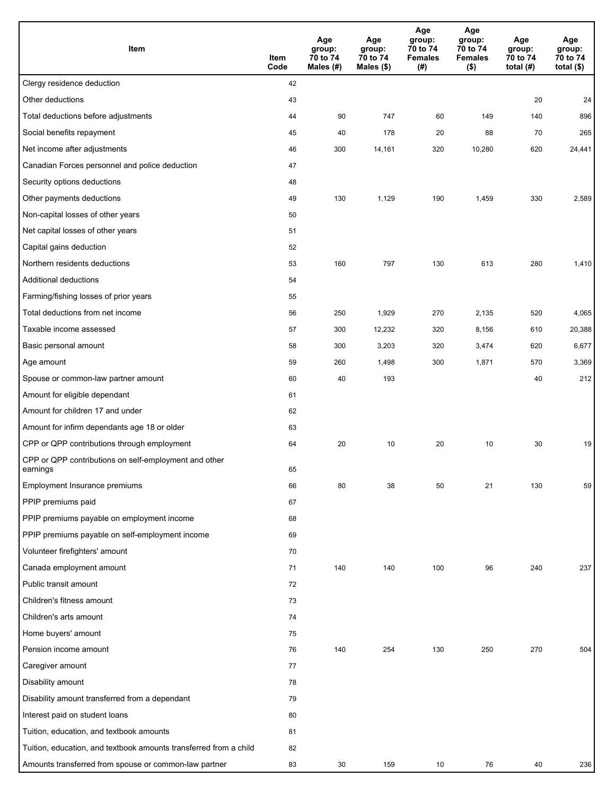| Item                                                              | Item<br>Code | Age<br>group:<br>70 to 74<br>Males (#) | Age<br>group:<br>70 to 74<br>Males (\$) | Age<br>group:<br>70 to 74<br><b>Females</b><br>(# ) | Age<br>group:<br>70 to 74<br><b>Females</b><br>$($ \$) | Age<br>group:<br>70 to 74<br>total $(H)$ | Age<br>group:<br>70 to 74<br>total $($)$ |
|-------------------------------------------------------------------|--------------|----------------------------------------|-----------------------------------------|-----------------------------------------------------|--------------------------------------------------------|------------------------------------------|------------------------------------------|
| Clergy residence deduction                                        | 42           |                                        |                                         |                                                     |                                                        |                                          |                                          |
| Other deductions                                                  | 43           |                                        |                                         |                                                     |                                                        | 20                                       | 24                                       |
| Total deductions before adjustments                               | 44           | 90                                     | 747                                     | 60                                                  | 149                                                    | 140                                      | 896                                      |
| Social benefits repayment                                         | 45           | 40                                     | 178                                     | 20                                                  | 88                                                     | 70                                       | 265                                      |
| Net income after adjustments                                      | 46           | 300                                    | 14,161                                  | 320                                                 | 10,280                                                 | 620                                      | 24,441                                   |
| Canadian Forces personnel and police deduction                    | 47           |                                        |                                         |                                                     |                                                        |                                          |                                          |
| Security options deductions                                       | 48           |                                        |                                         |                                                     |                                                        |                                          |                                          |
| Other payments deductions                                         | 49           | 130                                    | 1,129                                   | 190                                                 | 1,459                                                  | 330                                      | 2,589                                    |
| Non-capital losses of other years                                 | 50           |                                        |                                         |                                                     |                                                        |                                          |                                          |
| Net capital losses of other years                                 | 51           |                                        |                                         |                                                     |                                                        |                                          |                                          |
| Capital gains deduction                                           | 52           |                                        |                                         |                                                     |                                                        |                                          |                                          |
| Northern residents deductions                                     | 53           | 160                                    | 797                                     | 130                                                 | 613                                                    | 280                                      | 1,410                                    |
| Additional deductions                                             | 54           |                                        |                                         |                                                     |                                                        |                                          |                                          |
| Farming/fishing losses of prior years                             | 55           |                                        |                                         |                                                     |                                                        |                                          |                                          |
| Total deductions from net income                                  | 56           | 250                                    | 1,929                                   | 270                                                 | 2,135                                                  | 520                                      | 4,065                                    |
| Taxable income assessed                                           | 57           | 300                                    | 12,232                                  | 320                                                 | 8,156                                                  | 610                                      | 20,388                                   |
| Basic personal amount                                             | 58           | 300                                    | 3,203                                   | 320                                                 | 3,474                                                  | 620                                      | 6,677                                    |
| Age amount                                                        | 59           | 260                                    | 1,498                                   | 300                                                 | 1,871                                                  | 570                                      | 3,369                                    |
| Spouse or common-law partner amount                               | 60           | 40                                     | 193                                     |                                                     |                                                        | 40                                       | 212                                      |
| Amount for eligible dependant                                     | 61           |                                        |                                         |                                                     |                                                        |                                          |                                          |
| Amount for children 17 and under                                  | 62           |                                        |                                         |                                                     |                                                        |                                          |                                          |
| Amount for infirm dependants age 18 or older                      | 63           |                                        |                                         |                                                     |                                                        |                                          |                                          |
| CPP or QPP contributions through employment                       | 64           | 20                                     | 10                                      | 20                                                  | 10                                                     | 30                                       | 19                                       |
| CPP or QPP contributions on self-employment and other<br>earnings | 65           |                                        |                                         |                                                     |                                                        |                                          |                                          |
| Employment Insurance premiums                                     | 66           | 80                                     | 38                                      | 50                                                  | 21                                                     | 130                                      | 59                                       |
| PPIP premiums paid                                                | 67           |                                        |                                         |                                                     |                                                        |                                          |                                          |
| PPIP premiums payable on employment income                        | 68           |                                        |                                         |                                                     |                                                        |                                          |                                          |
| PPIP premiums payable on self-employment income                   | 69           |                                        |                                         |                                                     |                                                        |                                          |                                          |
| Volunteer firefighters' amount                                    | 70           |                                        |                                         |                                                     |                                                        |                                          |                                          |
| Canada employment amount                                          | 71           | 140                                    | 140                                     | 100                                                 | 96                                                     | 240                                      | 237                                      |
| Public transit amount                                             | 72           |                                        |                                         |                                                     |                                                        |                                          |                                          |
| Children's fitness amount                                         | 73           |                                        |                                         |                                                     |                                                        |                                          |                                          |
| Children's arts amount                                            | 74           |                                        |                                         |                                                     |                                                        |                                          |                                          |
| Home buyers' amount                                               | 75           |                                        |                                         |                                                     |                                                        |                                          |                                          |
| Pension income amount                                             | 76           | 140                                    | 254                                     | 130                                                 | 250                                                    | 270                                      | 504                                      |
| Caregiver amount                                                  | 77           |                                        |                                         |                                                     |                                                        |                                          |                                          |
| Disability amount                                                 | 78           |                                        |                                         |                                                     |                                                        |                                          |                                          |
| Disability amount transferred from a dependant                    | 79           |                                        |                                         |                                                     |                                                        |                                          |                                          |
| Interest paid on student loans                                    | 80           |                                        |                                         |                                                     |                                                        |                                          |                                          |
| Tuition, education, and textbook amounts                          | 81           |                                        |                                         |                                                     |                                                        |                                          |                                          |
| Tuition, education, and textbook amounts transferred from a child | 82           |                                        |                                         |                                                     |                                                        |                                          |                                          |
| Amounts transferred from spouse or common-law partner             | 83           | 30                                     | 159                                     | 10                                                  | 76                                                     | 40                                       | 236                                      |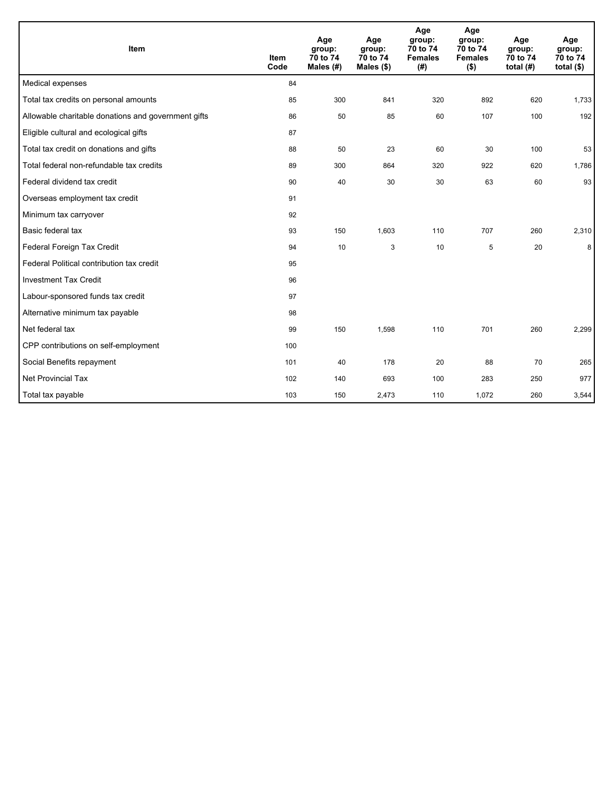| Item                                                | <b>Item</b><br>Code | Age<br>group:<br>70 to 74<br>Males (#) | Age<br>group:<br>70 to 74<br>Males (\$) | Age<br>group:<br>70 to 74<br><b>Females</b><br>(#) | Age<br>group:<br>70 to 74<br><b>Females</b><br>$($ \$) | Age<br>group:<br>70 to 74<br>total $(H)$ | Age<br>group:<br>70 to 74<br>total $($)$ |
|-----------------------------------------------------|---------------------|----------------------------------------|-----------------------------------------|----------------------------------------------------|--------------------------------------------------------|------------------------------------------|------------------------------------------|
| Medical expenses                                    | 84                  |                                        |                                         |                                                    |                                                        |                                          |                                          |
| Total tax credits on personal amounts               | 85                  | 300                                    | 841                                     | 320                                                | 892                                                    | 620                                      | 1,733                                    |
| Allowable charitable donations and government gifts | 86                  | 50                                     | 85                                      | 60                                                 | 107                                                    | 100                                      | 192                                      |
| Eligible cultural and ecological gifts              | 87                  |                                        |                                         |                                                    |                                                        |                                          |                                          |
| Total tax credit on donations and gifts             | 88                  | 50                                     | 23                                      | 60                                                 | 30                                                     | 100                                      | 53                                       |
| Total federal non-refundable tax credits            | 89                  | 300                                    | 864                                     | 320                                                | 922                                                    | 620                                      | 1,786                                    |
| Federal dividend tax credit                         | 90                  | 40                                     | 30                                      | 30                                                 | 63                                                     | 60                                       | 93                                       |
| Overseas employment tax credit                      | 91                  |                                        |                                         |                                                    |                                                        |                                          |                                          |
| Minimum tax carryover                               | 92                  |                                        |                                         |                                                    |                                                        |                                          |                                          |
| Basic federal tax                                   | 93                  | 150                                    | 1,603                                   | 110                                                | 707                                                    | 260                                      | 2,310                                    |
| Federal Foreign Tax Credit                          | 94                  | 10                                     | 3                                       | 10                                                 | 5                                                      | 20                                       | 8                                        |
| Federal Political contribution tax credit           | 95                  |                                        |                                         |                                                    |                                                        |                                          |                                          |
| <b>Investment Tax Credit</b>                        | 96                  |                                        |                                         |                                                    |                                                        |                                          |                                          |
| Labour-sponsored funds tax credit                   | 97                  |                                        |                                         |                                                    |                                                        |                                          |                                          |
| Alternative minimum tax payable                     | 98                  |                                        |                                         |                                                    |                                                        |                                          |                                          |
| Net federal tax                                     | 99                  | 150                                    | 1,598                                   | 110                                                | 701                                                    | 260                                      | 2,299                                    |
| CPP contributions on self-employment                | 100                 |                                        |                                         |                                                    |                                                        |                                          |                                          |
| Social Benefits repayment                           | 101                 | 40                                     | 178                                     | 20                                                 | 88                                                     | 70                                       | 265                                      |
| Net Provincial Tax                                  | 102                 | 140                                    | 693                                     | 100                                                | 283                                                    | 250                                      | 977                                      |
| Total tax payable                                   | 103                 | 150                                    | 2,473                                   | 110                                                | 1,072                                                  | 260                                      | 3,544                                    |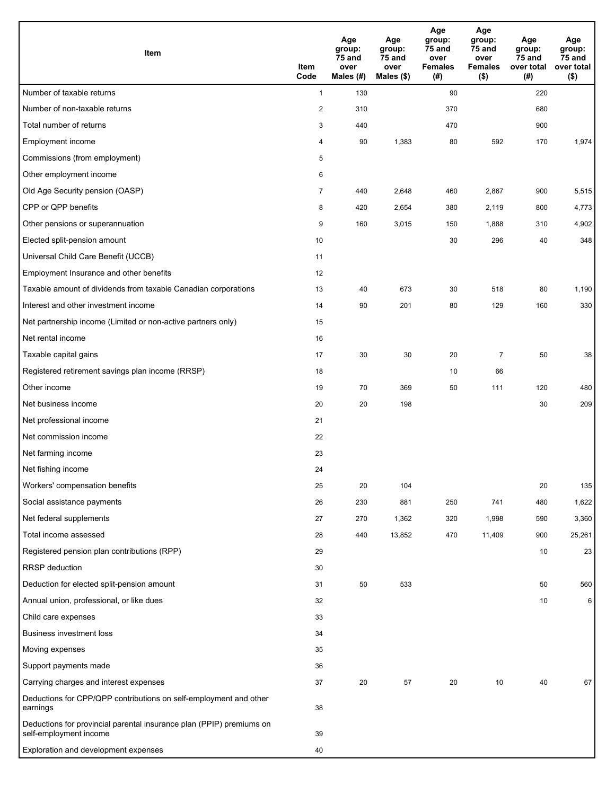| Item                                                                                           | Item<br>Code   | Age<br>group:<br>75 and<br>over<br>Males (#) | Age<br>group:<br>75 and<br>over<br>Males (\$) | Age<br>group:<br>75 and<br>over<br><b>Females</b><br>(#) | Age<br>group:<br>75 and<br>over<br><b>Females</b><br>$($ \$) | Age<br>group:<br>75 and<br>over total<br>(#) | Age<br>group:<br>75 and<br>over total<br>$($ \$) |
|------------------------------------------------------------------------------------------------|----------------|----------------------------------------------|-----------------------------------------------|----------------------------------------------------------|--------------------------------------------------------------|----------------------------------------------|--------------------------------------------------|
| Number of taxable returns                                                                      | $\mathbf{1}$   | 130                                          |                                               | 90                                                       |                                                              | 220                                          |                                                  |
| Number of non-taxable returns                                                                  | $\overline{2}$ | 310                                          |                                               | 370                                                      |                                                              | 680                                          |                                                  |
| Total number of returns                                                                        | 3              | 440                                          |                                               | 470                                                      |                                                              | 900                                          |                                                  |
| Employment income                                                                              | 4              | 90                                           | 1,383                                         | 80                                                       | 592                                                          | 170                                          | 1,974                                            |
| Commissions (from employment)                                                                  | 5              |                                              |                                               |                                                          |                                                              |                                              |                                                  |
| Other employment income                                                                        | 6              |                                              |                                               |                                                          |                                                              |                                              |                                                  |
| Old Age Security pension (OASP)                                                                | $\overline{7}$ | 440                                          | 2,648                                         | 460                                                      | 2,867                                                        | 900                                          | 5,515                                            |
| CPP or QPP benefits                                                                            | 8              | 420                                          | 2,654                                         | 380                                                      | 2,119                                                        | 800                                          | 4,773                                            |
| Other pensions or superannuation                                                               | 9              | 160                                          | 3,015                                         | 150                                                      | 1,888                                                        | 310                                          | 4,902                                            |
| Elected split-pension amount                                                                   | 10             |                                              |                                               | 30                                                       | 296                                                          | 40                                           | 348                                              |
| Universal Child Care Benefit (UCCB)                                                            | 11             |                                              |                                               |                                                          |                                                              |                                              |                                                  |
| Employment Insurance and other benefits                                                        | 12             |                                              |                                               |                                                          |                                                              |                                              |                                                  |
| Taxable amount of dividends from taxable Canadian corporations                                 | 13             | 40                                           | 673                                           | 30                                                       | 518                                                          | 80                                           | 1,190                                            |
| Interest and other investment income                                                           | 14             | 90                                           | 201                                           | 80                                                       | 129                                                          | 160                                          | 330                                              |
| Net partnership income (Limited or non-active partners only)                                   | 15             |                                              |                                               |                                                          |                                                              |                                              |                                                  |
| Net rental income                                                                              | 16             |                                              |                                               |                                                          |                                                              |                                              |                                                  |
| Taxable capital gains                                                                          | 17             | 30                                           | 30                                            | 20                                                       | $\overline{7}$                                               | 50                                           | 38                                               |
| Registered retirement savings plan income (RRSP)                                               | 18             |                                              |                                               | 10                                                       | 66                                                           |                                              |                                                  |
| Other income                                                                                   | 19             | 70                                           | 369                                           | 50                                                       | 111                                                          | 120                                          | 480                                              |
| Net business income                                                                            | 20             | 20                                           | 198                                           |                                                          |                                                              | 30                                           | 209                                              |
| Net professional income                                                                        | 21             |                                              |                                               |                                                          |                                                              |                                              |                                                  |
| Net commission income                                                                          | 22             |                                              |                                               |                                                          |                                                              |                                              |                                                  |
| Net farming income                                                                             | 23             |                                              |                                               |                                                          |                                                              |                                              |                                                  |
| Net fishing income                                                                             | 24             |                                              |                                               |                                                          |                                                              |                                              |                                                  |
| Workers' compensation benefits                                                                 | 25             | 20                                           | 104                                           |                                                          |                                                              | 20                                           | 135                                              |
| Social assistance payments                                                                     | 26             | 230                                          | 881                                           | 250                                                      | 741                                                          | 480                                          | 1,622                                            |
| Net federal supplements                                                                        | 27             | 270                                          | 1,362                                         | 320                                                      | 1,998                                                        | 590                                          | 3,360                                            |
| Total income assessed                                                                          | 28             | 440                                          | 13,852                                        | 470                                                      | 11,409                                                       | 900                                          | 25,261                                           |
| Registered pension plan contributions (RPP)                                                    | 29             |                                              |                                               |                                                          |                                                              | 10                                           | 23                                               |
| RRSP deduction                                                                                 | 30             |                                              |                                               |                                                          |                                                              |                                              |                                                  |
| Deduction for elected split-pension amount                                                     | 31             | 50                                           | 533                                           |                                                          |                                                              | 50                                           | 560                                              |
| Annual union, professional, or like dues                                                       | 32             |                                              |                                               |                                                          |                                                              | 10                                           | 6                                                |
| Child care expenses                                                                            | 33             |                                              |                                               |                                                          |                                                              |                                              |                                                  |
| <b>Business investment loss</b>                                                                | 34             |                                              |                                               |                                                          |                                                              |                                              |                                                  |
| Moving expenses                                                                                | 35             |                                              |                                               |                                                          |                                                              |                                              |                                                  |
| Support payments made                                                                          | 36             |                                              |                                               |                                                          |                                                              |                                              |                                                  |
| Carrying charges and interest expenses                                                         | 37             | 20                                           | 57                                            | 20                                                       | 10                                                           | 40                                           | 67                                               |
| Deductions for CPP/QPP contributions on self-employment and other<br>earnings                  | 38             |                                              |                                               |                                                          |                                                              |                                              |                                                  |
| Deductions for provincial parental insurance plan (PPIP) premiums on<br>self-employment income | 39             |                                              |                                               |                                                          |                                                              |                                              |                                                  |
| Exploration and development expenses                                                           | 40             |                                              |                                               |                                                          |                                                              |                                              |                                                  |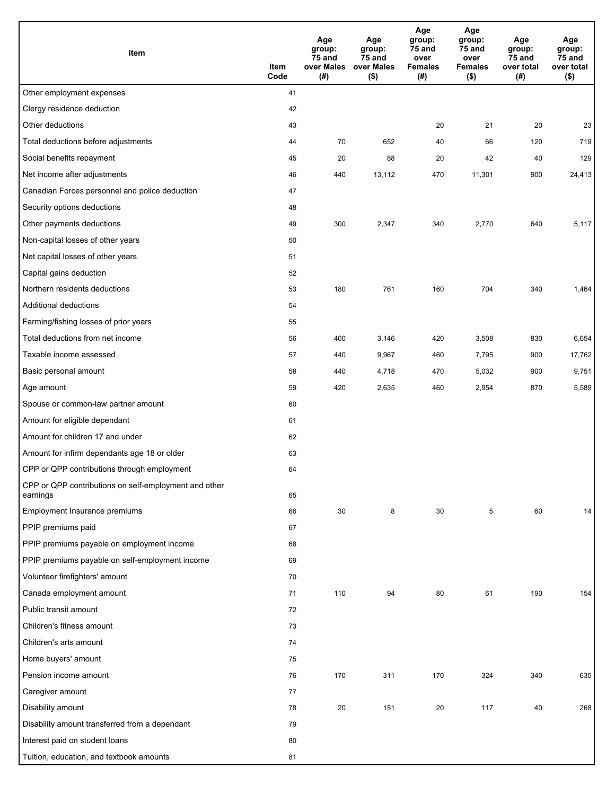| Item                                                              | Item<br>Code | Age<br>group:<br>75 and<br>over Males<br>(# ) | Age<br>group:<br>75 and<br>over Males<br>$($ \$) | Age<br>group:<br>75 and<br>over<br><b>Females</b><br>(#) | Age<br>group:<br>75 and<br>over<br><b>Females</b><br>(\$) | Age<br>group:<br>75 and<br>over total<br>(#) | Age<br>group:<br>75 and<br>over total<br>$($ \$) |
|-------------------------------------------------------------------|--------------|-----------------------------------------------|--------------------------------------------------|----------------------------------------------------------|-----------------------------------------------------------|----------------------------------------------|--------------------------------------------------|
| Other employment expenses                                         | 41           |                                               |                                                  |                                                          |                                                           |                                              |                                                  |
| Clergy residence deduction                                        | 42           |                                               |                                                  |                                                          |                                                           |                                              |                                                  |
| Other deductions                                                  | 43           |                                               |                                                  | 20                                                       | 21                                                        | 20                                           | 23                                               |
| Total deductions before adjustments                               | 44           | 70                                            | 652                                              | 40                                                       | 66                                                        | 120                                          | 719                                              |
| Social benefits repayment                                         | 45           | 20                                            | 88                                               | 20                                                       | 42                                                        | 40                                           | 129                                              |
| Net income after adjustments                                      | 46           | 440                                           | 13,112                                           | 470                                                      | 11,301                                                    | 900                                          | 24,413                                           |
| Canadian Forces personnel and police deduction                    | 47           |                                               |                                                  |                                                          |                                                           |                                              |                                                  |
| Security options deductions                                       | 48           |                                               |                                                  |                                                          |                                                           |                                              |                                                  |
| Other payments deductions                                         | 49           | 300                                           | 2,347                                            | 340                                                      | 2,770                                                     | 640                                          | 5,117                                            |
| Non-capital losses of other years                                 | 50           |                                               |                                                  |                                                          |                                                           |                                              |                                                  |
| Net capital losses of other years                                 | 51           |                                               |                                                  |                                                          |                                                           |                                              |                                                  |
| Capital gains deduction                                           | 52           |                                               |                                                  |                                                          |                                                           |                                              |                                                  |
| Northern residents deductions                                     | 53           | 180                                           | 761                                              | 160                                                      | 704                                                       | 340                                          | 1,464                                            |
| Additional deductions                                             | 54           |                                               |                                                  |                                                          |                                                           |                                              |                                                  |
| Farming/fishing losses of prior years                             | 55           |                                               |                                                  |                                                          |                                                           |                                              |                                                  |
| Total deductions from net income                                  | 56           | 400                                           | 3,146                                            | 420                                                      | 3,508                                                     | 830                                          | 6,654                                            |
| Taxable income assessed                                           | 57           | 440                                           | 9,967                                            | 460                                                      | 7,795                                                     | 900                                          | 17,762                                           |
| Basic personal amount                                             | 58           | 440                                           | 4,718                                            | 470                                                      | 5,032                                                     | 900                                          | 9,751                                            |
| Age amount                                                        | 59           | 420                                           | 2,635                                            | 460                                                      | 2,954                                                     | 870                                          | 5,589                                            |
| Spouse or common-law partner amount                               | 60           |                                               |                                                  |                                                          |                                                           |                                              |                                                  |
| Amount for eligible dependant                                     | 61           |                                               |                                                  |                                                          |                                                           |                                              |                                                  |
| Amount for children 17 and under                                  | 62           |                                               |                                                  |                                                          |                                                           |                                              |                                                  |
| Amount for infirm dependants age 18 or older                      | 63           |                                               |                                                  |                                                          |                                                           |                                              |                                                  |
| CPP or QPP contributions through employment                       | 64           |                                               |                                                  |                                                          |                                                           |                                              |                                                  |
| CPP or QPP contributions on self-employment and other<br>earnings | 65           |                                               |                                                  |                                                          |                                                           |                                              |                                                  |
| Employment Insurance premiums                                     | 66           | 30                                            | 8                                                | 30                                                       | 5                                                         | 60                                           | 14                                               |
| PPIP premiums paid                                                | 67           |                                               |                                                  |                                                          |                                                           |                                              |                                                  |
| PPIP premiums payable on employment income                        | 68           |                                               |                                                  |                                                          |                                                           |                                              |                                                  |
| PPIP premiums payable on self-employment income                   | 69           |                                               |                                                  |                                                          |                                                           |                                              |                                                  |
| Volunteer firefighters' amount                                    | 70           |                                               |                                                  |                                                          |                                                           |                                              |                                                  |
| Canada employment amount                                          | 71           | 110                                           | 94                                               | 80                                                       | 61                                                        | 190                                          | 154                                              |
| Public transit amount                                             | 72           |                                               |                                                  |                                                          |                                                           |                                              |                                                  |
| Children's fitness amount                                         | 73           |                                               |                                                  |                                                          |                                                           |                                              |                                                  |
| Children's arts amount                                            | 74           |                                               |                                                  |                                                          |                                                           |                                              |                                                  |
| Home buyers' amount                                               | 75           |                                               |                                                  |                                                          |                                                           |                                              |                                                  |
| Pension income amount                                             | 76           | 170                                           | 311                                              | 170                                                      | 324                                                       | 340                                          | 635                                              |
| Caregiver amount                                                  | 77           |                                               |                                                  |                                                          |                                                           |                                              |                                                  |
| Disability amount                                                 | 78           | 20                                            | 151                                              | 20                                                       | 117                                                       | 40                                           | 268                                              |
| Disability amount transferred from a dependant                    | 79           |                                               |                                                  |                                                          |                                                           |                                              |                                                  |
| Interest paid on student loans                                    | 80           |                                               |                                                  |                                                          |                                                           |                                              |                                                  |
| Tuition, education, and textbook amounts                          | 81           |                                               |                                                  |                                                          |                                                           |                                              |                                                  |